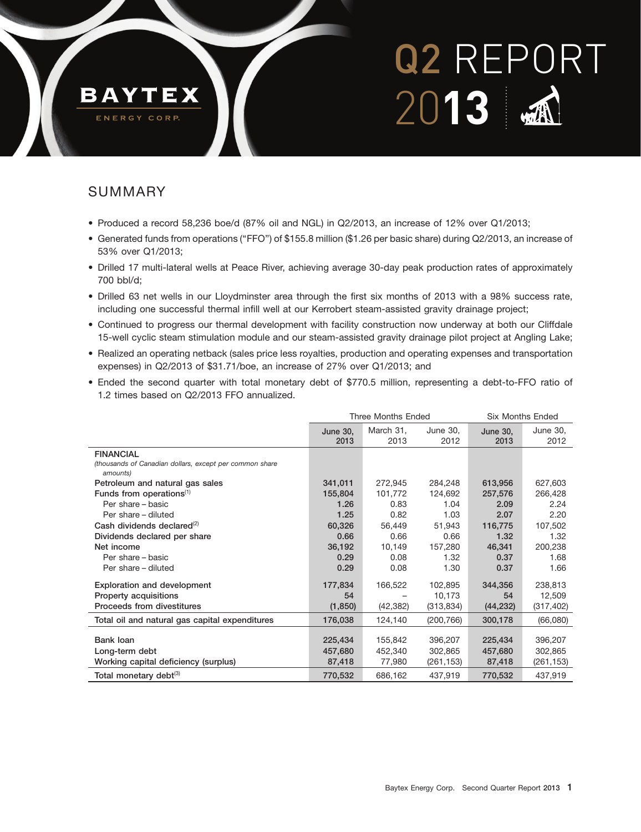# BAYTEX

CORP. ENERGY

# Q2 REPORT 20**13**

14AUG2013151800

### SUMMARY

- Produced a record 58,236 boe/d (87% oil and NGL) in Q2/2013, an increase of 12% over Q1/2013;
- Generated funds from operations (''FFO'') of \$155.8 million (\$1.26 per basic share) during Q2/2013, an increase of 53% over Q1/2013;
- Drilled 17 multi-lateral wells at Peace River, achieving average 30-day peak production rates of approximately 700 bbl/d;
- Drilled 63 net wells in our Lloydminster area through the first six months of 2013 with a 98% success rate, including one successful thermal infill well at our Kerrobert steam-assisted gravity drainage project;
- Continued to progress our thermal development with facility construction now underway at both our Cliffdale 15-well cyclic steam stimulation module and our steam-assisted gravity drainage pilot project at Angling Lake;
- Realized an operating netback (sales price less royalties, production and operating expenses and transportation expenses) in Q2/2013 of \$31.71/boe, an increase of 27% over Q1/2013; and
- Ended the second quarter with total monetary debt of \$770.5 million, representing a debt-to-FFO ratio of 1.2 times based on Q2/2013 FFO annualized.

|                                                                     |                         | Three Months Ended |                  |                         | <b>Six Months Ended</b> |
|---------------------------------------------------------------------|-------------------------|--------------------|------------------|-------------------------|-------------------------|
|                                                                     | <b>June 30.</b><br>2013 | March 31,<br>2013  | June 30,<br>2012 | <b>June 30.</b><br>2013 | June 30,<br>2012        |
| <b>FINANCIAL</b>                                                    |                         |                    |                  |                         |                         |
| (thousands of Canadian dollars, except per common share<br>amounts) |                         |                    |                  |                         |                         |
| Petroleum and natural gas sales                                     | 341,011                 | 272,945            | 284,248          | 613,956                 | 627,603                 |
| Funds from operations <sup>(1)</sup>                                | 155,804                 | 101,772            | 124,692          | 257,576                 | 266,428                 |
| Per share - basic                                                   | 1.26                    | 0.83               | 1.04             | 2.09                    | 2.24                    |
| Per share - diluted                                                 | 1.25                    | 0.82               | 1.03             | 2.07                    | 2.20                    |
| Cash dividends declared <sup>(2)</sup>                              | 60,326                  | 56,449             | 51,943           | 116,775                 | 107,502                 |
| Dividends declared per share                                        | 0.66                    | 0.66               | 0.66             | 1.32                    | 1.32                    |
| Net income                                                          | 36,192                  | 10,149             | 157,280          | 46,341                  | 200,238                 |
| Per share – basic                                                   | 0.29                    | 0.08               | 1.32             | 0.37                    | 1.68                    |
| Per share – diluted                                                 | 0.29                    | 0.08               | 1.30             | 0.37                    | 1.66                    |
| <b>Exploration and development</b>                                  | 177,834                 | 166,522            | 102,895          | 344,356                 | 238,813                 |
| Property acquisitions                                               | 54                      |                    | 10,173           | 54                      | 12,509                  |
| Proceeds from divestitures                                          | (1,850)                 | (42, 382)          | (313, 834)       | (44, 232)               | (317, 402)              |
| Total oil and natural gas capital expenditures                      | 176,038                 | 124,140            | (200, 766)       | 300,178                 | (66,080)                |
|                                                                     |                         |                    |                  |                         |                         |
| Bank loan                                                           | 225,434                 | 155,842            | 396,207          | 225,434                 | 396,207                 |
| Long-term debt                                                      | 457,680                 | 452,340            | 302,865          | 457,680                 | 302,865                 |
| Working capital deficiency (surplus)                                | 87,418                  | 77,980             | (261, 153)       | 87,418                  | (261, 153)              |
| Total monetary debt <sup>(3)</sup>                                  | 770,532                 | 686,162            | 437,919          | 770,532                 | 437,919                 |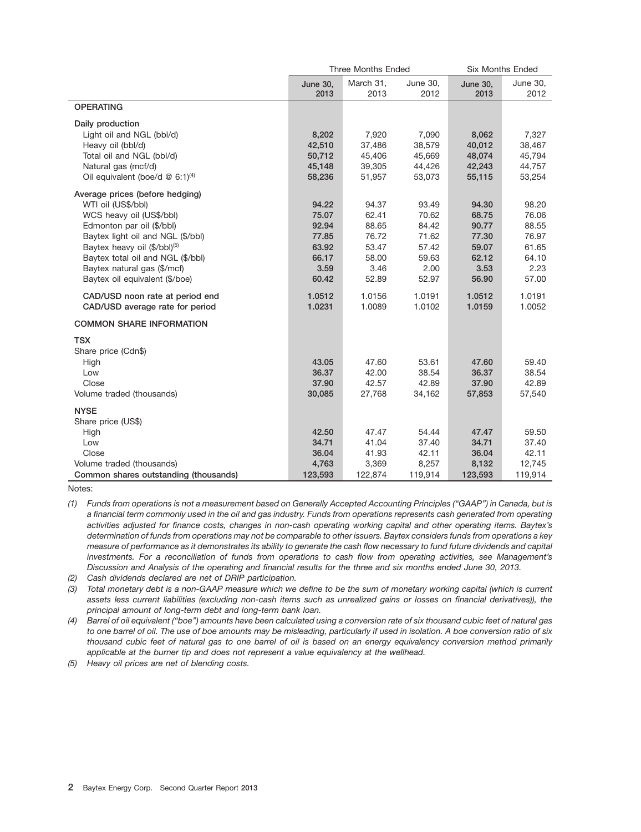|                                                                                                                                                                                                                                                                                                       | Three Months Ended                                                  |                                                                     | Six Months Ended                                                    |                                                                     |                                                                     |
|-------------------------------------------------------------------------------------------------------------------------------------------------------------------------------------------------------------------------------------------------------------------------------------------------------|---------------------------------------------------------------------|---------------------------------------------------------------------|---------------------------------------------------------------------|---------------------------------------------------------------------|---------------------------------------------------------------------|
|                                                                                                                                                                                                                                                                                                       | <b>June 30,</b><br>2013                                             | March 31,<br>2013                                                   | <b>June 30,</b><br>2012                                             | <b>June 30,</b><br>2013                                             | <b>June 30,</b><br>2012                                             |
| <b>OPERATING</b>                                                                                                                                                                                                                                                                                      |                                                                     |                                                                     |                                                                     |                                                                     |                                                                     |
| Daily production<br>Light oil and NGL (bbl/d)<br>Heavy oil (bbl/d)<br>Total oil and NGL (bbl/d)                                                                                                                                                                                                       | 8,202<br>42,510<br>50,712                                           | 7,920<br>37,486<br>45,406                                           | 7,090<br>38,579<br>45,669                                           | 8,062<br>40,012<br>48,074                                           | 7,327<br>38,467<br>45,794                                           |
| Natural gas (mcf/d)<br>Oil equivalent (boe/d $@$ 6:1) <sup>(4)</sup>                                                                                                                                                                                                                                  | 45,148<br>58,236                                                    | 39,305<br>51,957                                                    | 44,426<br>53,073                                                    | 42,243<br>55,115                                                    | 44,757<br>53,254                                                    |
| Average prices (before hedging)<br>WTI oil (US\$/bbl)<br>WCS heavy oil (US\$/bbl)<br>Edmonton par oil (\$/bbl)<br>Baytex light oil and NGL (\$/bbl)<br>Baytex heavy oil (\$/bbl) <sup>(5)</sup><br>Baytex total oil and NGL (\$/bbl)<br>Baytex natural gas (\$/mcf)<br>Baytex oil equivalent (\$/boe) | 94.22<br>75.07<br>92.94<br>77.85<br>63.92<br>66.17<br>3.59<br>60.42 | 94.37<br>62.41<br>88.65<br>76.72<br>53.47<br>58.00<br>3.46<br>52.89 | 93.49<br>70.62<br>84.42<br>71.62<br>57.42<br>59.63<br>2.00<br>52.97 | 94.30<br>68.75<br>90.77<br>77.30<br>59.07<br>62.12<br>3.53<br>56.90 | 98.20<br>76.06<br>88.55<br>76.97<br>61.65<br>64.10<br>2.23<br>57.00 |
| CAD/USD noon rate at period end<br>CAD/USD average rate for period                                                                                                                                                                                                                                    | 1.0512<br>1.0231                                                    | 1.0156<br>1.0089                                                    | 1.0191<br>1.0102                                                    | 1.0512<br>1.0159                                                    | 1.0191<br>1.0052                                                    |
| <b>COMMON SHARE INFORMATION</b>                                                                                                                                                                                                                                                                       |                                                                     |                                                                     |                                                                     |                                                                     |                                                                     |
| <b>TSX</b><br>Share price (Cdn\$)                                                                                                                                                                                                                                                                     |                                                                     |                                                                     |                                                                     |                                                                     |                                                                     |
| High<br>Low<br>Close<br>Volume traded (thousands)                                                                                                                                                                                                                                                     | 43.05<br>36.37<br>37.90<br>30,085                                   | 47.60<br>42.00<br>42.57<br>27,768                                   | 53.61<br>38.54<br>42.89<br>34,162                                   | 47.60<br>36.37<br>37.90<br>57,853                                   | 59.40<br>38.54<br>42.89<br>57,540                                   |
| <b>NYSE</b><br>Share price (US\$)                                                                                                                                                                                                                                                                     |                                                                     |                                                                     |                                                                     |                                                                     |                                                                     |
| High<br>Low<br>Close                                                                                                                                                                                                                                                                                  | 42.50<br>34.71<br>36.04                                             | 47.47<br>41.04<br>41.93                                             | 54.44<br>37.40<br>42.11                                             | 47.47<br>34.71<br>36.04                                             | 59.50<br>37.40<br>42.11                                             |
| Volume traded (thousands)<br>Common shares outstanding (thousands)                                                                                                                                                                                                                                    | 4,763<br>123,593                                                    | 3,369<br>122,874                                                    | 8,257<br>119,914                                                    | 8,132<br>123,593                                                    | 12,745<br>119,914                                                   |

Notes:

*(1) Funds from operations is not a measurement based on Generally Accepted Accounting Principles (''GAAP'') in Canada, but is a financial term commonly used in the oil and gas industry. Funds from operations represents cash generated from operating activities adjusted for finance costs, changes in non-cash operating working capital and other operating items. Baytex's determination of funds from operations may not be comparable to other issuers. Baytex considers funds from operations a key measure of performance as it demonstrates its ability to generate the cash flow necessary to fund future dividends and capital investments. For a reconciliation of funds from operations to cash flow from operating activities, see Management's Discussion and Analysis of the operating and financial results for the three and six months ended June 30, 2013.*

*(2) Cash dividends declared are net of DRIP participation.*

*(3) Total monetary debt is a non-GAAP measure which we define to be the sum of monetary working capital (which is current assets less current liabilities (excluding non-cash items such as unrealized gains or losses on financial derivatives)), the principal amount of long-term debt and long-term bank loan.*

*(4) Barrel of oil equivalent (''boe'') amounts have been calculated using a conversion rate of six thousand cubic feet of natural gas to one barrel of oil. The use of boe amounts may be misleading, particularly if used in isolation. A boe conversion ratio of six thousand cubic feet of natural gas to one barrel of oil is based on an energy equivalency conversion method primarily applicable at the burner tip and does not represent a value equivalency at the wellhead.*

*(5) Heavy oil prices are net of blending costs.*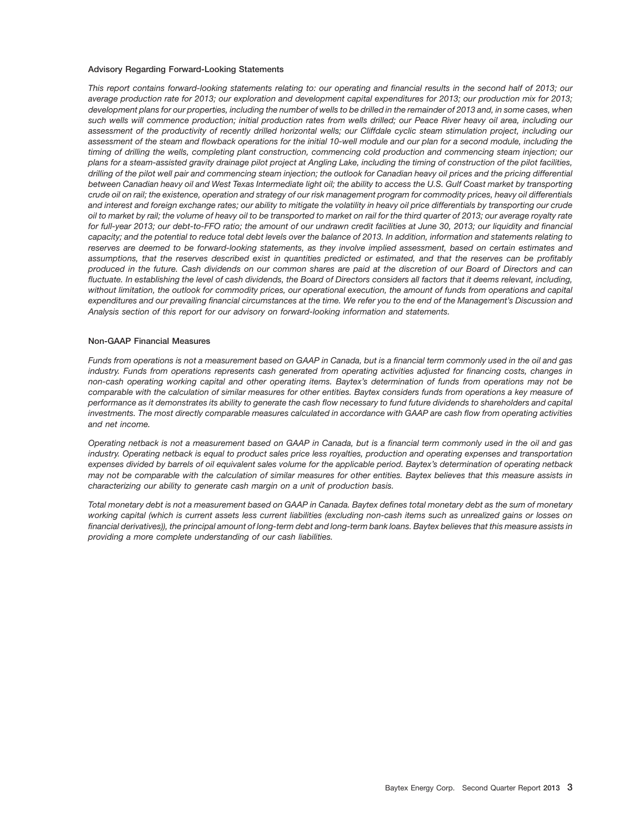#### **Advisory Regarding Forward-Looking Statements**

*This report contains forward-looking statements relating to: our operating and financial results in the second half of 2013; our average production rate for 2013; our exploration and development capital expenditures for 2013; our production mix for 2013; development plans for our properties, including the number of wells to be drilled in the remainder of 2013 and, in some cases, when such wells will commence production; initial production rates from wells drilled; our Peace River heavy oil area, including our assessment of the productivity of recently drilled horizontal wells; our Cliffdale cyclic steam stimulation project, including our assessment of the steam and flowback operations for the initial 10-well module and our plan for a second module, including the timing of drilling the wells, completing plant construction, commencing cold production and commencing steam injection; our plans for a steam-assisted gravity drainage pilot project at Angling Lake, including the timing of construction of the pilot facilities, drilling of the pilot well pair and commencing steam injection; the outlook for Canadian heavy oil prices and the pricing differential between Canadian heavy oil and West Texas Intermediate light oil; the ability to access the U.S. Gulf Coast market by transporting crude oil on rail; the existence, operation and strategy of our risk management program for commodity prices, heavy oil differentials and interest and foreign exchange rates; our ability to mitigate the volatility in heavy oil price differentials by transporting our crude oil to market by rail; the volume of heavy oil to be transported to market on rail for the third quarter of 2013; our average royalty rate for full-year 2013; our debt-to-FFO ratio; the amount of our undrawn credit facilities at June 30, 2013; our liquidity and financial capacity; and the potential to reduce total debt levels over the balance of 2013. In addition, information and statements relating to reserves are deemed to be forward-looking statements, as they involve implied assessment, based on certain estimates and assumptions, that the reserves described exist in quantities predicted or estimated, and that the reserves can be profitably produced in the future. Cash dividends on our common shares are paid at the discretion of our Board of Directors and can fluctuate. In establishing the level of cash dividends, the Board of Directors considers all factors that it deems relevant, including, without limitation, the outlook for commodity prices, our operational execution, the amount of funds from operations and capital expenditures and our prevailing financial circumstances at the time. We refer you to the end of the Management's Discussion and Analysis section of this report for our advisory on forward-looking information and statements.*

### **Non-GAAP Financial Measures**

*Funds from operations is not a measurement based on GAAP in Canada, but is a financial term commonly used in the oil and gas industry. Funds from operations represents cash generated from operating activities adjusted for financing costs, changes in non-cash operating working capital and other operating items. Baytex's determination of funds from operations may not be comparable with the calculation of similar measures for other entities. Baytex considers funds from operations a key measure of performance as it demonstrates its ability to generate the cash flow necessary to fund future dividends to shareholders and capital investments. The most directly comparable measures calculated in accordance with GAAP are cash flow from operating activities and net income.*

*Operating netback is not a measurement based on GAAP in Canada, but is a financial term commonly used in the oil and gas industry. Operating netback is equal to product sales price less royalties, production and operating expenses and transportation expenses divided by barrels of oil equivalent sales volume for the applicable period. Baytex's determination of operating netback may not be comparable with the calculation of similar measures for other entities. Baytex believes that this measure assists in characterizing our ability to generate cash margin on a unit of production basis.*

*Total monetary debt is not a measurement based on GAAP in Canada. Baytex defines total monetary debt as the sum of monetary working capital (which is current assets less current liabilities (excluding non-cash items such as unrealized gains or losses on financial derivatives)), the principal amount of long-term debt and long-term bank loans. Baytex believes that this measure assists in providing a more complete understanding of our cash liabilities.*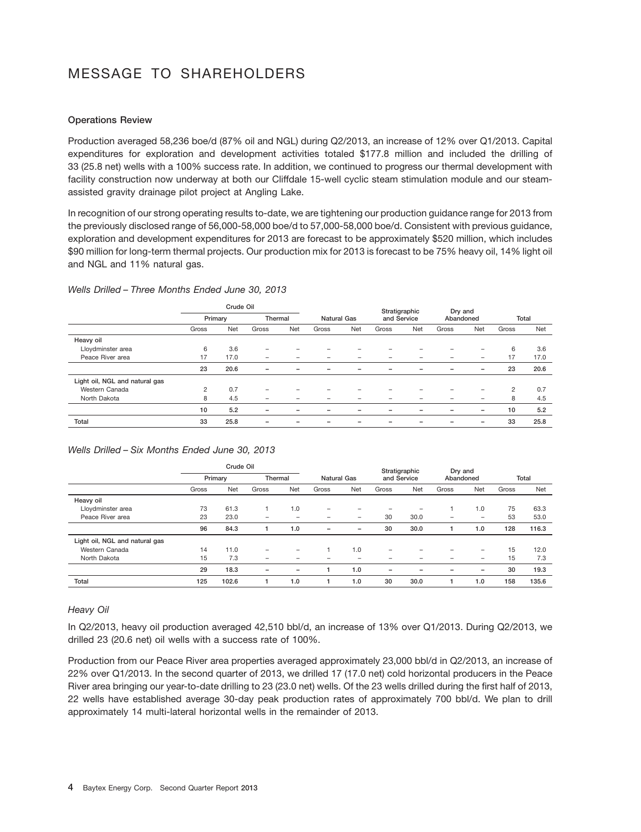# MESSAGE TO SHAREHOLDERS

### **Operations Review**

Production averaged 58,236 boe/d (87% oil and NGL) during Q2/2013, an increase of 12% over Q1/2013. Capital expenditures for exploration and development activities totaled \$177.8 million and included the drilling of 33 (25.8 net) wells with a 100% success rate. In addition, we continued to progress our thermal development with facility construction now underway at both our Cliffdale 15-well cyclic steam stimulation module and our steamassisted gravity drainage pilot project at Angling Lake.

In recognition of our strong operating results to-date, we are tightening our production guidance range for 2013 from the previously disclosed range of 56,000-58,000 boe/d to 57,000-58,000 boe/d. Consistent with previous guidance, exploration and development expenditures for 2013 are forecast to be approximately \$520 million, which includes \$90 million for long-term thermal projects. Our production mix for 2013 is forecast to be 75% heavy oil, 14% light oil and NGL and 11% natural gas.

|                                |                | Crude Oil |                          |                          |                          |                          | Stratigraphic            |                          | Dry and                  |                              |                |      |
|--------------------------------|----------------|-----------|--------------------------|--------------------------|--------------------------|--------------------------|--------------------------|--------------------------|--------------------------|------------------------------|----------------|------|
|                                | Primary        |           | Thermal                  |                          | <b>Natural Gas</b>       |                          | and Service              |                          | Abandoned                |                              | Total          |      |
|                                | Gross          | Net       | Gross                    | Net                      | Gross                    | Net                      | Gross                    | Net                      | Gross                    | Net                          | Gross          | Net  |
| Heavy oil                      |                |           |                          |                          |                          |                          |                          |                          |                          |                              |                |      |
| Lloydminster area              | 6              | 3.6       | -                        |                          |                          |                          |                          |                          |                          | -                            | 6              | 3.6  |
| Peace River area               | 17             | 17.0      | -                        | -                        |                          |                          |                          | -                        |                          | $\qquad \qquad -$            | 17             | 17.0 |
|                                | 23             | 20.6      | $\overline{\phantom{0}}$ | $\overline{\phantom{0}}$ | $\overline{\phantom{0}}$ | $\overline{\phantom{0}}$ | $\overline{\phantom{0}}$ | $\overline{\phantom{0}}$ | $\overline{\phantom{0}}$ | $\qquad \qquad \blacksquare$ | 23             | 20.6 |
| Light oil, NGL and natural gas |                |           |                          |                          |                          |                          |                          |                          |                          |                              |                |      |
| Western Canada                 | $\overline{2}$ | 0.7       | -                        |                          |                          |                          |                          |                          |                          | -                            | $\overline{2}$ | 0.7  |
| North Dakota                   | 8              | 4.5       | -                        |                          |                          |                          |                          |                          |                          | -                            | 8              | 4.5  |
|                                | 10             | 5.2       | $\overline{\phantom{0}}$ | $\overline{\phantom{0}}$ | $\overline{\phantom{0}}$ | $\overline{\phantom{0}}$ | -                        | $\overline{\phantom{0}}$ |                          | -                            | 10             | 5.2  |
| Total                          | 33             | 25.8      |                          |                          |                          |                          |                          | $\overline{\phantom{0}}$ | $\overline{\phantom{0}}$ | $\qquad \qquad$              | 33             | 25.8 |

### *Wells Drilled – Three Months Ended June 30, 2013*

### *Wells Drilled – Six Months Ended June 30, 2013*

|                                |       | Crude Oil |                          |                              |                                   |                          |                          | Stratigraphic            | Dry and |                          |       |       |
|--------------------------------|-------|-----------|--------------------------|------------------------------|-----------------------------------|--------------------------|--------------------------|--------------------------|---------|--------------------------|-------|-------|
|                                |       | Primary   | Thermal                  |                              | <b>Natural Gas</b><br>and Service |                          | Abandoned                |                          | Total   |                          |       |       |
|                                | Gross | Net       | Gross                    | Net                          | Gross                             | Net                      | Gross                    | Net                      | Gross   | Net                      | Gross | Net   |
| Heavy oil                      |       |           |                          |                              |                                   |                          |                          |                          |         |                          |       |       |
| Lloydminster area              | 73    | 61.3      |                          | 1.0                          | $\qquad \qquad$                   | -                        | $\overline{\phantom{0}}$ | $\qquad \qquad$          |         | 1.0                      | 75    | 63.3  |
| Peace River area               | 23    | 23.0      | -                        | $\overline{\phantom{0}}$     |                                   | $\overline{\phantom{0}}$ | 30                       | 30.0                     | -       | $\overline{\phantom{0}}$ | 53    | 53.0  |
|                                | 96    | 84.3      |                          | 1.0                          | $\qquad \qquad -$                 | $\qquad \qquad -$        | 30                       | 30.0                     |         | 1.0                      | 128   | 116.3 |
| Light oil, NGL and natural gas |       |           |                          |                              |                                   |                          |                          |                          |         |                          |       |       |
| Western Canada                 | 14    | 11.0      | $\qquad \qquad$          | $\qquad \qquad$              |                                   | 1.0                      | $\qquad \qquad -$        |                          |         | -                        | 15    | 12.0  |
| North Dakota                   | 15    | 7.3       | $\qquad \qquad$          | -                            |                                   |                          |                          |                          |         | -                        | 15    | 7.3   |
|                                | 29    | 18.3      | $\overline{\phantom{a}}$ | $\qquad \qquad \blacksquare$ |                                   | 1.0                      | $\overline{\phantom{0}}$ | $\overline{\phantom{0}}$ |         | -                        | 30    | 19.3  |
| <b>Total</b>                   | 125   | 102.6     |                          | 1.0                          |                                   | 1.0                      | 30                       | 30.0                     |         | 1.0                      | 158   | 135.6 |

### *Heavy Oil*

In Q2/2013, heavy oil production averaged 42,510 bbl/d, an increase of 13% over Q1/2013. During Q2/2013, we drilled 23 (20.6 net) oil wells with a success rate of 100%.

Production from our Peace River area properties averaged approximately 23,000 bbl/d in Q2/2013, an increase of 22% over Q1/2013. In the second quarter of 2013, we drilled 17 (17.0 net) cold horizontal producers in the Peace River area bringing our year-to-date drilling to 23 (23.0 net) wells. Of the 23 wells drilled during the first half of 2013, 22 wells have established average 30-day peak production rates of approximately 700 bbl/d. We plan to drill approximately 14 multi-lateral horizontal wells in the remainder of 2013.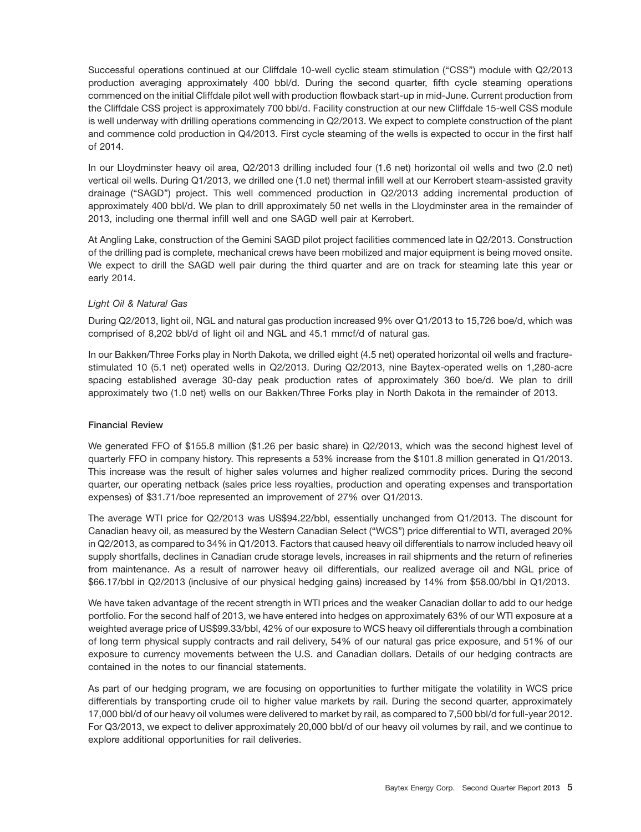Successful operations continued at our Cliffdale 10-well cyclic steam stimulation (''CSS'') module with Q2/2013 production averaging approximately 400 bbl/d. During the second quarter, fifth cycle steaming operations commenced on the initial Cliffdale pilot well with production flowback start-up in mid-June. Current production from the Cliffdale CSS project is approximately 700 bbl/d. Facility construction at our new Cliffdale 15-well CSS module is well underway with drilling operations commencing in Q2/2013. We expect to complete construction of the plant and commence cold production in Q4/2013. First cycle steaming of the wells is expected to occur in the first half of 2014.

In our Lloydminster heavy oil area, Q2/2013 drilling included four (1.6 net) horizontal oil wells and two (2.0 net) vertical oil wells. During Q1/2013, we drilled one (1.0 net) thermal infill well at our Kerrobert steam-assisted gravity drainage (''SAGD'') project. This well commenced production in Q2/2013 adding incremental production of approximately 400 bbl/d. We plan to drill approximately 50 net wells in the Lloydminster area in the remainder of 2013, including one thermal infill well and one SAGD well pair at Kerrobert.

At Angling Lake, construction of the Gemini SAGD pilot project facilities commenced late in Q2/2013. Construction of the drilling pad is complete, mechanical crews have been mobilized and major equipment is being moved onsite. We expect to drill the SAGD well pair during the third quarter and are on track for steaming late this year or early 2014.

### *Light Oil & Natural Gas*

During Q2/2013, light oil, NGL and natural gas production increased 9% over Q1/2013 to 15,726 boe/d, which was comprised of 8,202 bbl/d of light oil and NGL and 45.1 mmcf/d of natural gas.

In our Bakken/Three Forks play in North Dakota, we drilled eight (4.5 net) operated horizontal oil wells and fracturestimulated 10 (5.1 net) operated wells in Q2/2013. During Q2/2013, nine Baytex-operated wells on 1,280-acre spacing established average 30-day peak production rates of approximately 360 boe/d. We plan to drill approximately two (1.0 net) wells on our Bakken/Three Forks play in North Dakota in the remainder of 2013.

### **Financial Review**

We generated FFO of \$155.8 million (\$1.26 per basic share) in Q2/2013, which was the second highest level of quarterly FFO in company history. This represents a 53% increase from the \$101.8 million generated in Q1/2013. This increase was the result of higher sales volumes and higher realized commodity prices. During the second quarter, our operating netback (sales price less royalties, production and operating expenses and transportation expenses) of \$31.71/boe represented an improvement of 27% over Q1/2013.

The average WTI price for Q2/2013 was US\$94.22/bbl, essentially unchanged from Q1/2013. The discount for Canadian heavy oil, as measured by the Western Canadian Select (''WCS'') price differential to WTI, averaged 20% in Q2/2013, as compared to 34% in Q1/2013. Factors that caused heavy oil differentials to narrow included heavy oil supply shortfalls, declines in Canadian crude storage levels, increases in rail shipments and the return of refineries from maintenance. As a result of narrower heavy oil differentials, our realized average oil and NGL price of \$66.17/bbl in Q2/2013 (inclusive of our physical hedging gains) increased by 14% from \$58.00/bbl in Q1/2013.

We have taken advantage of the recent strength in WTI prices and the weaker Canadian dollar to add to our hedge portfolio. For the second half of 2013, we have entered into hedges on approximately 63% of our WTI exposure at a weighted average price of US\$99.33/bbl, 42% of our exposure to WCS heavy oil differentials through a combination of long term physical supply contracts and rail delivery, 54% of our natural gas price exposure, and 51% of our exposure to currency movements between the U.S. and Canadian dollars. Details of our hedging contracts are contained in the notes to our financial statements.

As part of our hedging program, we are focusing on opportunities to further mitigate the volatility in WCS price differentials by transporting crude oil to higher value markets by rail. During the second quarter, approximately 17,000 bbl/d of our heavy oil volumes were delivered to market by rail, as compared to 7,500 bbl/d for full-year 2012. For Q3/2013, we expect to deliver approximately 20,000 bbl/d of our heavy oil volumes by rail, and we continue to explore additional opportunities for rail deliveries.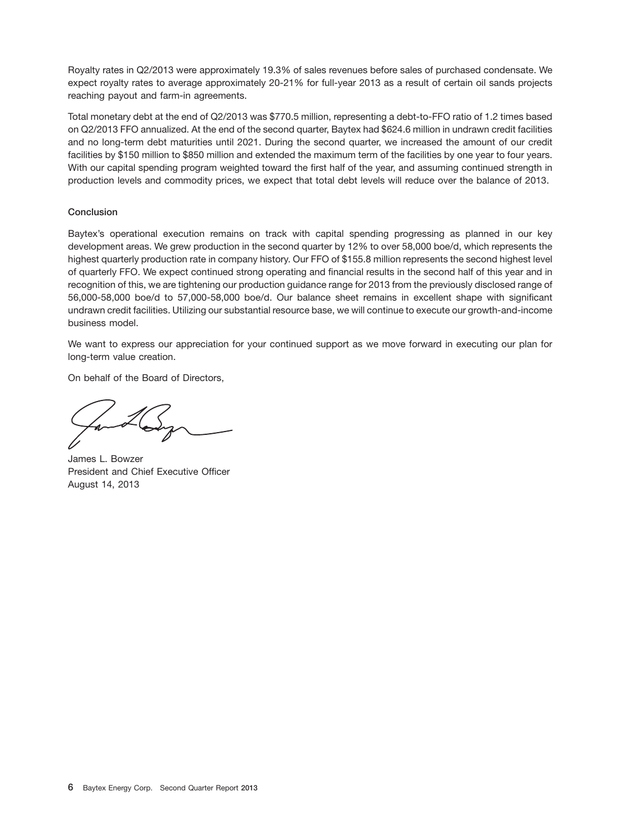Royalty rates in Q2/2013 were approximately 19.3% of sales revenues before sales of purchased condensate. We expect royalty rates to average approximately 20-21% for full-year 2013 as a result of certain oil sands projects reaching payout and farm-in agreements.

Total monetary debt at the end of Q2/2013 was \$770.5 million, representing a debt-to-FFO ratio of 1.2 times based on Q2/2013 FFO annualized. At the end of the second quarter, Baytex had \$624.6 million in undrawn credit facilities and no long-term debt maturities until 2021. During the second quarter, we increased the amount of our credit facilities by \$150 million to \$850 million and extended the maximum term of the facilities by one year to four years. With our capital spending program weighted toward the first half of the year, and assuming continued strength in production levels and commodity prices, we expect that total debt levels will reduce over the balance of 2013.

### **Conclusion**

Baytex's operational execution remains on track with capital spending progressing as planned in our key development areas. We grew production in the second quarter by 12% to over 58,000 boe/d, which represents the highest quarterly production rate in company history. Our FFO of \$155.8 million represents the second highest level of quarterly FFO. We expect continued strong operating and financial results in the second half of this year and in recognition of this, we are tightening our production guidance range for 2013 from the previously disclosed range of 56,000-58,000 boe/d to 57,000-58,000 boe/d. Our balance sheet remains in excellent shape with significant undrawn credit facilities. Utilizing our substantial resource base, we will continue to execute our growth-and-income business model.

We want to express our appreciation for your continued support as we move forward in executing our plan for long-term value creation.

On behalf of the Board of Directors,

James L. Bowzer President and Chief Executive Officer August 14, 2013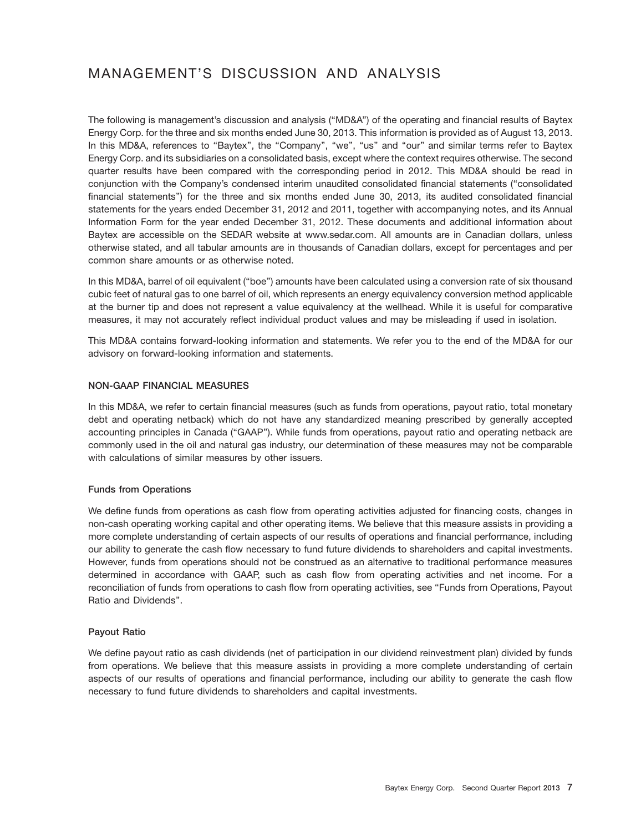# MANAGEMENT'S DISCUSSION AND ANALYSIS

The following is management's discussion and analysis (''MD&A'') of the operating and financial results of Baytex Energy Corp. for the three and six months ended June 30, 2013. This information is provided as of August 13, 2013. In this MD&A, references to "Baytex", the "Company", "we", "us" and "our" and similar terms refer to Baytex Energy Corp. and its subsidiaries on a consolidated basis, except where the context requires otherwise. The second quarter results have been compared with the corresponding period in 2012. This MD&A should be read in conjunction with the Company's condensed interim unaudited consolidated financial statements (''consolidated financial statements'') for the three and six months ended June 30, 2013, its audited consolidated financial statements for the years ended December 31, 2012 and 2011, together with accompanying notes, and its Annual Information Form for the year ended December 31, 2012. These documents and additional information about Baytex are accessible on the SEDAR website at www.sedar.com. All amounts are in Canadian dollars, unless otherwise stated, and all tabular amounts are in thousands of Canadian dollars, except for percentages and per common share amounts or as otherwise noted.

In this MD&A, barrel of oil equivalent (''boe'') amounts have been calculated using a conversion rate of six thousand cubic feet of natural gas to one barrel of oil, which represents an energy equivalency conversion method applicable at the burner tip and does not represent a value equivalency at the wellhead. While it is useful for comparative measures, it may not accurately reflect individual product values and may be misleading if used in isolation.

This MD&A contains forward-looking information and statements. We refer you to the end of the MD&A for our advisory on forward-looking information and statements.

### **NON-GAAP FINANCIAL MEASURES**

In this MD&A, we refer to certain financial measures (such as funds from operations, payout ratio, total monetary debt and operating netback) which do not have any standardized meaning prescribed by generally accepted accounting principles in Canada (''GAAP''). While funds from operations, payout ratio and operating netback are commonly used in the oil and natural gas industry, our determination of these measures may not be comparable with calculations of similar measures by other issuers.

### **Funds from Operations**

We define funds from operations as cash flow from operating activities adjusted for financing costs, changes in non-cash operating working capital and other operating items. We believe that this measure assists in providing a more complete understanding of certain aspects of our results of operations and financial performance, including our ability to generate the cash flow necessary to fund future dividends to shareholders and capital investments. However, funds from operations should not be construed as an alternative to traditional performance measures determined in accordance with GAAP, such as cash flow from operating activities and net income. For a reconciliation of funds from operations to cash flow from operating activities, see ''Funds from Operations, Payout Ratio and Dividends''.

### **Payout Ratio**

We define payout ratio as cash dividends (net of participation in our dividend reinvestment plan) divided by funds from operations. We believe that this measure assists in providing a more complete understanding of certain aspects of our results of operations and financial performance, including our ability to generate the cash flow necessary to fund future dividends to shareholders and capital investments.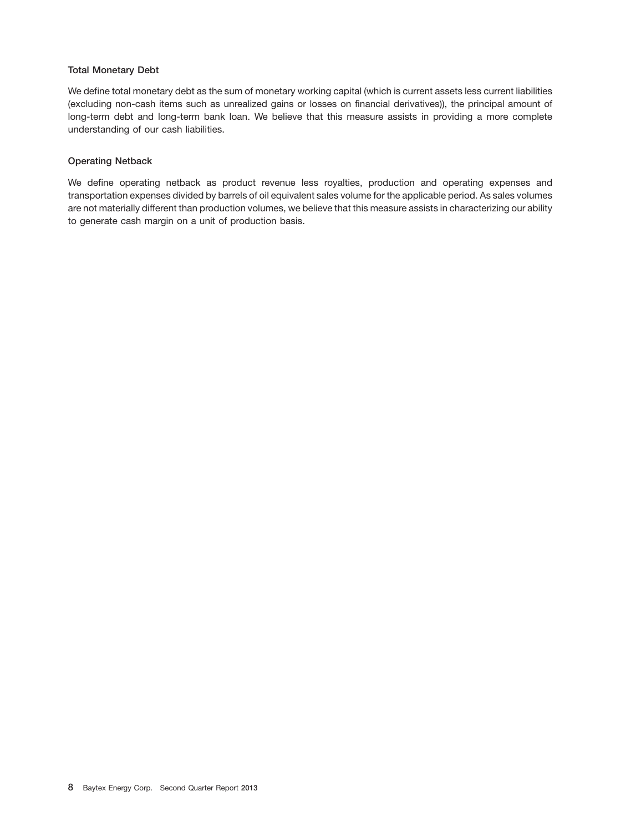### **Total Monetary Debt**

We define total monetary debt as the sum of monetary working capital (which is current assets less current liabilities (excluding non-cash items such as unrealized gains or losses on financial derivatives)), the principal amount of long-term debt and long-term bank loan. We believe that this measure assists in providing a more complete understanding of our cash liabilities.

### **Operating Netback**

We define operating netback as product revenue less royalties, production and operating expenses and transportation expenses divided by barrels of oil equivalent sales volume for the applicable period. As sales volumes are not materially different than production volumes, we believe that this measure assists in characterizing our ability to generate cash margin on a unit of production basis.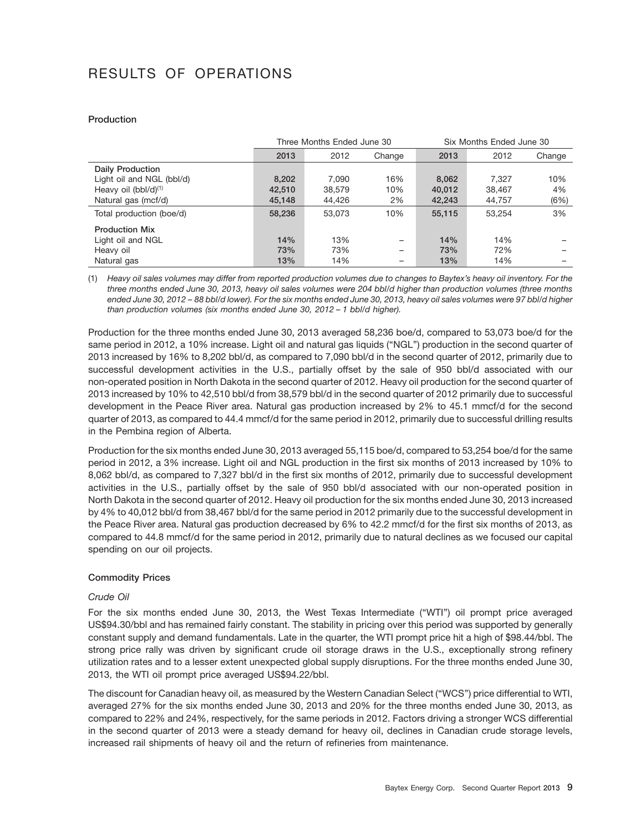# RESULTS OF OPERATIONS

### **Production**

|                           |        | Three Months Ended June 30 |        | Six Months Ended June 30 |        |        |  |  |
|---------------------------|--------|----------------------------|--------|--------------------------|--------|--------|--|--|
|                           | 2013   | 2012                       | Change | 2013                     | 2012   | Change |  |  |
| Daily Production          |        |                            |        |                          |        |        |  |  |
| Light oil and NGL (bbl/d) | 8,202  | 7.090                      | 16%    | 8.062                    | 7.327  | 10%    |  |  |
| Heavy oil $(bbI/d)^{(1)}$ | 42,510 | 38,579                     | 10%    | 40,012                   | 38,467 | 4%     |  |  |
| Natural gas (mcf/d)       | 45,148 | 44,426                     | 2%     | 42,243                   | 44,757 | (6%)   |  |  |
| Total production (boe/d)  | 58,236 | 53.073                     | 10%    | 55.115                   | 53.254 | 3%     |  |  |
| <b>Production Mix</b>     |        |                            |        |                          |        |        |  |  |
| Light oil and NGL         | 14%    | 13%                        | -      | 14%                      | 14%    |        |  |  |
| Heavy oil                 | 73%    | 73%                        | -      | 73%                      | 72%    |        |  |  |
| Natural gas               | 13%    | 14%                        | -      | 13%                      | 14%    |        |  |  |

(1) *Heavy oil sales volumes may differ from reported production volumes due to changes to Baytex's heavy oil inventory. For the three months ended June 30, 2013, heavy oil sales volumes were 204 bbl/d higher than production volumes (three months ended June 30, 2012 – 88 bbl/d lower). For the six months ended June 30, 2013, heavy oil sales volumes were 97 bbl/d higher than production volumes (six months ended June 30, 2012 – 1 bbl/d higher).*

Production for the three months ended June 30, 2013 averaged 58,236 boe/d, compared to 53,073 boe/d for the same period in 2012, a 10% increase. Light oil and natural gas liquids ("NGL") production in the second quarter of 2013 increased by 16% to 8,202 bbl/d, as compared to 7,090 bbl/d in the second quarter of 2012, primarily due to successful development activities in the U.S., partially offset by the sale of 950 bbl/d associated with our non-operated position in North Dakota in the second quarter of 2012. Heavy oil production for the second quarter of 2013 increased by 10% to 42,510 bbl/d from 38,579 bbl/d in the second quarter of 2012 primarily due to successful development in the Peace River area. Natural gas production increased by 2% to 45.1 mmcf/d for the second quarter of 2013, as compared to 44.4 mmcf/d for the same period in 2012, primarily due to successful drilling results in the Pembina region of Alberta.

Production for the six months ended June 30, 2013 averaged 55,115 boe/d, compared to 53,254 boe/d for the same period in 2012, a 3% increase. Light oil and NGL production in the first six months of 2013 increased by 10% to 8,062 bbl/d, as compared to 7,327 bbl/d in the first six months of 2012, primarily due to successful development activities in the U.S., partially offset by the sale of 950 bbl/d associated with our non-operated position in North Dakota in the second quarter of 2012. Heavy oil production for the six months ended June 30, 2013 increased by 4% to 40,012 bbl/d from 38,467 bbl/d for the same period in 2012 primarily due to the successful development in the Peace River area. Natural gas production decreased by 6% to 42.2 mmcf/d for the first six months of 2013, as compared to 44.8 mmcf/d for the same period in 2012, primarily due to natural declines as we focused our capital spending on our oil projects.

### **Commodity Prices**

### *Crude Oil*

For the six months ended June 30, 2013, the West Texas Intermediate (''WTI'') oil prompt price averaged US\$94.30/bbl and has remained fairly constant. The stability in pricing over this period was supported by generally constant supply and demand fundamentals. Late in the quarter, the WTI prompt price hit a high of \$98.44/bbl. The strong price rally was driven by significant crude oil storage draws in the U.S., exceptionally strong refinery utilization rates and to a lesser extent unexpected global supply disruptions. For the three months ended June 30, 2013, the WTI oil prompt price averaged US\$94.22/bbl.

The discount for Canadian heavy oil, as measured by the Western Canadian Select (''WCS'') price differential to WTI, averaged 27% for the six months ended June 30, 2013 and 20% for the three months ended June 30, 2013, as compared to 22% and 24%, respectively, for the same periods in 2012. Factors driving a stronger WCS differential in the second quarter of 2013 were a steady demand for heavy oil, declines in Canadian crude storage levels, increased rail shipments of heavy oil and the return of refineries from maintenance.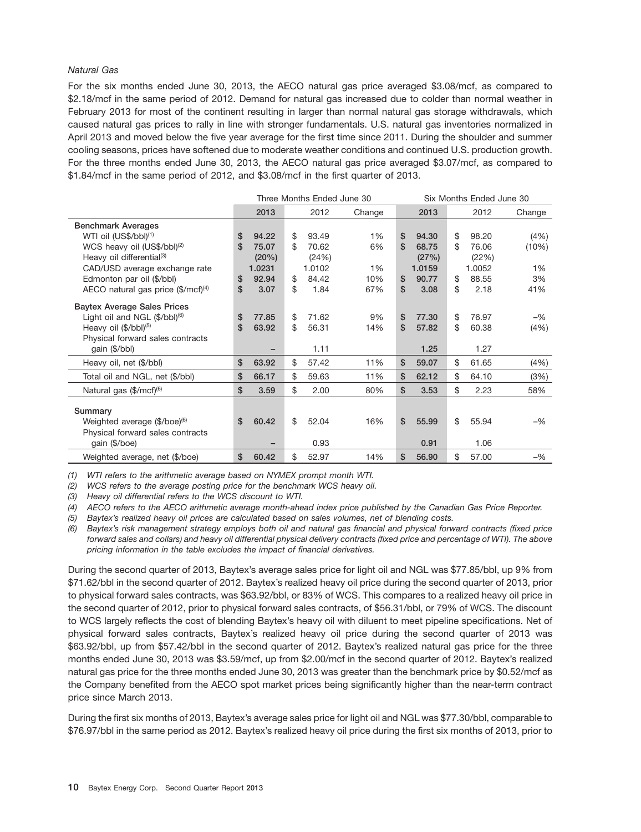### *Natural Gas*

For the six months ended June 30, 2013, the AECO natural gas price averaged \$3.08/mcf, as compared to \$2.18/mcf in the same period of 2012. Demand for natural gas increased due to colder than normal weather in February 2013 for most of the continent resulting in larger than normal natural gas storage withdrawals, which caused natural gas prices to rally in line with stronger fundamentals. U.S. natural gas inventories normalized in April 2013 and moved below the five year average for the first time since 2011. During the shoulder and summer cooling seasons, prices have softened due to moderate weather conditions and continued U.S. production growth. For the three months ended June 30, 2013, the AECO natural gas price averaged \$3.07/mcf, as compared to \$1.84/mcf in the same period of 2012, and \$3.08/mcf in the first quarter of 2013.

|                                                | Three Months Ended June 30<br>Six Months Ended June 30 |        |    |        |        |    |        |             |        |
|------------------------------------------------|--------------------------------------------------------|--------|----|--------|--------|----|--------|-------------|--------|
|                                                |                                                        | 2013   |    | 2012   | Change |    | 2013   | 2012        | Change |
| <b>Benchmark Averages</b>                      |                                                        |        |    |        |        |    |        |             |        |
| WTI oil (US\$/bbl) <sup>(1)</sup>              | \$                                                     | 94.22  | \$ | 93.49  | 1%     | \$ | 94.30  | \$<br>98.20 | (4% )  |
| WCS heavy oil (US\$/bbl) <sup>(2)</sup>        | \$                                                     | 75.07  | \$ | 70.62  | 6%     | \$ | 68.75  | \$<br>76.06 | (10%)  |
| Heavy oil differential <sup>(3)</sup>          |                                                        | (20%)  |    | (24%)  |        |    | (27%)  | (22%)       |        |
| CAD/USD average exchange rate                  |                                                        | 1.0231 |    | 1.0102 | 1%     |    | 1.0159 | 1.0052      | 1%     |
| Edmonton par oil (\$/bbl)                      | \$                                                     | 92.94  | \$ | 84.42  | 10%    | S  | 90.77  | \$<br>88.55 | 3%     |
| AECO natural gas price $(\frac{5}{mcf})^{(4)}$ | \$                                                     | 3.07   | \$ | 1.84   | 67%    | \$ | 3.08   | \$<br>2.18  | 41%    |
| <b>Baytex Average Sales Prices</b>             |                                                        |        |    |        |        |    |        |             |        |
| Light oil and NGL $(\frac{6}{6})^{(6)}$        | \$                                                     | 77.85  | \$ | 71.62  | 9%     | \$ | 77.30  | \$<br>76.97 | $-$ %  |
| Heavy oil (\$/bbl) <sup>(5)</sup>              | \$                                                     | 63.92  | \$ | 56.31  | 14%    | \$ | 57.82  | \$<br>60.38 | (4% )  |
| Physical forward sales contracts               |                                                        |        |    |        |        |    |        |             |        |
| gain (\$/bbl)                                  |                                                        |        |    | 1.11   |        |    | 1.25   | 1.27        |        |
| Heavy oil, net (\$/bbl)                        | \$                                                     | 63.92  | \$ | 57.42  | 11%    | \$ | 59.07  | \$<br>61.65 | (4%)   |
| Total oil and NGL, net (\$/bbl)                | \$                                                     | 66.17  | \$ | 59.63  | 11%    | \$ | 62.12  | \$<br>64.10 | (3%)   |
| Natural gas $(\frac{5}{mc} \text{f})^{(6)}$    | \$                                                     | 3.59   | \$ | 2.00   | 80%    | \$ | 3.53   | \$<br>2.23  | 58%    |
|                                                |                                                        |        |    |        |        |    |        |             |        |
| Summary                                        | \$                                                     | 60.42  | \$ | 52.04  | 16%    | \$ | 55.99  | \$<br>55.94 | $-$ %  |
| Weighted average (\$/boe) <sup>(6)</sup>       |                                                        |        |    |        |        |    |        |             |        |
| Physical forward sales contracts               |                                                        |        |    | 0.93   |        |    | 0.91   | 1.06        |        |
| gain (\$/boe)                                  |                                                        |        |    |        |        |    |        |             |        |
| Weighted average, net (\$/boe)                 | \$                                                     | 60.42  | \$ | 52.97  | 14%    | \$ | 56.90  | \$<br>57.00 | $-$ %  |

*(1) WTI refers to the arithmetic average based on NYMEX prompt month WTI.*

*(2) WCS refers to the average posting price for the benchmark WCS heavy oil.*

*(3) Heavy oil differential refers to the WCS discount to WTI.*

*(4) AECO refers to the AECO arithmetic average month-ahead index price published by the Canadian Gas Price Reporter.*

*(5) Baytex's realized heavy oil prices are calculated based on sales volumes, net of blending costs.*

*(6) Baytex's risk management strategy employs both oil and natural gas financial and physical forward contracts (fixed price forward sales and collars) and heavy oil differential physical delivery contracts (fixed price and percentage of WTI). The above pricing information in the table excludes the impact of financial derivatives.*

During the second quarter of 2013, Baytex's average sales price for light oil and NGL was \$77.85/bbl, up 9% from \$71.62/bbl in the second quarter of 2012. Baytex's realized heavy oil price during the second quarter of 2013, prior to physical forward sales contracts, was \$63.92/bbl, or 83% of WCS. This compares to a realized heavy oil price in the second quarter of 2012, prior to physical forward sales contracts, of \$56.31/bbl, or 79% of WCS. The discount to WCS largely reflects the cost of blending Baytex's heavy oil with diluent to meet pipeline specifications. Net of physical forward sales contracts, Baytex's realized heavy oil price during the second quarter of 2013 was \$63.92/bbl, up from \$57.42/bbl in the second quarter of 2012. Baytex's realized natural gas price for the three months ended June 30, 2013 was \$3.59/mcf, up from \$2.00/mcf in the second quarter of 2012. Baytex's realized natural gas price for the three months ended June 30, 2013 was greater than the benchmark price by \$0.52/mcf as the Company benefited from the AECO spot market prices being significantly higher than the near-term contract price since March 2013.

During the first six months of 2013, Baytex's average sales price for light oil and NGL was \$77.30/bbl, comparable to \$76.97/bbl in the same period as 2012. Baytex's realized heavy oil price during the first six months of 2013, prior to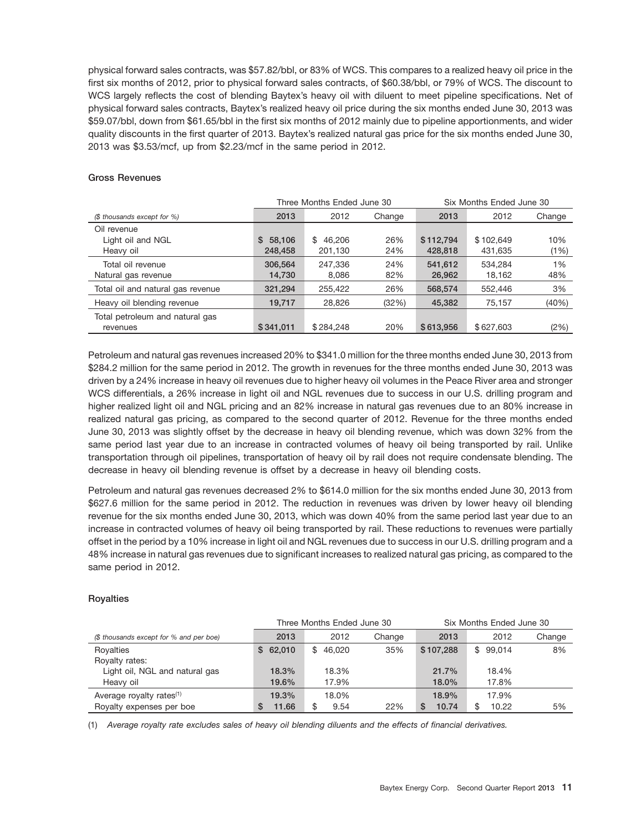physical forward sales contracts, was \$57.82/bbl, or 83% of WCS. This compares to a realized heavy oil price in the first six months of 2012, prior to physical forward sales contracts, of \$60.38/bbl, or 79% of WCS. The discount to WCS largely reflects the cost of blending Baytex's heavy oil with diluent to meet pipeline specifications. Net of physical forward sales contracts, Baytex's realized heavy oil price during the six months ended June 30, 2013 was \$59.07/bbl, down from \$61.65/bbl in the first six months of 2012 mainly due to pipeline apportionments, and wider quality discounts in the first quarter of 2013. Baytex's realized natural gas price for the six months ended June 30, 2013 was \$3.53/mcf, up from \$2.23/mcf in the same period in 2012.

### **Gross Revenues**

|                                   |           | Three Months Ended June 30 | Six Months Ended June 30 |           |           |        |
|-----------------------------------|-----------|----------------------------|--------------------------|-----------|-----------|--------|
| (\$ thousands except for %)       | 2013      | 2012                       | Change                   | 2013      | 2012      | Change |
| Oil revenue                       |           |                            |                          |           |           |        |
| Light oil and NGL                 | \$58.106  | \$46.206                   | 26%                      | \$112,794 | \$102,649 | 10%    |
| Heavy oil                         | 248,458   | 201,130                    | 24%                      | 428,818   | 431,635   | (1%)   |
| Total oil revenue                 | 306,564   | 247.336                    | 24%                      | 541.612   | 534.284   | 1%     |
| Natural gas revenue               | 14,730    | 8,086                      | 82%                      | 26,962    | 18,162    | 48%    |
| Total oil and natural gas revenue | 321,294   | 255,422                    | 26%                      | 568,574   | 552.446   | 3%     |
| Heavy oil blending revenue        | 19,717    | 28,826                     | (32%)                    | 45,382    | 75,157    | (40%)  |
| Total petroleum and natural gas   |           |                            |                          |           |           |        |
| revenues                          | \$341.011 | \$284.248                  | 20%                      | \$613,956 | \$627,603 | (2%)   |

Petroleum and natural gas revenues increased 20% to \$341.0 million for the three months ended June 30, 2013 from \$284.2 million for the same period in 2012. The growth in revenues for the three months ended June 30, 2013 was driven by a 24% increase in heavy oil revenues due to higher heavy oil volumes in the Peace River area and stronger WCS differentials, a 26% increase in light oil and NGL revenues due to success in our U.S. drilling program and higher realized light oil and NGL pricing and an 82% increase in natural gas revenues due to an 80% increase in realized natural gas pricing, as compared to the second quarter of 2012. Revenue for the three months ended June 30, 2013 was slightly offset by the decrease in heavy oil blending revenue, which was down 32% from the same period last year due to an increase in contracted volumes of heavy oil being transported by rail. Unlike transportation through oil pipelines, transportation of heavy oil by rail does not require condensate blending. The decrease in heavy oil blending revenue is offset by a decrease in heavy oil blending costs.

Petroleum and natural gas revenues decreased 2% to \$614.0 million for the six months ended June 30, 2013 from \$627.6 million for the same period in 2012. The reduction in revenues was driven by lower heavy oil blending revenue for the six months ended June 30, 2013, which was down 40% from the same period last year due to an increase in contracted volumes of heavy oil being transported by rail. These reductions to revenues were partially offset in the period by a 10% increase in light oil and NGL revenues due to success in our U.S. drilling program and a 48% increase in natural gas revenues due to significant increases to realized natural gas pricing, as compared to the same period in 2012.

### **Royalties**

|                                         |            | Three Months Ended June 30 |        | Six Months Ended June 30 |          |        |  |  |
|-----------------------------------------|------------|----------------------------|--------|--------------------------|----------|--------|--|--|
| (\$ thousands except for % and per boe) | 2013       | 2012                       | Change | 2013                     | 2012     | Change |  |  |
| Royalties                               | \$62,010   | 46.020<br>\$               | 35%    | \$107.288                | \$99.014 | 8%     |  |  |
| Royalty rates:                          |            |                            |        |                          |          |        |  |  |
| Light oil, NGL and natural gas          | 18.3%      | 18.3%                      |        | 21.7%                    | 18.4%    |        |  |  |
| Heavy oil                               | 19.6%      | 17.9%                      |        | 18.0%                    | 17.8%    |        |  |  |
| Average royalty rates <sup>(1)</sup>    | 19.3%      | 18.0%                      |        | 18.9%                    | 17.9%    |        |  |  |
| Royalty expenses per boe                | 11.66<br>S | 9.54                       | 22%    | 10.74                    | 10.22    | 5%     |  |  |

(1) *Average royalty rate excludes sales of heavy oil blending diluents and the effects of financial derivatives.*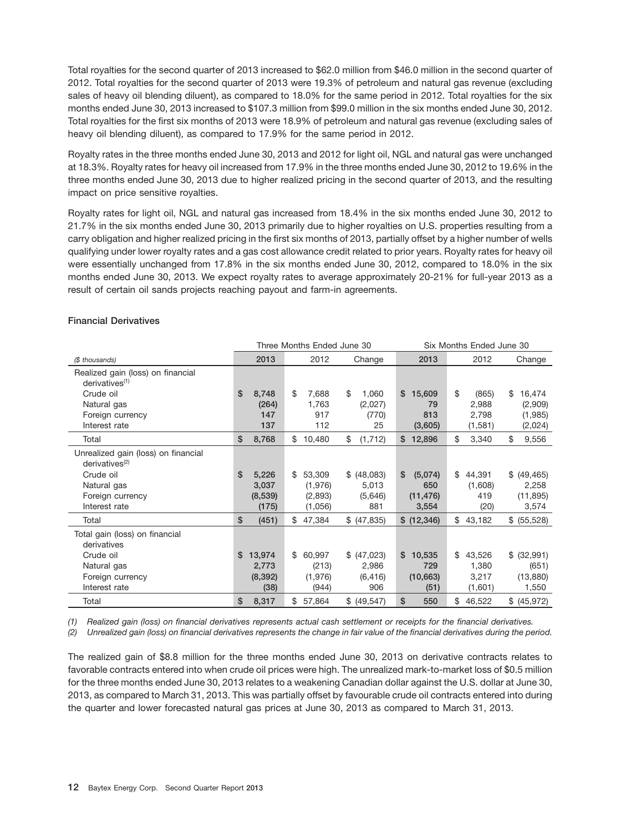Total royalties for the second quarter of 2013 increased to \$62.0 million from \$46.0 million in the second quarter of 2012. Total royalties for the second quarter of 2013 were 19.3% of petroleum and natural gas revenue (excluding sales of heavy oil blending diluent), as compared to 18.0% for the same period in 2012. Total royalties for the six months ended June 30, 2013 increased to \$107.3 million from \$99.0 million in the six months ended June 30, 2012. Total royalties for the first six months of 2013 were 18.9% of petroleum and natural gas revenue (excluding sales of heavy oil blending diluent), as compared to 17.9% for the same period in 2012.

Royalty rates in the three months ended June 30, 2013 and 2012 for light oil, NGL and natural gas were unchanged at 18.3%. Royalty rates for heavy oil increased from 17.9% in the three months ended June 30, 2012 to 19.6% in the three months ended June 30, 2013 due to higher realized pricing in the second quarter of 2013, and the resulting impact on price sensitive royalties.

Royalty rates for light oil, NGL and natural gas increased from 18.4% in the six months ended June 30, 2012 to 21.7% in the six months ended June 30, 2013 primarily due to higher royalties on U.S. properties resulting from a carry obligation and higher realized pricing in the first six months of 2013, partially offset by a higher number of wells qualifying under lower royalty rates and a gas cost allowance credit related to prior years. Royalty rates for heavy oil were essentially unchanged from 17.8% in the six months ended June 30, 2012, compared to 18.0% in the six months ended June 30, 2013. We expect royalty rates to average approximately 20-21% for full-year 2013 as a result of certain oil sands projects reaching payout and farm-in agreements.

|                                                                   |              | Three Months Ended June 30 |                |               |              | Six Months Ended June 30 |  |  |
|-------------------------------------------------------------------|--------------|----------------------------|----------------|---------------|--------------|--------------------------|--|--|
| (\$ thousands)                                                    | 2013         | 2012                       | Change         | 2013          | 2012         | Change                   |  |  |
| Realized gain (loss) on financial<br>derivatives <sup>(1)</sup>   |              |                            |                |               |              |                          |  |  |
| Crude oil                                                         | \$<br>8,748  | \$<br>7,688                | \$<br>1,060    | \$<br>15,609  | \$<br>(865)  | \$<br>16,474             |  |  |
| Natural gas                                                       | (264)        | 1,763                      | (2,027)        | 79            | 2,988        | (2,909)                  |  |  |
| Foreign currency                                                  | 147          | 917                        | (770)          | 813           | 2,798        | (1,985)                  |  |  |
| Interest rate                                                     | 137          | 112                        | 25             | (3,605)       | (1,581)      | (2,024)                  |  |  |
| Total                                                             | \$<br>8,768  | 10,480<br>\$               | (1, 712)<br>\$ | 12,896<br>\$  | \$<br>3,340  | \$<br>9,556              |  |  |
| Unrealized gain (loss) on financial<br>derivatives <sup>(2)</sup> |              |                            |                |               |              |                          |  |  |
| Crude oil                                                         | \$<br>5,226  | \$<br>53,309               | \$ (48,083)    | \$<br>(5,074) | \$<br>44,391 | \$ (49, 465)             |  |  |
| Natural gas                                                       | 3,037        | (1,976)                    | 5,013          | 650           | (1,608)      | 2,258                    |  |  |
| Foreign currency                                                  | (8,539)      | (2,893)                    | (5,646)        | (11, 476)     | 419          | (11, 895)                |  |  |
| Interest rate                                                     | (175)        | (1,056)                    | 881            | 3,554         | (20)         | 3,574                    |  |  |
| Total                                                             | \$<br>(451)  | \$<br>47,384               | \$ (47,835)    | \$ (12, 346)  | \$<br>43,182 | \$ (55,528)              |  |  |
| Total gain (loss) on financial<br>derivatives                     |              |                            |                |               |              |                          |  |  |
| Crude oil                                                         | 13,974<br>\$ | \$<br>60,997               | \$ (47,023)    | \$<br>10,535  | \$<br>43,526 | \$ (32,991)              |  |  |
| Natural gas                                                       | 2,773        | (213)                      | 2,986          | 729           | 1,380        | (651)                    |  |  |
| Foreign currency                                                  | (8, 392)     | (1,976)                    | (6, 416)       | (10, 663)     | 3,217        | (13, 880)                |  |  |
| Interest rate                                                     | (38)         | (944)                      | 906            | (51)          | (1,601)      | 1,550                    |  |  |
| Total                                                             | \$<br>8,317  | \$<br>57,864               | \$ (49, 547)   | \$<br>550     | \$<br>46,522 | \$ (45,972)              |  |  |

### **Financial Derivatives**

*(1) Realized gain (loss) on financial derivatives represents actual cash settlement or receipts for the financial derivatives.*

*(2) Unrealized gain (loss) on financial derivatives represents the change in fair value of the financial derivatives during the period.*

The realized gain of \$8.8 million for the three months ended June 30, 2013 on derivative contracts relates to favorable contracts entered into when crude oil prices were high. The unrealized mark-to-market loss of \$0.5 million for the three months ended June 30, 2013 relates to a weakening Canadian dollar against the U.S. dollar at June 30, 2013, as compared to March 31, 2013. This was partially offset by favourable crude oil contracts entered into during the quarter and lower forecasted natural gas prices at June 30, 2013 as compared to March 31, 2013.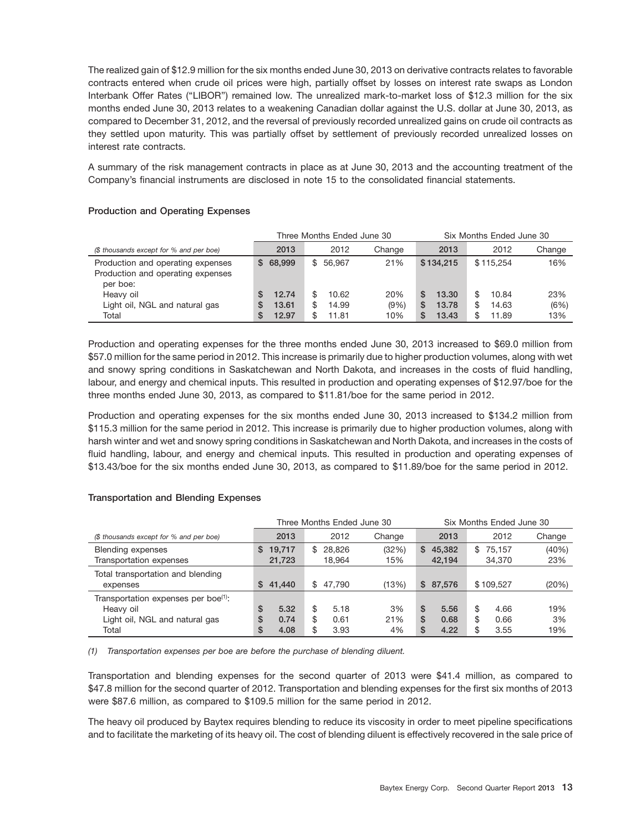The realized gain of \$12.9 million for the six months ended June 30, 2013 on derivative contracts relates to favorable contracts entered when crude oil prices were high, partially offset by losses on interest rate swaps as London Interbank Offer Rates (''LIBOR'') remained low. The unrealized mark-to-market loss of \$12.3 million for the six months ended June 30, 2013 relates to a weakening Canadian dollar against the U.S. dollar at June 30, 2013, as compared to December 31, 2012, and the reversal of previously recorded unrealized gains on crude oil contracts as they settled upon maturity. This was partially offset by settlement of previously recorded unrealized losses on interest rate contracts.

A summary of the risk management contracts in place as at June 30, 2013 and the accounting treatment of the Company's financial instruments are disclosed in note 15 to the consolidated financial statements.

|                                                                                    |                                   | Three Months Ended June 30           |                     | Six Months Ended June 30           |                                            |                    |  |  |
|------------------------------------------------------------------------------------|-----------------------------------|--------------------------------------|---------------------|------------------------------------|--------------------------------------------|--------------------|--|--|
| (\$ thousands except for % and per boe)                                            | 2013                              | 2012                                 | Change              | 2013                               | 2012                                       | Change             |  |  |
| Production and operating expenses<br>Production and operating expenses<br>per boe: | 68.999<br>S.                      | \$ 56,967                            | 21%                 | \$134,215                          | \$115.254                                  | 16%                |  |  |
| Heavy oil<br>Light oil, NGL and natural gas<br>Total                               | 12.74<br>S<br>13.61<br>S<br>12.97 | 10.62<br>\$.<br>14.99<br>\$<br>11.81 | 20%<br>(9% )<br>10% | 13.30<br>S.<br>S<br>13.78<br>13.43 | \$.<br>10.84<br>\$<br>14.63<br>11.89<br>\$ | 23%<br>(6%)<br>13% |  |  |

### **Production and Operating Expenses**

Production and operating expenses for the three months ended June 30, 2013 increased to \$69.0 million from \$57.0 million for the same period in 2012. This increase is primarily due to higher production volumes, along with wet and snowy spring conditions in Saskatchewan and North Dakota, and increases in the costs of fluid handling, labour, and energy and chemical inputs. This resulted in production and operating expenses of \$12.97/boe for the three months ended June 30, 2013, as compared to \$11.81/boe for the same period in 2012.

Production and operating expenses for the six months ended June 30, 2013 increased to \$134.2 million from \$115.3 million for the same period in 2012. This increase is primarily due to higher production volumes, along with harsh winter and wet and snowy spring conditions in Saskatchewan and North Dakota, and increases in the costs of fluid handling, labour, and energy and chemical inputs. This resulted in production and operating expenses of \$13.43/boe for the six months ended June 30, 2013, as compared to \$11.89/boe for the same period in 2012.

|                                                  |              | Three Months Ended June 30 |        |              | Six Months Ended June 30 |        |
|--------------------------------------------------|--------------|----------------------------|--------|--------------|--------------------------|--------|
| (\$ thousands except for % and per boe)          | 2013         | 2012                       | Change | 2013         | 2012                     | Change |
| <b>Blending expenses</b>                         | 19,717<br>S. | 28,826<br>S.               | (32%)  | \$<br>45,382 | \$75.157                 | (40%)  |
| Transportation expenses                          | 21,723       | 18.964                     | 15%    | 42.194       | 34.370                   | 23%    |
| Total transportation and blending                |              |                            |        |              |                          |        |
| expenses                                         | 41.440<br>S. | \$47.790                   | (13%)  | \$87,576     | \$109,527                | (20%)  |
| Transportation expenses per boe <sup>(1)</sup> : |              |                            |        |              |                          |        |
| Heavy oil                                        | S<br>5.32    | 5.18<br>\$                 | 3%     | \$<br>5.56   | \$<br>4.66               | 19%    |
| Light oil, NGL and natural gas                   | \$<br>0.74   | \$<br>0.61                 | 21%    | \$<br>0.68   | \$<br>0.66               | 3%     |
| Total                                            | S<br>4.08    | 3.93                       | 4%     | S<br>4.22    | \$<br>3.55               | 19%    |

### **Transportation and Blending Expenses**

*(1) Transportation expenses per boe are before the purchase of blending diluent.*

Transportation and blending expenses for the second quarter of 2013 were \$41.4 million, as compared to \$47.8 million for the second quarter of 2012. Transportation and blending expenses for the first six months of 2013 were \$87.6 million, as compared to \$109.5 million for the same period in 2012.

The heavy oil produced by Baytex requires blending to reduce its viscosity in order to meet pipeline specifications and to facilitate the marketing of its heavy oil. The cost of blending diluent is effectively recovered in the sale price of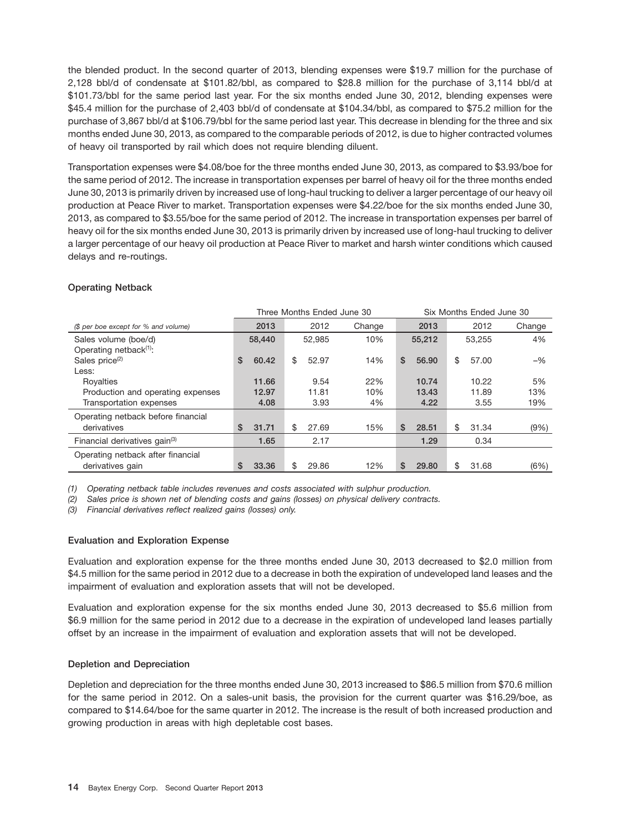the blended product. In the second quarter of 2013, blending expenses were \$19.7 million for the purchase of 2,128 bbl/d of condensate at \$101.82/bbl, as compared to \$28.8 million for the purchase of 3,114 bbl/d at \$101.73/bbl for the same period last year. For the six months ended June 30, 2012, blending expenses were \$45.4 million for the purchase of 2,403 bbl/d of condensate at \$104.34/bbl, as compared to \$75.2 million for the purchase of 3,867 bbl/d at \$106.79/bbl for the same period last year. This decrease in blending for the three and six months ended June 30, 2013, as compared to the comparable periods of 2012, is due to higher contracted volumes of heavy oil transported by rail which does not require blending diluent.

Transportation expenses were \$4.08/boe for the three months ended June 30, 2013, as compared to \$3.93/boe for the same period of 2012. The increase in transportation expenses per barrel of heavy oil for the three months ended June 30, 2013 is primarily driven by increased use of long-haul trucking to deliver a larger percentage of our heavy oil production at Peace River to market. Transportation expenses were \$4.22/boe for the six months ended June 30, 2013, as compared to \$3.55/boe for the same period of 2012. The increase in transportation expenses per barrel of heavy oil for the six months ended June 30, 2013 is primarily driven by increased use of long-haul trucking to deliver a larger percentage of our heavy oil production at Peace River to market and harsh winter conditions which caused delays and re-routings.

### **Operating Netback**

|                                           |             | Three Months Ended June 30 |        |    |        | Six Months Ended June 30 |        |  |
|-------------------------------------------|-------------|----------------------------|--------|----|--------|--------------------------|--------|--|
| (\$ per boe except for % and volume)      | 2013        | 2012                       | Change |    | 2013   | 2012                     | Change |  |
| Sales volume (boe/d)                      | 58,440      | 52.985                     | 10%    |    | 55,212 | 53.255                   | 4%     |  |
| Operating netback <sup>(1)</sup> :        |             |                            |        |    |        |                          |        |  |
| Sales price <sup>(2)</sup>                | \$<br>60.42 | \$<br>52.97                | 14%    | \$ | 56.90  | \$<br>57.00              | $-$ %  |  |
| Less:                                     |             |                            |        |    |        |                          |        |  |
| Royalties                                 | 11.66       | 9.54                       | 22%    |    | 10.74  | 10.22                    | 5%     |  |
| Production and operating expenses         | 12.97       | 11.81                      | 10%    |    | 13.43  | 11.89                    | 13%    |  |
| Transportation expenses                   | 4.08        | 3.93                       | 4%     |    | 4.22   | 3.55                     | 19%    |  |
| Operating netback before financial        |             |                            |        |    |        |                          |        |  |
| derivatives                               | \$<br>31.71 | \$<br>27.69                | 15%    | \$ | 28.51  | \$<br>31.34              | (9%)   |  |
| Financial derivatives gain <sup>(3)</sup> | 1.65        | 2.17                       |        |    | 1.29   | 0.34                     |        |  |
| Operating netback after financial         |             |                            |        |    |        |                          |        |  |
| derivatives gain                          | \$<br>33.36 | \$<br>29.86                | 12%    | S  | 29.80  | \$<br>31.68              | (6%)   |  |

*(1) Operating netback table includes revenues and costs associated with sulphur production.*

*(2) Sales price is shown net of blending costs and gains (losses) on physical delivery contracts.*

*(3) Financial derivatives reflect realized gains (losses) only.*

### **Evaluation and Exploration Expense**

Evaluation and exploration expense for the three months ended June 30, 2013 decreased to \$2.0 million from \$4.5 million for the same period in 2012 due to a decrease in both the expiration of undeveloped land leases and the impairment of evaluation and exploration assets that will not be developed.

Evaluation and exploration expense for the six months ended June 30, 2013 decreased to \$5.6 million from \$6.9 million for the same period in 2012 due to a decrease in the expiration of undeveloped land leases partially offset by an increase in the impairment of evaluation and exploration assets that will not be developed.

### **Depletion and Depreciation**

Depletion and depreciation for the three months ended June 30, 2013 increased to \$86.5 million from \$70.6 million for the same period in 2012. On a sales-unit basis, the provision for the current quarter was \$16.29/boe, as compared to \$14.64/boe for the same quarter in 2012. The increase is the result of both increased production and growing production in areas with high depletable cost bases.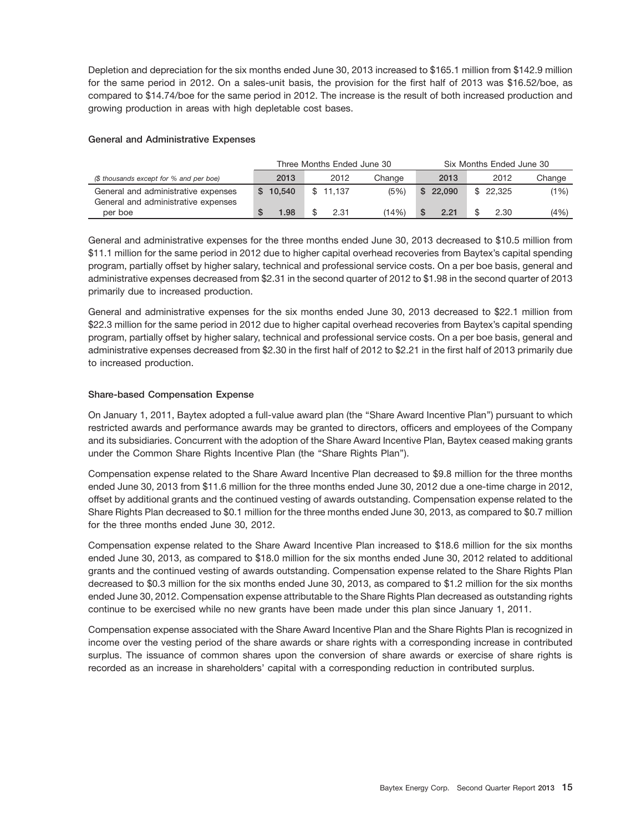Depletion and depreciation for the six months ended June 30, 2013 increased to \$165.1 million from \$142.9 million for the same period in 2012. On a sales-unit basis, the provision for the first half of 2013 was \$16.52/boe, as compared to \$14.74/boe for the same period in 2012. The increase is the result of both increased production and growing production in areas with high depletable cost bases.

### **General and Administrative Expenses**

|                                         |           | Three Months Ended June 30 |        | Six Months Ended June 30 |           |        |  |
|-----------------------------------------|-----------|----------------------------|--------|--------------------------|-----------|--------|--|
| (\$ thousands except for % and per boe) | 2013      | 2012                       | Change | 2013                     | 2012      | Change |  |
| General and administrative expenses     | \$10,540  | \$11.137                   | (5%)   | \$22,090                 | \$ 22,325 | (1%)   |  |
| General and administrative expenses     |           |                            |        |                          |           |        |  |
| per boe                                 | 1.98<br>S | 2.31                       | (14%)  | 2.21                     | 2.30      | (4% )  |  |

General and administrative expenses for the three months ended June 30, 2013 decreased to \$10.5 million from \$11.1 million for the same period in 2012 due to higher capital overhead recoveries from Baytex's capital spending program, partially offset by higher salary, technical and professional service costs. On a per boe basis, general and administrative expenses decreased from \$2.31 in the second quarter of 2012 to \$1.98 in the second quarter of 2013 primarily due to increased production.

General and administrative expenses for the six months ended June 30, 2013 decreased to \$22.1 million from \$22.3 million for the same period in 2012 due to higher capital overhead recoveries from Baytex's capital spending program, partially offset by higher salary, technical and professional service costs. On a per boe basis, general and administrative expenses decreased from \$2.30 in the first half of 2012 to \$2.21 in the first half of 2013 primarily due to increased production.

### **Share-based Compensation Expense**

On January 1, 2011, Baytex adopted a full-value award plan (the ''Share Award Incentive Plan'') pursuant to which restricted awards and performance awards may be granted to directors, officers and employees of the Company and its subsidiaries. Concurrent with the adoption of the Share Award Incentive Plan, Baytex ceased making grants under the Common Share Rights Incentive Plan (the ''Share Rights Plan'').

Compensation expense related to the Share Award Incentive Plan decreased to \$9.8 million for the three months ended June 30, 2013 from \$11.6 million for the three months ended June 30, 2012 due a one-time charge in 2012, offset by additional grants and the continued vesting of awards outstanding. Compensation expense related to the Share Rights Plan decreased to \$0.1 million for the three months ended June 30, 2013, as compared to \$0.7 million for the three months ended June 30, 2012.

Compensation expense related to the Share Award Incentive Plan increased to \$18.6 million for the six months ended June 30, 2013, as compared to \$18.0 million for the six months ended June 30, 2012 related to additional grants and the continued vesting of awards outstanding. Compensation expense related to the Share Rights Plan decreased to \$0.3 million for the six months ended June 30, 2013, as compared to \$1.2 million for the six months ended June 30, 2012. Compensation expense attributable to the Share Rights Plan decreased as outstanding rights continue to be exercised while no new grants have been made under this plan since January 1, 2011.

Compensation expense associated with the Share Award Incentive Plan and the Share Rights Plan is recognized in income over the vesting period of the share awards or share rights with a corresponding increase in contributed surplus. The issuance of common shares upon the conversion of share awards or exercise of share rights is recorded as an increase in shareholders' capital with a corresponding reduction in contributed surplus.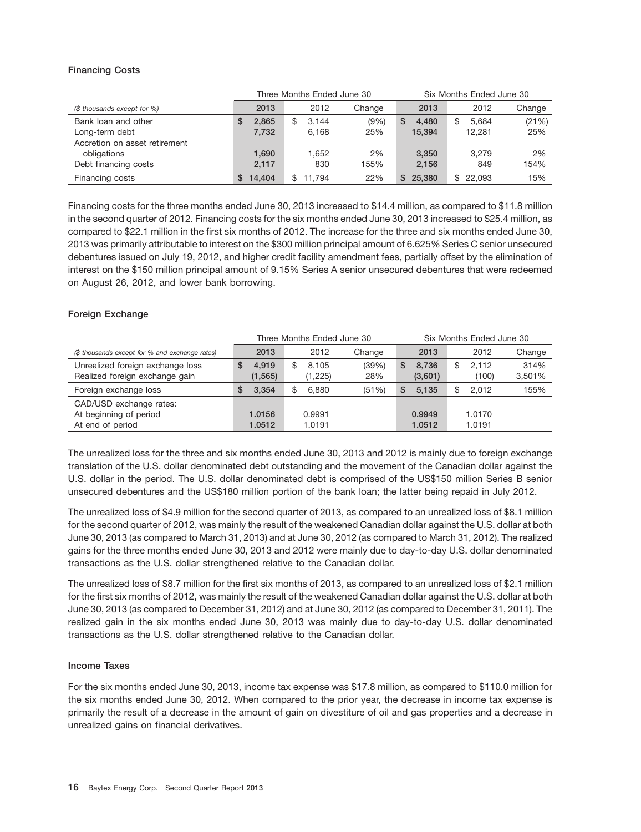### **Financing Costs**

|                               |             | Three Months Ended June 30 |        | Six Months Ended June 30 |            |        |  |
|-------------------------------|-------------|----------------------------|--------|--------------------------|------------|--------|--|
| (\$ thousands except for %)   | 2013        | 2012                       | Change | 2013                     | 2012       | Change |  |
| Bank loan and other           | S<br>2.865  | 3.144<br>S.                | (9% )  | 4.480<br>S               | 5.684<br>S | (21%)  |  |
| Long-term debt                | 7,732       | 6.168                      | 25%    | 15.394                   | 12.281     | 25%    |  |
| Accretion on asset retirement |             |                            |        |                          |            |        |  |
| obligations                   | 1.690       | 1.652                      | 2%     | 3.350                    | 3.279      | 2%     |  |
| Debt financing costs          | 2.117       | 830                        | 155%   | 2.156                    | 849        | 154%   |  |
| Financing costs               | 14.404<br>S | \$11.794                   | 22%    | 25,380<br>S              | \$22.093   | 15%    |  |

Financing costs for the three months ended June 30, 2013 increased to \$14.4 million, as compared to \$11.8 million in the second quarter of 2012. Financing costs for the six months ended June 30, 2013 increased to \$25.4 million, as compared to \$22.1 million in the first six months of 2012. The increase for the three and six months ended June 30, 2013 was primarily attributable to interest on the \$300 million principal amount of 6.625% Series C senior unsecured debentures issued on July 19, 2012, and higher credit facility amendment fees, partially offset by the elimination of interest on the \$150 million principal amount of 9.15% Series A senior unsecured debentures that were redeemed on August 26, 2012, and lower bank borrowing.

### **Foreign Exchange**

|                                                |            | Three Months Ended June 30 |            | Six Months Ended June 30 |        |  |  |
|------------------------------------------------|------------|----------------------------|------------|--------------------------|--------|--|--|
| (\$ thousands except for % and exchange rates) | 2013       | 2012<br>Change             | 2013       | 2012                     | Change |  |  |
| Unrealized foreign exchange loss               | 4,919<br>S | (39%)<br>8.105<br>\$       | 8.736<br>S | 2.112<br>\$              | 314%   |  |  |
| Realized foreign exchange gain                 | (1, 565)   | 28%<br>(1,225)             | (3,601)    | (100)                    | 3,501% |  |  |
| Foreign exchange loss                          | 3.354<br>S | 6.880<br>(51%)<br>\$       | 5.135<br>S | 2.012<br>S               | 155%   |  |  |
| CAD/USD exchange rates:                        |            |                            |            |                          |        |  |  |
| At beginning of period                         | 1.0156     | 0.9991                     | 0.9949     | 1.0170                   |        |  |  |
| At end of period                               | 1.0512     | 1.0191                     | 1.0512     | 1.0191                   |        |  |  |

The unrealized loss for the three and six months ended June 30, 2013 and 2012 is mainly due to foreign exchange translation of the U.S. dollar denominated debt outstanding and the movement of the Canadian dollar against the U.S. dollar in the period. The U.S. dollar denominated debt is comprised of the US\$150 million Series B senior unsecured debentures and the US\$180 million portion of the bank loan; the latter being repaid in July 2012.

The unrealized loss of \$4.9 million for the second quarter of 2013, as compared to an unrealized loss of \$8.1 million for the second quarter of 2012, was mainly the result of the weakened Canadian dollar against the U.S. dollar at both June 30, 2013 (as compared to March 31, 2013) and at June 30, 2012 (as compared to March 31, 2012). The realized gains for the three months ended June 30, 2013 and 2012 were mainly due to day-to-day U.S. dollar denominated transactions as the U.S. dollar strengthened relative to the Canadian dollar.

The unrealized loss of \$8.7 million for the first six months of 2013, as compared to an unrealized loss of \$2.1 million for the first six months of 2012, was mainly the result of the weakened Canadian dollar against the U.S. dollar at both June 30, 2013 (as compared to December 31, 2012) and at June 30, 2012 (as compared to December 31, 2011). The realized gain in the six months ended June 30, 2013 was mainly due to day-to-day U.S. dollar denominated transactions as the U.S. dollar strengthened relative to the Canadian dollar.

### **Income Taxes**

For the six months ended June 30, 2013, income tax expense was \$17.8 million, as compared to \$110.0 million for the six months ended June 30, 2012. When compared to the prior year, the decrease in income tax expense is primarily the result of a decrease in the amount of gain on divestiture of oil and gas properties and a decrease in unrealized gains on financial derivatives.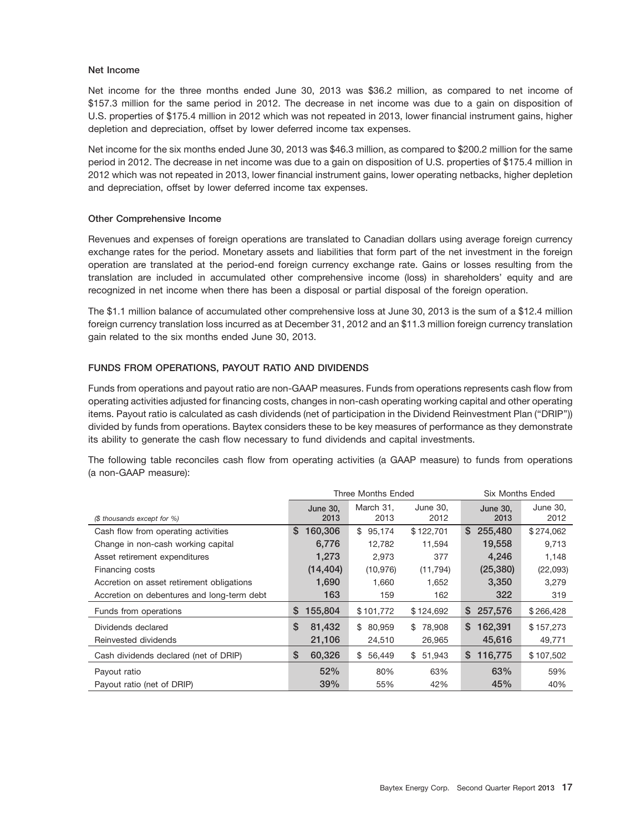### **Net Income**

Net income for the three months ended June 30, 2013 was \$36.2 million, as compared to net income of \$157.3 million for the same period in 2012. The decrease in net income was due to a gain on disposition of U.S. properties of \$175.4 million in 2012 which was not repeated in 2013, lower financial instrument gains, higher depletion and depreciation, offset by lower deferred income tax expenses.

Net income for the six months ended June 30, 2013 was \$46.3 million, as compared to \$200.2 million for the same period in 2012. The decrease in net income was due to a gain on disposition of U.S. properties of \$175.4 million in 2012 which was not repeated in 2013, lower financial instrument gains, lower operating netbacks, higher depletion and depreciation, offset by lower deferred income tax expenses.

### **Other Comprehensive Income**

Revenues and expenses of foreign operations are translated to Canadian dollars using average foreign currency exchange rates for the period. Monetary assets and liabilities that form part of the net investment in the foreign operation are translated at the period-end foreign currency exchange rate. Gains or losses resulting from the translation are included in accumulated other comprehensive income (loss) in shareholders' equity and are recognized in net income when there has been a disposal or partial disposal of the foreign operation.

The \$1.1 million balance of accumulated other comprehensive loss at June 30, 2013 is the sum of a \$12.4 million foreign currency translation loss incurred as at December 31, 2012 and an \$11.3 million foreign currency translation gain related to the six months ended June 30, 2013.

### **FUNDS FROM OPERATIONS, PAYOUT RATIO AND DIVIDENDS**

Funds from operations and payout ratio are non-GAAP measures. Funds from operations represents cash flow from operating activities adjusted for financing costs, changes in non-cash operating working capital and other operating items. Payout ratio is calculated as cash dividends (net of participation in the Dividend Reinvestment Plan (''DRIP'')) divided by funds from operations. Baytex considers these to be key measures of performance as they demonstrate its ability to generate the cash flow necessary to fund dividends and capital investments.

The following table reconciles cash flow from operating activities (a GAAP measure) to funds from operations (a non-GAAP measure):

|                                            |    |                         | <b>Three Months Ended</b> | <b>Six Months Ended</b> |    |                         |                  |
|--------------------------------------------|----|-------------------------|---------------------------|-------------------------|----|-------------------------|------------------|
| (\$ thousands except for %)                |    | <b>June 30.</b><br>2013 | March 31.<br>2013         | June 30.<br>2012        |    | <b>June 30.</b><br>2013 | June 30,<br>2012 |
| Cash flow from operating activities        | \$ | 160,306                 | \$95,174                  | \$122,701               | \$ | 255,480                 | \$274,062        |
| Change in non-cash working capital         |    | 6,776                   | 12,782                    | 11,594                  |    | 19,558                  | 9,713            |
| Asset retirement expenditures              |    | 1,273                   | 2,973                     | 377                     |    | 4,246                   | 1,148            |
| Financing costs                            |    | (14, 404)               | (10, 976)                 | (11, 794)               |    | (25, 380)               | (22,093)         |
| Accretion on asset retirement obligations  |    | 1,690                   | 1,660                     | 1,652                   |    | 3,350                   | 3,279            |
| Accretion on debentures and long-term debt |    | 163                     | 159                       | 162                     |    | 322                     | 319              |
| Funds from operations                      | S. | 155,804                 | \$101,772                 | \$124,692               | S. | 257,576                 | \$266,428        |
| Dividends declared                         | \$ | 81.432                  | \$80,959                  | \$78.908                | \$ | 162,391                 | \$157,273        |
| Reinvested dividends                       |    | 21,106                  | 24,510                    | 26,965                  |    | 45,616                  | 49,771           |
| Cash dividends declared (net of DRIP)      | \$ | 60,326                  | \$<br>56,449              | 51,943<br>\$            | S. | 116,775                 | \$107,502        |
| Payout ratio                               |    | 52%                     | 80%                       | 63%                     |    | 63%                     | 59%              |
| Payout ratio (net of DRIP)                 |    | 39%                     | 55%                       | 42%                     |    | 45%                     | 40%              |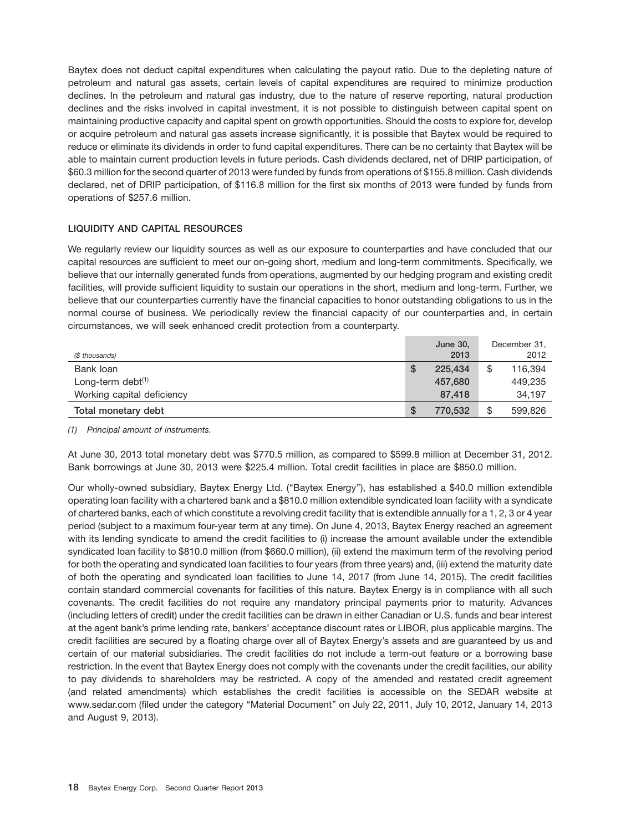Baytex does not deduct capital expenditures when calculating the payout ratio. Due to the depleting nature of petroleum and natural gas assets, certain levels of capital expenditures are required to minimize production declines. In the petroleum and natural gas industry, due to the nature of reserve reporting, natural production declines and the risks involved in capital investment, it is not possible to distinguish between capital spent on maintaining productive capacity and capital spent on growth opportunities. Should the costs to explore for, develop or acquire petroleum and natural gas assets increase significantly, it is possible that Baytex would be required to reduce or eliminate its dividends in order to fund capital expenditures. There can be no certainty that Baytex will be able to maintain current production levels in future periods. Cash dividends declared, net of DRIP participation, of \$60.3 million for the second quarter of 2013 were funded by funds from operations of \$155.8 million. Cash dividends declared, net of DRIP participation, of \$116.8 million for the first six months of 2013 were funded by funds from operations of \$257.6 million.

### **LIQUIDITY AND CAPITAL RESOURCES**

We regularly review our liquidity sources as well as our exposure to counterparties and have concluded that our capital resources are sufficient to meet our on-going short, medium and long-term commitments. Specifically, we believe that our internally generated funds from operations, augmented by our hedging program and existing credit facilities, will provide sufficient liquidity to sustain our operations in the short, medium and long-term. Further, we believe that our counterparties currently have the financial capacities to honor outstanding obligations to us in the normal course of business. We periodically review the financial capacity of our counterparties and, in certain circumstances, we will seek enhanced credit protection from a counterparty.

| (\$ thousands)             |   | <b>June 30.</b><br>2013 |   | December 31,<br>2012 |
|----------------------------|---|-------------------------|---|----------------------|
| Bank loan                  | Œ | 225.434                 | ጦ | 116,394              |
| Long-term debt $(1)$       |   | 457.680                 |   | 449.235              |
| Working capital deficiency |   | 87.418                  |   | 34,197               |
| Total monetary debt        | S | 770,532                 |   | 599,826              |

*(1) Principal amount of instruments.*

At June 30, 2013 total monetary debt was \$770.5 million, as compared to \$599.8 million at December 31, 2012. Bank borrowings at June 30, 2013 were \$225.4 million. Total credit facilities in place are \$850.0 million.

Our wholly-owned subsidiary, Baytex Energy Ltd. (''Baytex Energy''), has established a \$40.0 million extendible operating loan facility with a chartered bank and a \$810.0 million extendible syndicated loan facility with a syndicate of chartered banks, each of which constitute a revolving credit facility that is extendible annually for a 1, 2, 3 or 4 year period (subject to a maximum four-year term at any time). On June 4, 2013, Baytex Energy reached an agreement with its lending syndicate to amend the credit facilities to (i) increase the amount available under the extendible syndicated loan facility to \$810.0 million (from \$660.0 million), (ii) extend the maximum term of the revolving period for both the operating and syndicated loan facilities to four years (from three years) and, (iii) extend the maturity date of both the operating and syndicated loan facilities to June 14, 2017 (from June 14, 2015). The credit facilities contain standard commercial covenants for facilities of this nature. Baytex Energy is in compliance with all such covenants. The credit facilities do not require any mandatory principal payments prior to maturity. Advances (including letters of credit) under the credit facilities can be drawn in either Canadian or U.S. funds and bear interest at the agent bank's prime lending rate, bankers' acceptance discount rates or LIBOR, plus applicable margins. The credit facilities are secured by a floating charge over all of Baytex Energy's assets and are guaranteed by us and certain of our material subsidiaries. The credit facilities do not include a term-out feature or a borrowing base restriction. In the event that Baytex Energy does not comply with the covenants under the credit facilities, our ability to pay dividends to shareholders may be restricted. A copy of the amended and restated credit agreement (and related amendments) which establishes the credit facilities is accessible on the SEDAR website at www.sedar.com (filed under the category ''Material Document'' on July 22, 2011, July 10, 2012, January 14, 2013 and August 9, 2013).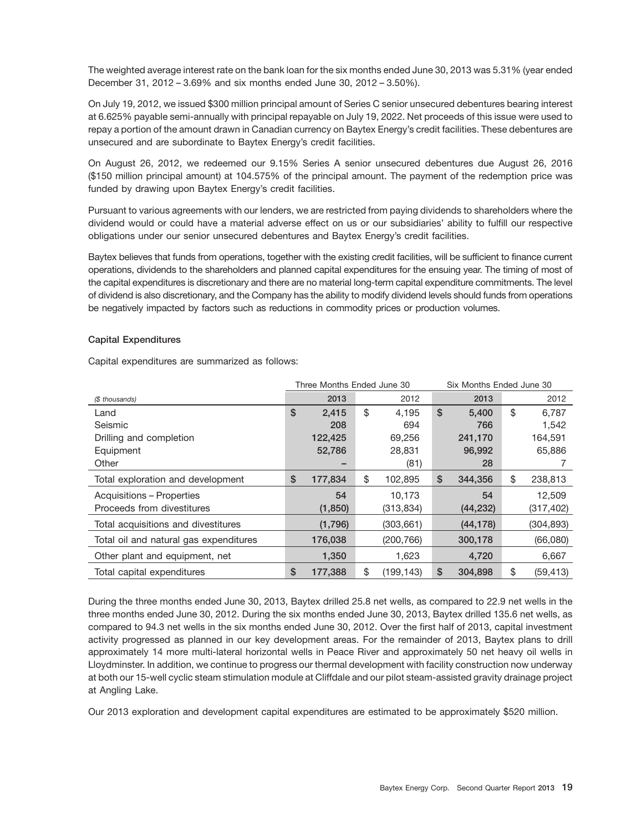The weighted average interest rate on the bank loan for the six months ended June 30, 2013 was 5.31% (year ended December 31, 2012 – 3.69% and six months ended June 30, 2012 – 3.50%).

On July 19, 2012, we issued \$300 million principal amount of Series C senior unsecured debentures bearing interest at 6.625% payable semi-annually with principal repayable on July 19, 2022. Net proceeds of this issue were used to repay a portion of the amount drawn in Canadian currency on Baytex Energy's credit facilities. These debentures are unsecured and are subordinate to Baytex Energy's credit facilities.

On August 26, 2012, we redeemed our 9.15% Series A senior unsecured debentures due August 26, 2016 (\$150 million principal amount) at 104.575% of the principal amount. The payment of the redemption price was funded by drawing upon Baytex Energy's credit facilities.

Pursuant to various agreements with our lenders, we are restricted from paying dividends to shareholders where the dividend would or could have a material adverse effect on us or our subsidiaries' ability to fulfill our respective obligations under our senior unsecured debentures and Baytex Energy's credit facilities.

Baytex believes that funds from operations, together with the existing credit facilities, will be sufficient to finance current operations, dividends to the shareholders and planned capital expenditures for the ensuing year. The timing of most of the capital expenditures is discretionary and there are no material long-term capital expenditure commitments. The level of dividend is also discretionary, and the Company has the ability to modify dividend levels should funds from operations be negatively impacted by factors such as reductions in commodity prices or production volumes.

### **Capital Expenditures**

Capital expenditures are summarized as follows:

|                                        | Three Months Ended June 30 |         |    |            |    | Six Months Ended June 30 |    |            |  |
|----------------------------------------|----------------------------|---------|----|------------|----|--------------------------|----|------------|--|
| (\$ thousands)                         |                            | 2013    |    | 2012       |    | 2013                     |    | 2012       |  |
| Land                                   | \$                         | 2.415   | \$ | 4,195      | \$ | 5.400                    | \$ | 6,787      |  |
| Seismic                                |                            | 208     |    | 694        |    | 766                      |    | 1,542      |  |
| Drilling and completion                |                            | 122,425 |    | 69,256     |    | 241,170                  |    | 164,591    |  |
| Equipment                              |                            | 52,786  |    | 28,831     |    | 96,992                   |    | 65,886     |  |
| Other                                  |                            |         |    | (81)       |    | 28                       |    |            |  |
| Total exploration and development      | \$                         | 177.834 | \$ | 102,895    | \$ | 344,356                  | \$ | 238,813    |  |
| Acquisitions – Properties              |                            | 54      |    | 10.173     |    | 54                       |    | 12,509     |  |
| Proceeds from divestitures             |                            | (1,850) |    | (313, 834) |    | (44, 232)                |    | (317, 402) |  |
| Total acquisitions and divestitures    |                            | (1,796) |    | (303, 661) |    | (44, 178)                |    | (304, 893) |  |
| Total oil and natural gas expenditures |                            | 176,038 |    | (200, 766) |    | 300,178                  |    | (66,080)   |  |
| Other plant and equipment, net         |                            | 1,350   |    | 1,623      |    | 4,720                    |    | 6,667      |  |
| Total capital expenditures             | \$                         | 177.388 | \$ | (199.143)  | \$ | 304.898                  | \$ | (59, 413)  |  |

During the three months ended June 30, 2013, Baytex drilled 25.8 net wells, as compared to 22.9 net wells in the three months ended June 30, 2012. During the six months ended June 30, 2013, Baytex drilled 135.6 net wells, as compared to 94.3 net wells in the six months ended June 30, 2012. Over the first half of 2013, capital investment activity progressed as planned in our key development areas. For the remainder of 2013, Baytex plans to drill approximately 14 more multi-lateral horizontal wells in Peace River and approximately 50 net heavy oil wells in Lloydminster. In addition, we continue to progress our thermal development with facility construction now underway at both our 15-well cyclic steam stimulation module at Cliffdale and our pilot steam-assisted gravity drainage project at Angling Lake.

Our 2013 exploration and development capital expenditures are estimated to be approximately \$520 million.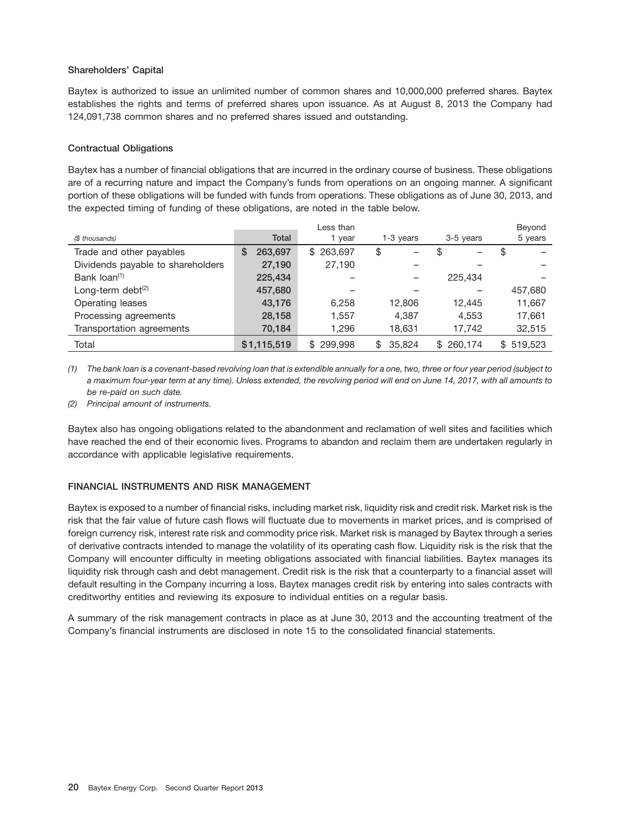### **Shareholders' Capital**

Baytex is authorized to issue an unlimited number of common shares and 10,000,000 preferred shares. Baytex establishes the rights and terms of preferred shares upon issuance. As at August 8, 2013 the Company had 124,091,738 common shares and no preferred shares issued and outstanding.

### **Contractual Obligations**

Baytex has a number of financial obligations that are incurred in the ordinary course of business. These obligations are of a recurring nature and impact the Company's funds from operations on an ongoing manner. A significant portion of these obligations will be funded with funds from operations. These obligations as of June 30, 2013, and the expected timing of funding of these obligations, are noted in the table below.

|                                   |              | Less than     |             | Beyond        |           |
|-----------------------------------|--------------|---------------|-------------|---------------|-----------|
| (\$ thousands)                    | <b>Total</b> | 1 year        | 1-3 years   | 3-5 years     | 5 years   |
| Trade and other payables          | 263,697<br>S | 263.697<br>\$ | \$<br>-     | \$            | \$        |
| Dividends payable to shareholders | 27,190       | 27,190        |             |               |           |
| Bank loan <sup>(1)</sup>          | 225,434      |               |             | 225.434       |           |
| Long-term debt $(2)$              | 457,680      |               |             |               | 457,680   |
| Operating leases                  | 43,176       | 6.258         | 12,806      | 12.445        | 11,667    |
| Processing agreements             | 28,158       | 1,557         | 4.387       | 4,553         | 17,661    |
| Transportation agreements         | 70,184       | 1,296         | 18,631      | 17,742        | 32,515    |
| Total                             | \$1,115,519  | 299.998<br>\$ | 35,824<br>S | 260.174<br>\$ | \$519.523 |

*(1) The bank loan is a covenant-based revolving loan that is extendible annually for a one, two, three or four year period (subject to a maximum four-year term at any time). Unless extended, the revolving period will end on June 14, 2017, with all amounts to be re-paid on such date.*

*(2) Principal amount of instruments.*

Baytex also has ongoing obligations related to the abandonment and reclamation of well sites and facilities which have reached the end of their economic lives. Programs to abandon and reclaim them are undertaken regularly in accordance with applicable legislative requirements.

### **FINANCIAL INSTRUMENTS AND RISK MANAGEMENT**

Baytex is exposed to a number of financial risks, including market risk, liquidity risk and credit risk. Market risk is the risk that the fair value of future cash flows will fluctuate due to movements in market prices, and is comprised of foreign currency risk, interest rate risk and commodity price risk. Market risk is managed by Baytex through a series of derivative contracts intended to manage the volatility of its operating cash flow. Liquidity risk is the risk that the Company will encounter difficulty in meeting obligations associated with financial liabilities. Baytex manages its liquidity risk through cash and debt management. Credit risk is the risk that a counterparty to a financial asset will default resulting in the Company incurring a loss. Baytex manages credit risk by entering into sales contracts with creditworthy entities and reviewing its exposure to individual entities on a regular basis.

A summary of the risk management contracts in place as at June 30, 2013 and the accounting treatment of the Company's financial instruments are disclosed in note 15 to the consolidated financial statements.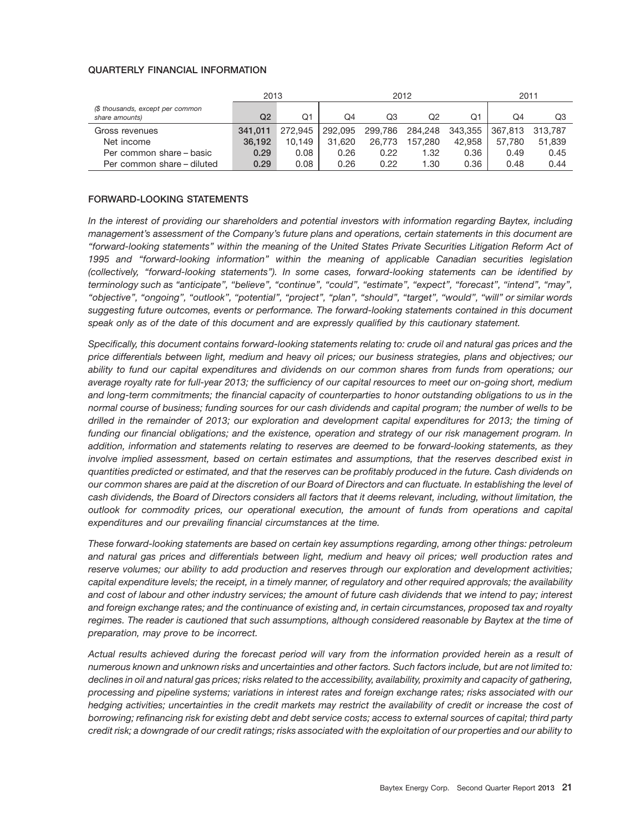### **QUARTERLY FINANCIAL INFORMATION**

|                                                    |         | 2012<br>2013 |         |         |         |         | 2011    |         |  |
|----------------------------------------------------|---------|--------------|---------|---------|---------|---------|---------|---------|--|
| (\$ thousands, except per common<br>share amounts) | Q2      | Q1           | Q4      | O3      | O2      | Q1      | O4      | Q3      |  |
| Gross revenues                                     | 341,011 | 272.945      | 292.095 | 299,786 | 284,248 | 343.355 | 367,813 | 313.787 |  |
| Net income                                         | 36.192  | 10.149       | 31.620  | 26,773  | 157.280 | 42.958  | 57.780  | 51,839  |  |
| Per common share – basic                           | 0.29    | 0.08         | 0.26    | 0.22    | 1.32    | 0.36    | 0.49    | 0.45    |  |
| Per common share - diluted                         | 0.29    | 0.08         | 0.26    | 0.22    | 1.30    | 0.36    | 0.48    | 0.44    |  |

### **FORWARD-LOOKING STATEMENTS**

*In the interest of providing our shareholders and potential investors with information regarding Baytex, including management's assessment of the Company's future plans and operations, certain statements in this document are ''forward-looking statements'' within the meaning of the United States Private Securities Litigation Reform Act of 1995 and ''forward-looking information'' within the meaning of applicable Canadian securities legislation (collectively, ''forward-looking statements''). In some cases, forward-looking statements can be identified by terminology such as ''anticipate'', ''believe'', ''continue'', ''could'', ''estimate'', ''expect'', ''forecast'', ''intend'', ''may'', ''objective'', ''ongoing'', ''outlook'', ''potential'', ''project'', ''plan'', ''should'', ''target'', ''would'', ''will'' or similar words suggesting future outcomes, events or performance. The forward-looking statements contained in this document speak only as of the date of this document and are expressly qualified by this cautionary statement.*

*Specifically, this document contains forward-looking statements relating to: crude oil and natural gas prices and the price differentials between light, medium and heavy oil prices; our business strategies, plans and objectives; our ability to fund our capital expenditures and dividends on our common shares from funds from operations; our average royalty rate for full-year 2013; the sufficiency of our capital resources to meet our on-going short, medium and long-term commitments; the financial capacity of counterparties to honor outstanding obligations to us in the normal course of business; funding sources for our cash dividends and capital program; the number of wells to be drilled in the remainder of 2013; our exploration and development capital expenditures for 2013; the timing of funding our financial obligations; and the existence, operation and strategy of our risk management program. In addition, information and statements relating to reserves are deemed to be forward-looking statements, as they involve implied assessment, based on certain estimates and assumptions, that the reserves described exist in quantities predicted or estimated, and that the reserves can be profitably produced in the future. Cash dividends on our common shares are paid at the discretion of our Board of Directors and can fluctuate. In establishing the level of cash dividends, the Board of Directors considers all factors that it deems relevant, including, without limitation, the outlook for commodity prices, our operational execution, the amount of funds from operations and capital expenditures and our prevailing financial circumstances at the time.*

*These forward-looking statements are based on certain key assumptions regarding, among other things: petroleum and natural gas prices and differentials between light, medium and heavy oil prices; well production rates and reserve volumes; our ability to add production and reserves through our exploration and development activities; capital expenditure levels; the receipt, in a timely manner, of regulatory and other required approvals; the availability and cost of labour and other industry services; the amount of future cash dividends that we intend to pay; interest and foreign exchange rates; and the continuance of existing and, in certain circumstances, proposed tax and royalty regimes. The reader is cautioned that such assumptions, although considered reasonable by Baytex at the time of preparation, may prove to be incorrect.*

*Actual results achieved during the forecast period will vary from the information provided herein as a result of numerous known and unknown risks and uncertainties and other factors. Such factors include, but are not limited to: declines in oil and natural gas prices; risks related to the accessibility, availability, proximity and capacity of gathering, processing and pipeline systems; variations in interest rates and foreign exchange rates; risks associated with our hedging activities; uncertainties in the credit markets may restrict the availability of credit or increase the cost of borrowing; refinancing risk for existing debt and debt service costs; access to external sources of capital; third party credit risk; a downgrade of our credit ratings; risks associated with the exploitation of our properties and our ability to*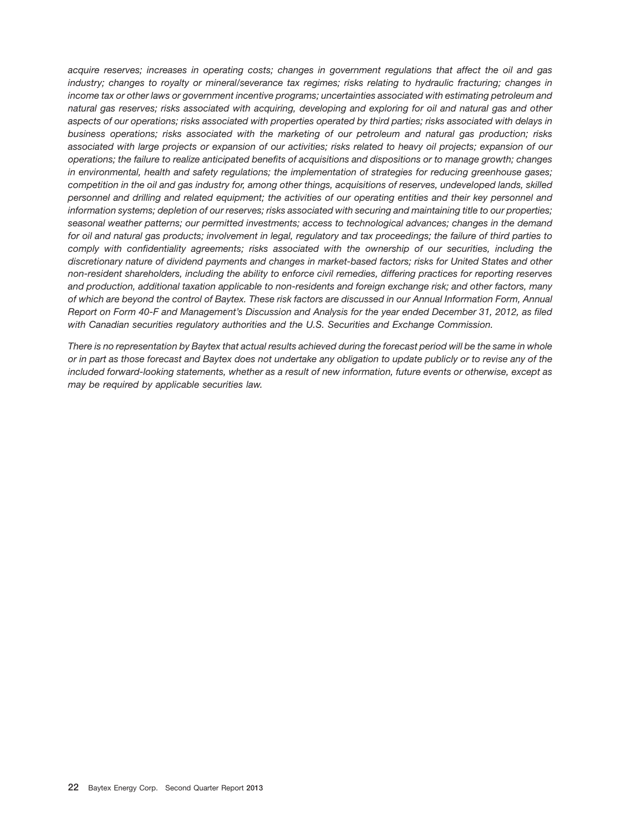*acquire reserves; increases in operating costs; changes in government regulations that affect the oil and gas industry; changes to royalty or mineral/severance tax regimes; risks relating to hydraulic fracturing; changes in income tax or other laws or government incentive programs; uncertainties associated with estimating petroleum and natural gas reserves; risks associated with acquiring, developing and exploring for oil and natural gas and other aspects of our operations; risks associated with properties operated by third parties; risks associated with delays in business operations; risks associated with the marketing of our petroleum and natural gas production; risks associated with large projects or expansion of our activities; risks related to heavy oil projects; expansion of our operations; the failure to realize anticipated benefits of acquisitions and dispositions or to manage growth; changes in environmental, health and safety regulations; the implementation of strategies for reducing greenhouse gases; competition in the oil and gas industry for, among other things, acquisitions of reserves, undeveloped lands, skilled personnel and drilling and related equipment; the activities of our operating entities and their key personnel and information systems; depletion of our reserves; risks associated with securing and maintaining title to our properties; seasonal weather patterns; our permitted investments; access to technological advances; changes in the demand for oil and natural gas products; involvement in legal, regulatory and tax proceedings; the failure of third parties to comply with confidentiality agreements; risks associated with the ownership of our securities, including the discretionary nature of dividend payments and changes in market-based factors; risks for United States and other non-resident shareholders, including the ability to enforce civil remedies, differing practices for reporting reserves and production, additional taxation applicable to non-residents and foreign exchange risk; and other factors, many of which are beyond the control of Baytex. These risk factors are discussed in our Annual Information Form, Annual Report on Form 40-F and Management's Discussion and Analysis for the year ended December 31, 2012, as filed with Canadian securities regulatory authorities and the U.S. Securities and Exchange Commission.*

*There is no representation by Baytex that actual results achieved during the forecast period will be the same in whole or in part as those forecast and Baytex does not undertake any obligation to update publicly or to revise any of the included forward-looking statements, whether as a result of new information, future events or otherwise, except as may be required by applicable securities law.*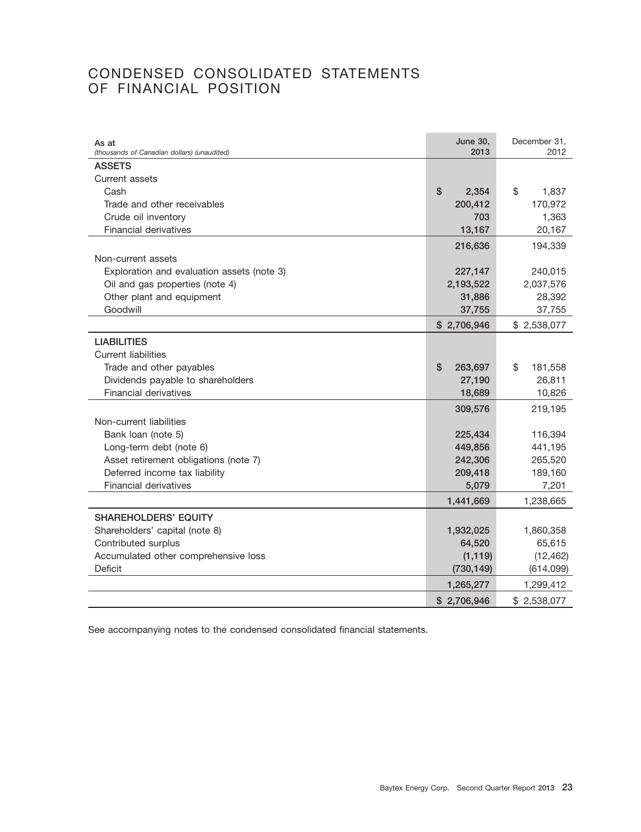### CONDENSED CONSOLIDATED STATEMENTS OF FINANCIAL POSITION

| As at                                       | <b>June 30,</b> | December 31,  |
|---------------------------------------------|-----------------|---------------|
| (thousands of Canadian dollars) (unaudited) | 2013            | 2012          |
| <b>ASSETS</b>                               |                 |               |
| Current assets                              |                 |               |
| Cash                                        | \$<br>2,354     | \$<br>1,837   |
| Trade and other receivables                 | 200,412         | 170,972       |
| Crude oil inventory                         | 703             | 1,363         |
| <b>Financial derivatives</b>                | 13,167          | 20,167        |
|                                             | 216,636         | 194,339       |
| Non-current assets                          |                 |               |
| Exploration and evaluation assets (note 3)  | 227,147         | 240,015       |
| Oil and gas properties (note 4)             | 2,193,522       | 2,037,576     |
| Other plant and equipment                   | 31,886          | 28,392        |
| Goodwill                                    | 37,755          | 37,755        |
|                                             | \$2,706,946     | \$2,538,077   |
| <b>LIABILITIES</b>                          |                 |               |
| <b>Current liabilities</b>                  |                 |               |
| Trade and other payables                    | \$<br>263,697   | \$<br>181,558 |
| Dividends payable to shareholders           | 27,190          | 26,811        |
| Financial derivatives                       | 18,689          | 10,826        |
|                                             | 309,576         | 219,195       |
| Non-current liabilities                     |                 |               |
| Bank loan (note 5)                          | 225,434         | 116,394       |
| Long-term debt (note 6)                     | 449,856         | 441,195       |
| Asset retirement obligations (note 7)       | 242,306         | 265,520       |
| Deferred income tax liability               | 209,418         | 189,160       |
| <b>Financial derivatives</b>                | 5,079           | 7,201         |
|                                             |                 |               |
|                                             | 1,441,669       | 1,238,665     |
| <b>SHAREHOLDERS' EQUITY</b>                 |                 |               |
| Shareholders' capital (note 8)              | 1,932,025       | 1,860,358     |
| Contributed surplus                         | 64,520          | 65,615        |
| Accumulated other comprehensive loss        | (1, 119)        | (12, 462)     |
| <b>Deficit</b>                              | (730, 149)      | (614,099)     |
|                                             | 1,265,277       | 1,299,412     |
|                                             | \$2,706,946     | \$2,538,077   |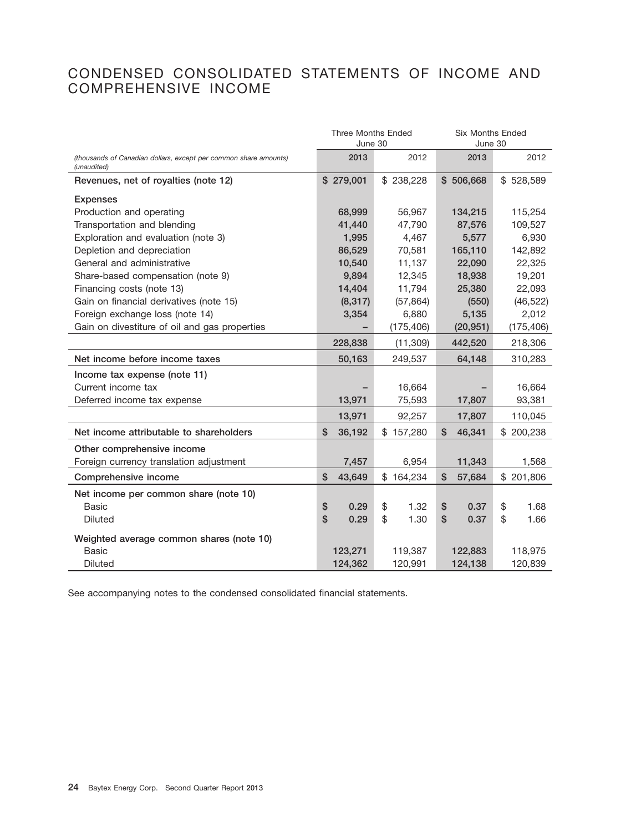## CONDENSED CONSOLIDATED STATEMENTS OF INCOME AND COMPREHENSIVE INCOME

|                                                                                 | <b>Three Months Ended</b><br>June 30 |            | <b>Six Months Ended</b><br>June 30 |            |  |
|---------------------------------------------------------------------------------|--------------------------------------|------------|------------------------------------|------------|--|
| (thousands of Canadian dollars, except per common share amounts)<br>(unaudited) | 2013                                 | 2012       | 2013                               | 2012       |  |
| Revenues, net of royalties (note 12)                                            | \$279,001                            | \$238,228  | \$506,668                          | \$528,589  |  |
| <b>Expenses</b>                                                                 |                                      |            |                                    |            |  |
| Production and operating                                                        | 68,999                               | 56,967     | 134,215                            | 115,254    |  |
| Transportation and blending                                                     | 41,440                               | 47,790     | 87,576                             | 109,527    |  |
| Exploration and evaluation (note 3)                                             | 1,995                                | 4,467      | 5,577                              | 6,930      |  |
| Depletion and depreciation                                                      | 86,529                               | 70,581     | 165,110                            | 142,892    |  |
| General and administrative                                                      | 10,540                               | 11,137     | 22,090                             | 22,325     |  |
| Share-based compensation (note 9)                                               | 9,894                                | 12,345     | 18,938                             | 19,201     |  |
| Financing costs (note 13)                                                       | 14,404                               | 11,794     | 25,380                             | 22,093     |  |
| Gain on financial derivatives (note 15)                                         | (8, 317)                             | (57, 864)  | (550)                              | (46, 522)  |  |
| Foreign exchange loss (note 14)                                                 | 3,354                                | 6,880      | 5,135                              | 2,012      |  |
| Gain on divestiture of oil and gas properties                                   |                                      | (175, 406) | (20, 951)                          | (175, 406) |  |
|                                                                                 | 228,838                              | (11, 309)  | 442,520                            | 218,306    |  |
| Net income before income taxes                                                  | 50,163                               | 249,537    | 64,148                             | 310,283    |  |
| Income tax expense (note 11)                                                    |                                      |            |                                    |            |  |
| Current income tax                                                              |                                      | 16,664     |                                    | 16,664     |  |
| Deferred income tax expense                                                     | 13,971                               | 75,593     | 17,807                             | 93,381     |  |
|                                                                                 | 13,971                               | 92,257     | 17,807                             | 110,045    |  |
| Net income attributable to shareholders                                         | \$<br>36,192                         | \$157,280  | \$<br>46,341                       | \$200,238  |  |
| Other comprehensive income                                                      |                                      |            |                                    |            |  |
| Foreign currency translation adjustment                                         | 7,457                                | 6,954      | 11,343                             | 1,568      |  |
| Comprehensive income                                                            | \$<br>43,649                         | \$164,234  | \$<br>57,684                       | \$201,806  |  |
| Net income per common share (note 10)                                           |                                      |            |                                    |            |  |
| <b>Basic</b>                                                                    | \$<br>0.29                           | 1.32<br>\$ | \$<br>0.37                         | \$<br>1.68 |  |
| <b>Diluted</b>                                                                  | \$<br>0.29                           | \$<br>1.30 | \$<br>0.37                         | \$<br>1.66 |  |
| Weighted average common shares (note 10)                                        |                                      |            |                                    |            |  |
| <b>Basic</b>                                                                    | 123,271                              | 119,387    | 122,883                            | 118,975    |  |
| <b>Diluted</b>                                                                  | 124,362                              | 120,991    | 124,138                            | 120,839    |  |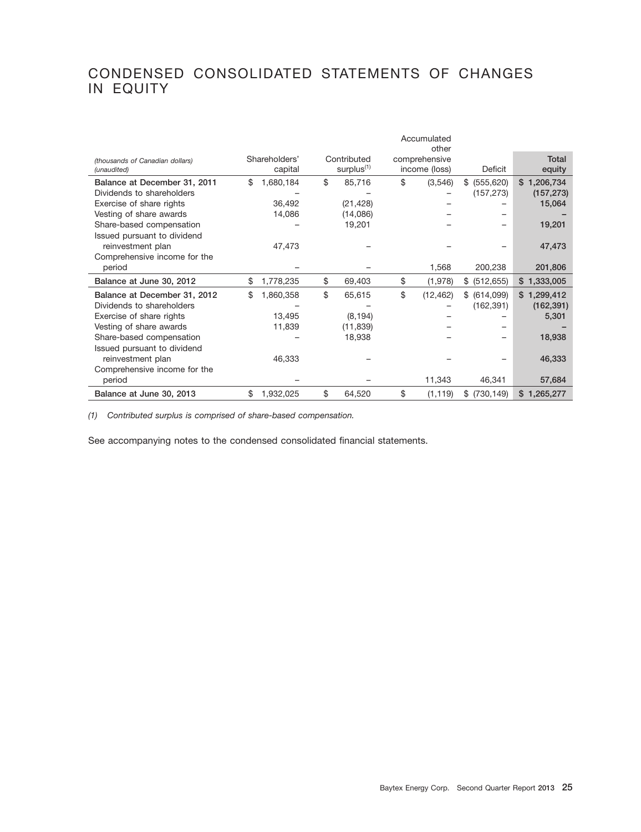### CONDENSED CONSOLIDATED STATEMENTS OF CHANGES IN EQUITY

|                                 | Accumulated<br>other |               |    |                        |    |               |                  |              |
|---------------------------------|----------------------|---------------|----|------------------------|----|---------------|------------------|--------------|
| (thousands of Canadian dollars) |                      | Shareholders' |    | Contributed            |    | comprehensive |                  | <b>Total</b> |
| (unaudited)                     |                      | capital       |    | surplus <sup>(1)</sup> |    | income (loss) | Deficit          | equity       |
| Balance at December 31, 2011    | \$                   | 1,680,184     | \$ | 85,716                 | \$ | (3,546)       | \$<br>(555, 620) | \$1,206,734  |
| Dividends to shareholders       |                      |               |    |                        |    |               | (157, 273)       | (157, 273)   |
| Exercise of share rights        |                      | 36,492        |    | (21, 428)              |    |               |                  | 15,064       |
| Vesting of share awards         |                      | 14,086        |    | (14,086)               |    |               |                  |              |
| Share-based compensation        |                      |               |    | 19,201                 |    |               |                  | 19,201       |
| Issued pursuant to dividend     |                      |               |    |                        |    |               |                  |              |
| reinvestment plan               |                      | 47,473        |    |                        |    |               |                  | 47,473       |
| Comprehensive income for the    |                      |               |    |                        |    |               |                  |              |
| period                          |                      |               |    |                        |    | 1,568         | 200,238          | 201,806      |
| Balance at June 30, 2012        | \$                   | 1,778,235     | \$ | 69,403                 | \$ | (1,978)       | \$<br>(512, 655) | \$1,333,005  |
| Balance at December 31, 2012    | \$                   | 1,860,358     | \$ | 65,615                 | \$ | (12, 462)     | \$ (614,099)     | \$1,299,412  |
| Dividends to shareholders       |                      |               |    |                        |    |               | (162, 391)       | (162, 391)   |
| Exercise of share rights        |                      | 13,495        |    | (8, 194)               |    |               |                  | 5,301        |
| Vesting of share awards         |                      | 11,839        |    | (11, 839)              |    |               |                  |              |
| Share-based compensation        |                      |               |    | 18,938                 |    |               |                  | 18,938       |
| Issued pursuant to dividend     |                      |               |    |                        |    |               |                  |              |
| reinvestment plan               |                      | 46,333        |    |                        |    |               |                  | 46,333       |
| Comprehensive income for the    |                      |               |    |                        |    |               |                  |              |
| period                          |                      |               |    |                        |    | 11,343        | 46,341           | 57,684       |
| Balance at June 30, 2013        | \$                   | 1,932,025     | \$ | 64,520                 | \$ | (1, 119)      | \$<br>(730, 149) | \$1,265,277  |

*(1) Contributed surplus is comprised of share-based compensation.*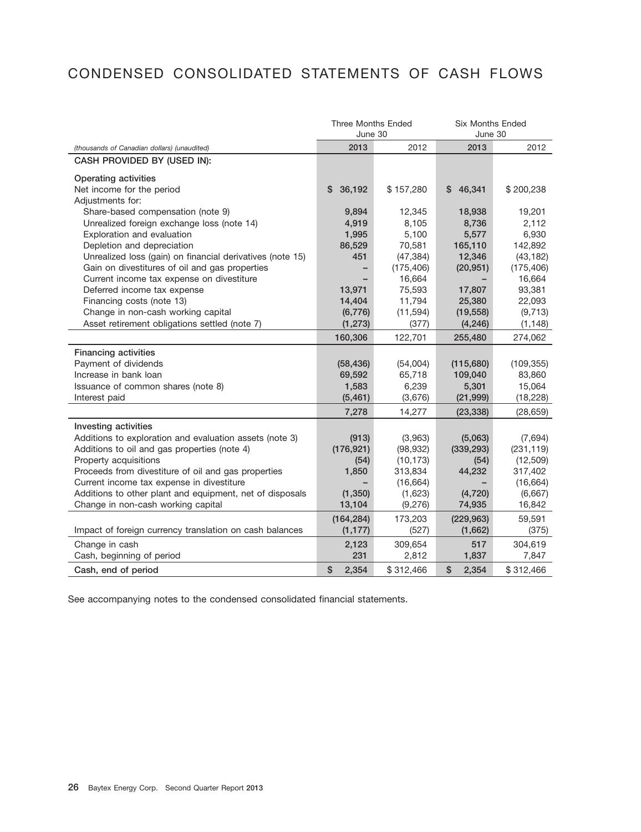# CONDENSED CONSOLIDATED STATEMENTS OF CASH FLOWS

|                                                           | <b>Three Months Ended</b><br>June 30 |            | <b>Six Months Ended</b><br>June 30 |            |  |
|-----------------------------------------------------------|--------------------------------------|------------|------------------------------------|------------|--|
| (thousands of Canadian dollars) (unaudited)               | 2013                                 | 2012       | 2013                               | 2012       |  |
| CASH PROVIDED BY (USED IN):                               |                                      |            |                                    |            |  |
| Operating activities                                      |                                      |            |                                    |            |  |
| Net income for the period                                 | \$<br>36,192                         | \$157,280  | 46,341<br>\$                       | \$200,238  |  |
| Adjustments for:                                          |                                      |            |                                    |            |  |
| Share-based compensation (note 9)                         | 9,894                                | 12,345     | 18,938                             | 19,201     |  |
| Unrealized foreign exchange loss (note 14)                | 4,919                                | 8,105      | 8,736                              | 2,112      |  |
| Exploration and evaluation                                | 1,995                                | 5,100      | 5,577                              | 6,930      |  |
| Depletion and depreciation                                | 86,529                               | 70,581     | 165,110                            | 142,892    |  |
| Unrealized loss (gain) on financial derivatives (note 15) | 451                                  | (47, 384)  | 12,346                             | (43, 182)  |  |
| Gain on divestitures of oil and gas properties            |                                      | (175, 406) | (20, 951)                          | (175, 406) |  |
| Current income tax expense on divestiture                 |                                      | 16,664     |                                    | 16,664     |  |
| Deferred income tax expense                               | 13,971                               | 75,593     | 17,807                             | 93,381     |  |
| Financing costs (note 13)                                 | 14,404                               | 11,794     | 25,380                             | 22,093     |  |
| Change in non-cash working capital                        | (6,776)                              | (11,594)   | (19, 558)                          | (9, 713)   |  |
| Asset retirement obligations settled (note 7)             | (1, 273)                             | (377)      | (4, 246)                           | (1, 148)   |  |
|                                                           | 160,306                              | 122,701    | 255,480                            | 274,062    |  |
| <b>Financing activities</b>                               |                                      |            |                                    |            |  |
| Payment of dividends                                      | (58, 436)                            | (54,004)   | (115,680)                          | (109, 355) |  |
| Increase in bank loan                                     | 69,592                               | 65,718     | 109,040                            | 83,860     |  |
| Issuance of common shares (note 8)                        | 1,583                                | 6,239      | 5,301                              | 15,064     |  |
| Interest paid                                             | (5, 461)                             | (3,676)    | (21, 999)                          | (18, 228)  |  |
|                                                           | 7,278                                | 14,277     | (23, 338)                          | (28, 659)  |  |
| Investing activities                                      |                                      |            |                                    |            |  |
| Additions to exploration and evaluation assets (note 3)   | (913)                                | (3,963)    | (5,063)                            | (7,694)    |  |
| Additions to oil and gas properties (note 4)              | (176, 921)                           | (98, 932)  | (339, 293)                         | (231, 119) |  |
| Property acquisitions                                     | (54)                                 | (10, 173)  | (54)                               | (12, 509)  |  |
| Proceeds from divestiture of oil and gas properties       | 1,850                                | 313,834    | 44,232                             | 317,402    |  |
| Current income tax expense in divestiture                 |                                      | (16, 664)  |                                    | (16, 664)  |  |
| Additions to other plant and equipment, net of disposals  | (1, 350)                             | (1,623)    | (4, 720)                           | (6,667)    |  |
| Change in non-cash working capital                        | 13,104                               | (9,276)    | 74,935                             | 16,842     |  |
|                                                           | (164, 284)                           | 173,203    | (229, 963)                         | 59,591     |  |
| Impact of foreign currency translation on cash balances   | (1, 177)                             | (527)      | (1,662)                            | (375)      |  |
| Change in cash                                            | 2,123                                | 309,654    | 517                                | 304,619    |  |
| Cash, beginning of period                                 | 231                                  | 2,812      | 1,837                              | 7,847      |  |
| Cash, end of period                                       | \$<br>2,354                          | \$312,466  | \$<br>2,354                        | \$312,466  |  |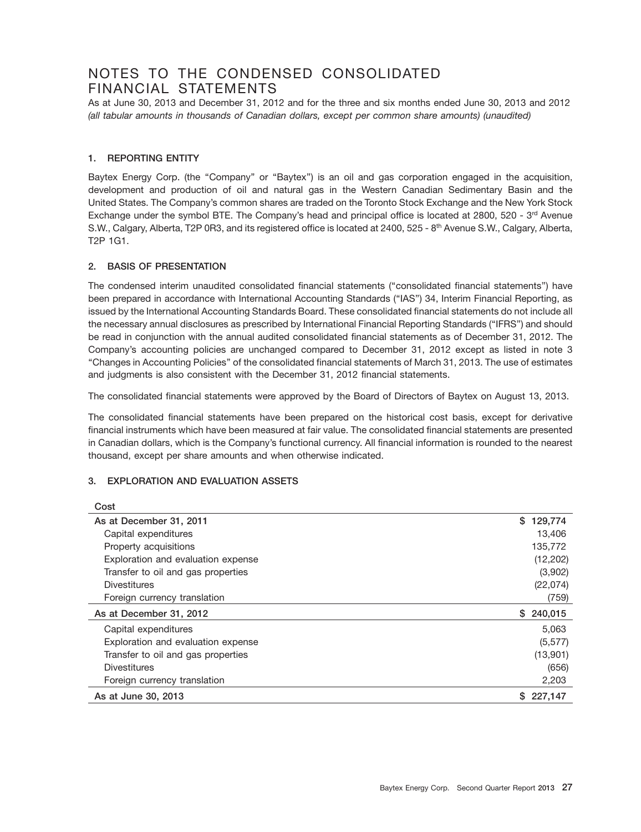### NOTES TO THE CONDENSED CONSOLIDATED FINANCIAL STATEMENTS

As at June 30, 2013 and December 31, 2012 and for the three and six months ended June 30, 2013 and 2012 *(all tabular amounts in thousands of Canadian dollars, except per common share amounts) (unaudited)*

### **1. REPORTING ENTITY**

Baytex Energy Corp. (the "Company" or "Baytex") is an oil and gas corporation engaged in the acquisition, development and production of oil and natural gas in the Western Canadian Sedimentary Basin and the United States. The Company's common shares are traded on the Toronto Stock Exchange and the New York Stock Exchange under the symbol BTE. The Company's head and principal office is located at 2800, 520 - 3<sup>rd</sup> Avenue S.W., Calgary, Alberta, T2P 0R3, and its registered office is located at 2400, 525 - 8<sup>th</sup> Avenue S.W., Calgary, Alberta, T2P 1G1.

### **2. BASIS OF PRESENTATION**

The condensed interim unaudited consolidated financial statements (''consolidated financial statements'') have been prepared in accordance with International Accounting Standards (''IAS'') 34, Interim Financial Reporting, as issued by the International Accounting Standards Board. These consolidated financial statements do not include all the necessary annual disclosures as prescribed by International Financial Reporting Standards (''IFRS'') and should be read in conjunction with the annual audited consolidated financial statements as of December 31, 2012. The Company's accounting policies are unchanged compared to December 31, 2012 except as listed in note 3 ''Changes in Accounting Policies'' of the consolidated financial statements of March 31, 2013. The use of estimates and judgments is also consistent with the December 31, 2012 financial statements.

The consolidated financial statements were approved by the Board of Directors of Baytex on August 13, 2013.

The consolidated financial statements have been prepared on the historical cost basis, except for derivative financial instruments which have been measured at fair value. The consolidated financial statements are presented in Canadian dollars, which is the Company's functional currency. All financial information is rounded to the nearest thousand, except per share amounts and when otherwise indicated.

### **3. EXPLORATION AND EVALUATION ASSETS**

| Cost                               |               |
|------------------------------------|---------------|
| As at December 31, 2011            | 129,774<br>S. |
| Capital expenditures               | 13,406        |
| Property acquisitions              | 135,772       |
| Exploration and evaluation expense | (12, 202)     |
| Transfer to oil and gas properties | (3,902)       |
| <b>Divestitures</b>                | (22,074)      |
| Foreign currency translation       | (759)         |
|                                    |               |
| As at December 31, 2012            | 240,015<br>S. |
| Capital expenditures               | 5,063         |
| Exploration and evaluation expense | (5,577)       |
| Transfer to oil and gas properties | (13,901)      |
| <b>Divestitures</b>                | (656)         |
| Foreign currency translation       | 2,203         |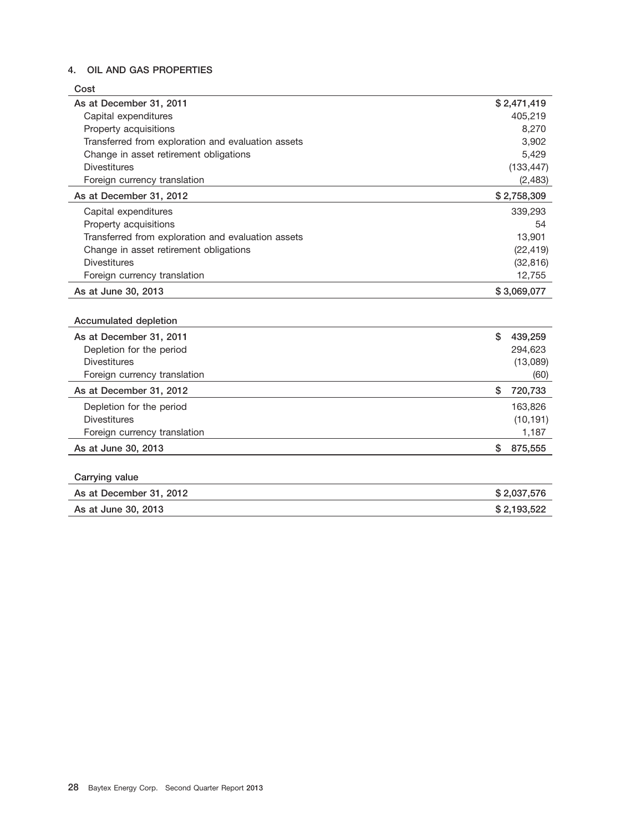### **4. OIL AND GAS PROPERTIES**

| Cost                                               |               |
|----------------------------------------------------|---------------|
| As at December 31, 2011                            | \$2,471,419   |
| Capital expenditures                               | 405,219       |
| Property acquisitions                              | 8,270         |
| Transferred from exploration and evaluation assets | 3,902         |
| Change in asset retirement obligations             | 5,429         |
| <b>Divestitures</b>                                | (133, 447)    |
| Foreign currency translation                       | (2, 483)      |
| As at December 31, 2012                            | \$2,758,309   |
| Capital expenditures                               | 339,293       |
| Property acquisitions                              | 54            |
| Transferred from exploration and evaluation assets | 13,901        |
| Change in asset retirement obligations             | (22, 419)     |
| <b>Divestitures</b>                                | (32, 816)     |
| Foreign currency translation                       | 12,755        |
| As at June 30, 2013                                | \$3,069,077   |
|                                                    |               |
| <b>Accumulated depletion</b>                       |               |
| As at December 31, 2011                            | \$<br>439,259 |
| Depletion for the period                           | 294,623       |
| <b>Divestitures</b>                                | (13,089)      |
| Foreign currency translation                       | (60)          |
| As at December 31, 2012                            | \$<br>720,733 |
| Depletion for the period                           | 163,826       |
| <b>Divestitures</b>                                | (10, 191)     |
| Foreign currency translation                       | 1,187         |
| As at June 30, 2013                                | \$<br>875,555 |
|                                                    |               |
| Carrying value                                     |               |
| As at December 31, 2012                            | \$2,037,576   |
| As at June 30, 2013                                | \$2,193,522   |
|                                                    |               |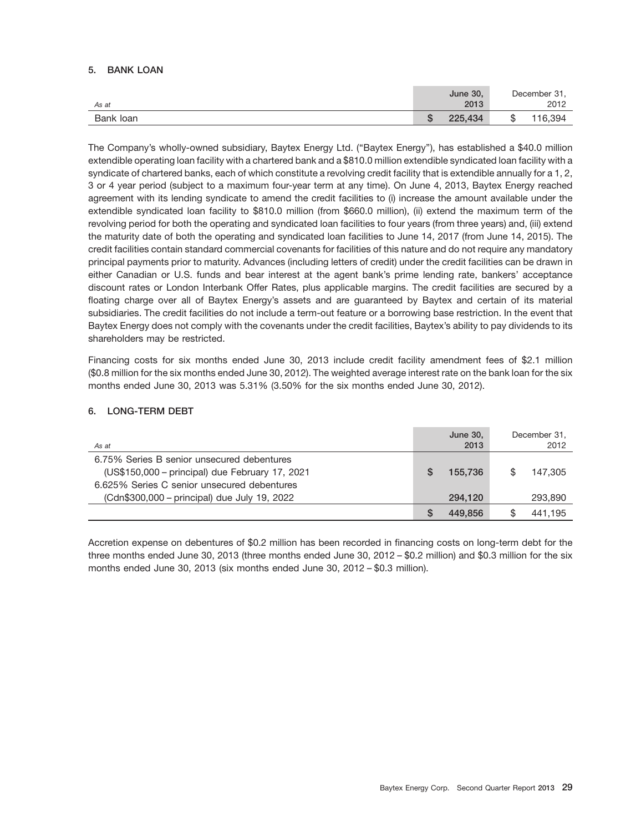### **5. BANK LOAN**

| As at     | June 30,<br>2013 | December 31,<br>2012 |
|-----------|------------------|----------------------|
| Bank loan | 225,434          | 116,394              |

The Company's wholly-owned subsidiary, Baytex Energy Ltd. (''Baytex Energy''), has established a \$40.0 million extendible operating loan facility with a chartered bank and a \$810.0 million extendible syndicated loan facility with a syndicate of chartered banks, each of which constitute a revolving credit facility that is extendible annually for a 1, 2, 3 or 4 year period (subject to a maximum four-year term at any time). On June 4, 2013, Baytex Energy reached agreement with its lending syndicate to amend the credit facilities to (i) increase the amount available under the extendible syndicated loan facility to \$810.0 million (from \$660.0 million), (ii) extend the maximum term of the revolving period for both the operating and syndicated loan facilities to four years (from three years) and, (iii) extend the maturity date of both the operating and syndicated loan facilities to June 14, 2017 (from June 14, 2015). The credit facilities contain standard commercial covenants for facilities of this nature and do not require any mandatory principal payments prior to maturity. Advances (including letters of credit) under the credit facilities can be drawn in either Canadian or U.S. funds and bear interest at the agent bank's prime lending rate, bankers' acceptance discount rates or London Interbank Offer Rates, plus applicable margins. The credit facilities are secured by a floating charge over all of Baytex Energy's assets and are guaranteed by Baytex and certain of its material subsidiaries. The credit facilities do not include a term-out feature or a borrowing base restriction. In the event that Baytex Energy does not comply with the covenants under the credit facilities, Baytex's ability to pay dividends to its shareholders may be restricted.

Financing costs for six months ended June 30, 2013 include credit facility amendment fees of \$2.1 million (\$0.8 million for the six months ended June 30, 2012). The weighted average interest rate on the bank loan for the six months ended June 30, 2013 was 5.31% (3.50% for the six months ended June 30, 2012).

### **6. LONG-TERM DEBT**

| As at                                                                                         | <b>June 30,</b><br>2013 | December 31,<br>2012 |
|-----------------------------------------------------------------------------------------------|-------------------------|----------------------|
| 6.75% Series B senior unsecured debentures<br>(US\$150,000 - principal) due February 17, 2021 | 155,736                 | 147.305              |
| 6.625% Series C senior unsecured debentures                                                   |                         |                      |
| (Cdn\$300,000 - principal) due July 19, 2022                                                  | 294.120                 | 293,890              |
|                                                                                               | 449,856                 | 441.195              |

Accretion expense on debentures of \$0.2 million has been recorded in financing costs on long-term debt for the three months ended June 30, 2013 (three months ended June 30, 2012 – \$0.2 million) and \$0.3 million for the six months ended June 30, 2013 (six months ended June 30, 2012 – \$0.3 million).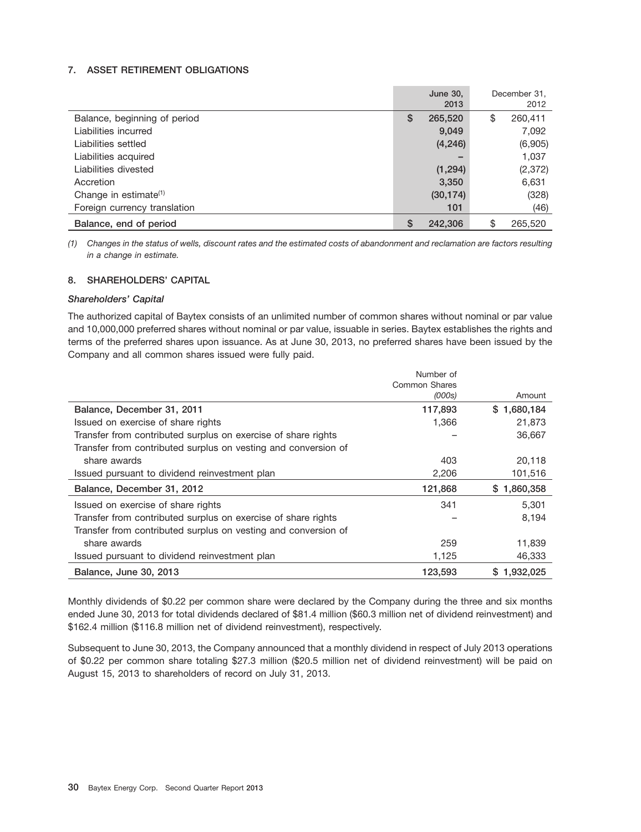### **7. ASSET RETIREMENT OBLIGATIONS**

|                              |    | <b>June 30.</b><br>2013 | December 31,<br>2012 |
|------------------------------|----|-------------------------|----------------------|
| Balance, beginning of period | \$ | 265,520                 | \$<br>260,411        |
| Liabilities incurred         |    | 9,049                   | 7,092                |
| I jabilities settled         |    | (4, 246)                | (6,905)              |
| Liabilities acquired         |    |                         | 1,037                |
| Liabilities divested         |    | (1,294)                 | (2, 372)             |
| Accretion                    |    | 3,350                   | 6,631                |
| Change in estimate $(1)$     |    | (30, 174)               | (328)                |
| Foreign currency translation |    | 101                     | (46)                 |
| Balance, end of period       | S  | 242,306                 | \$<br>265,520        |

*(1) Changes in the status of wells, discount rates and the estimated costs of abandonment and reclamation are factors resulting in a change in estimate.*

### **8. SHAREHOLDERS' CAPITAL**

### *Shareholders' Capital*

The authorized capital of Baytex consists of an unlimited number of common shares without nominal or par value and 10,000,000 preferred shares without nominal or par value, issuable in series. Baytex establishes the rights and terms of the preferred shares upon issuance. As at June 30, 2013, no preferred shares have been issued by the Company and all common shares issued were fully paid.

|                                                                | Number of     |             |
|----------------------------------------------------------------|---------------|-------------|
|                                                                | Common Shares |             |
|                                                                | (000s)        | Amount      |
| Balance, December 31, 2011                                     | 117,893       | \$1,680,184 |
| Issued on exercise of share rights                             | 1,366         | 21,873      |
| Transfer from contributed surplus on exercise of share rights  |               | 36,667      |
| Transfer from contributed surplus on vesting and conversion of |               |             |
| share awards                                                   | 403           | 20,118      |
| Issued pursuant to dividend reinvestment plan                  | 2,206         | 101,516     |
| Balance, December 31, 2012                                     | 121,868       | \$1,860,358 |
| Issued on exercise of share rights                             | 341           | 5.301       |
| Transfer from contributed surplus on exercise of share rights  |               | 8,194       |
| Transfer from contributed surplus on vesting and conversion of |               |             |
| share awards                                                   | 259           | 11,839      |
| Issued pursuant to dividend reinvestment plan                  | 1,125         | 46,333      |
| Balance, June 30, 2013                                         | 123,593       | \$1,932,025 |

Monthly dividends of \$0.22 per common share were declared by the Company during the three and six months ended June 30, 2013 for total dividends declared of \$81.4 million (\$60.3 million net of dividend reinvestment) and \$162.4 million (\$116.8 million net of dividend reinvestment), respectively.

Subsequent to June 30, 2013, the Company announced that a monthly dividend in respect of July 2013 operations of \$0.22 per common share totaling \$27.3 million (\$20.5 million net of dividend reinvestment) will be paid on August 15, 2013 to shareholders of record on July 31, 2013.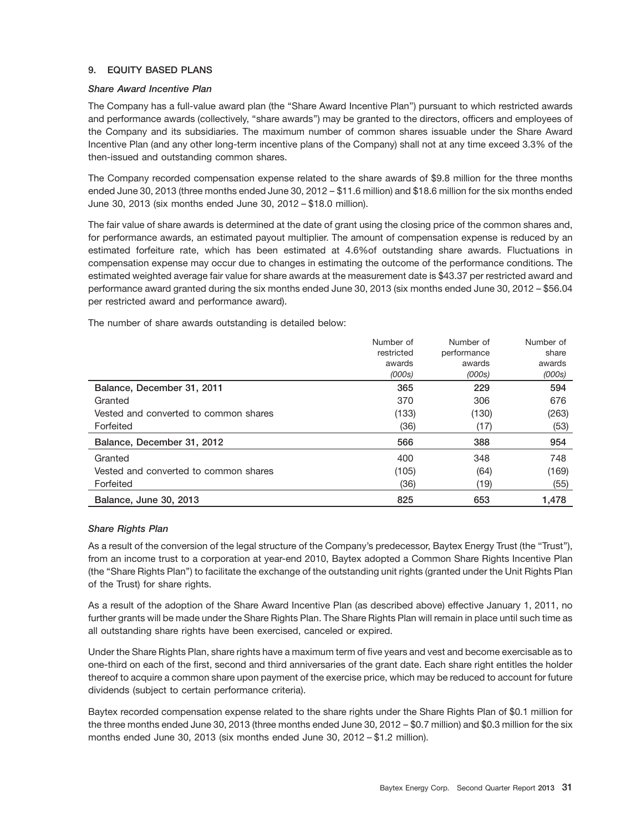### **9. EQUITY BASED PLANS**

### *Share Award Incentive Plan*

The Company has a full-value award plan (the ''Share Award Incentive Plan'') pursuant to which restricted awards and performance awards (collectively, ''share awards'') may be granted to the directors, officers and employees of the Company and its subsidiaries. The maximum number of common shares issuable under the Share Award Incentive Plan (and any other long-term incentive plans of the Company) shall not at any time exceed 3.3% of the then-issued and outstanding common shares.

The Company recorded compensation expense related to the share awards of \$9.8 million for the three months ended June 30, 2013 (three months ended June 30, 2012 – \$11.6 million) and \$18.6 million for the six months ended June 30, 2013 (six months ended June 30, 2012 – \$18.0 million).

The fair value of share awards is determined at the date of grant using the closing price of the common shares and, for performance awards, an estimated payout multiplier. The amount of compensation expense is reduced by an estimated forfeiture rate, which has been estimated at 4.6%of outstanding share awards. Fluctuations in compensation expense may occur due to changes in estimating the outcome of the performance conditions. The estimated weighted average fair value for share awards at the measurement date is \$43.37 per restricted award and performance award granted during the six months ended June 30, 2013 (six months ended June 30, 2012 – \$56.04 per restricted award and performance award).

The number of share awards outstanding is detailed below:

|                                       | Number of  | Number of   | Number of |
|---------------------------------------|------------|-------------|-----------|
|                                       | restricted | performance | share     |
|                                       | awards     | awards      | awards    |
|                                       | (000s)     | (000s)      | (000s)    |
| Balance, December 31, 2011            | 365        | 229         | 594       |
| Granted                               | 370        | 306         | 676       |
| Vested and converted to common shares | (133)      | (130)       | (263)     |
| Forfeited                             | (36)       | (17)        | (53)      |
| Balance, December 31, 2012            | 566        | 388         | 954       |
| Granted                               | 400        | 348         | 748       |
| Vested and converted to common shares | (105)      | (64)        | (169)     |
| Forfeited                             | (36)       | (19)        | (55)      |
| Balance, June 30, 2013                | 825        | 653         | 1.478     |

### *Share Rights Plan*

As a result of the conversion of the legal structure of the Company's predecessor, Baytex Energy Trust (the ''Trust''), from an income trust to a corporation at year-end 2010, Baytex adopted a Common Share Rights Incentive Plan (the ''Share Rights Plan'') to facilitate the exchange of the outstanding unit rights (granted under the Unit Rights Plan of the Trust) for share rights.

As a result of the adoption of the Share Award Incentive Plan (as described above) effective January 1, 2011, no further grants will be made under the Share Rights Plan. The Share Rights Plan will remain in place until such time as all outstanding share rights have been exercised, canceled or expired.

Under the Share Rights Plan, share rights have a maximum term of five years and vest and become exercisable as to one-third on each of the first, second and third anniversaries of the grant date. Each share right entitles the holder thereof to acquire a common share upon payment of the exercise price, which may be reduced to account for future dividends (subject to certain performance criteria).

Baytex recorded compensation expense related to the share rights under the Share Rights Plan of \$0.1 million for the three months ended June 30, 2013 (three months ended June 30, 2012 – \$0.7 million) and \$0.3 million for the six months ended June 30, 2013 (six months ended June 30, 2012 – \$1.2 million).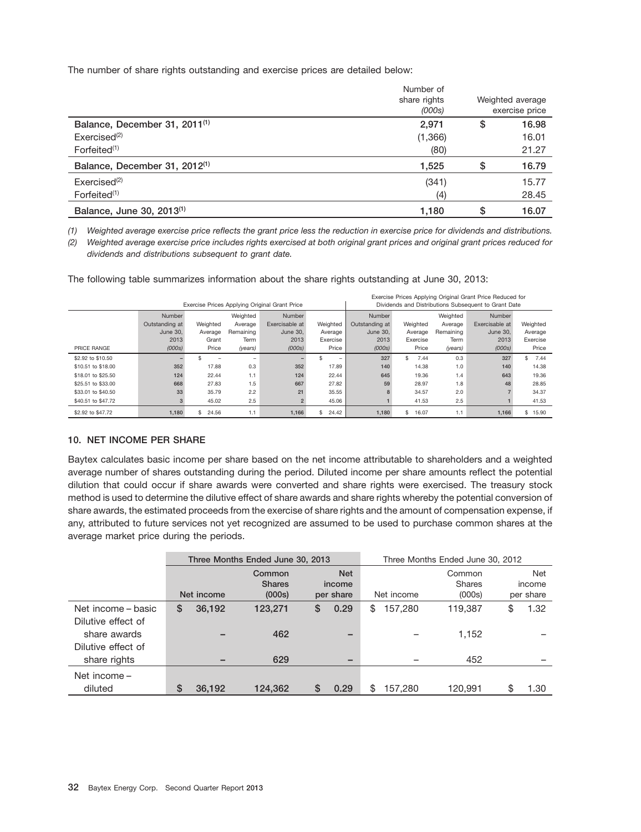The number of share rights outstanding and exercise prices are detailed below:

|                                           | Number of    |                  |
|-------------------------------------------|--------------|------------------|
|                                           | share rights | Weighted average |
|                                           | (000s)       | exercise price   |
| Balance, December 31, 2011 <sup>(1)</sup> | 2,971        | \$<br>16.98      |
| Exercise d <sup>(2)</sup>                 | (1, 366)     | 16.01            |
| Forfeited $(1)$                           | (80)         | 21.27            |
| Balance, December 31, 2012 <sup>(1)</sup> | 1,525        | \$<br>16.79      |
| Exercise d <sup>(2)</sup>                 | (341)        | 15.77            |
| Forfeited $(1)$                           | (4)          | 28.45            |
| Balance, June 30, 2013 <sup>(1)</sup>     | 1,180        | \$<br>16.07      |

*(1) Weighted average exercise price reflects the grant price less the reduction in exercise price for dividends and distributions.*

*(2) Weighted average exercise price includes rights exercised at both original grant prices and original grant prices reduced for dividends and distributions subsequent to grant date.*

The following table summarizes information about the share rights outstanding at June 30, 2013:

| Exercise Prices Applying Original Grant Price Reduced for |                |             |           |                                               |             |                |             |           |                                                      |            |
|-----------------------------------------------------------|----------------|-------------|-----------|-----------------------------------------------|-------------|----------------|-------------|-----------|------------------------------------------------------|------------|
|                                                           |                |             |           | Exercise Prices Applying Original Grant Price |             |                |             |           | Dividends and Distributions Subsequent to Grant Date |            |
|                                                           | <b>Number</b>  |             | Weighted  | Number                                        |             | Number         |             | Weighted  | Number                                               |            |
|                                                           | Outstanding at | Weighted    | Average   | Exercisable at                                | Weighted    | Outstanding at | Weighted    | Average   | Exercisable at                                       | Weighted   |
|                                                           | June 30.       | Average     | Remaining | June 30.                                      | Average     | June 30.       | Average     | Remaining | June 30.                                             | Average    |
|                                                           | 2013           | Grant       | Term      | 2013                                          | Exercise    | 2013           | Exercise    | Term      | 2013                                                 | Exercise   |
| PRICE RANGE                                               | (000s)         | Price       | (years)   | (000s)                                        | Price       | (000s)         | Price       | (years)   | (000s)                                               | Price      |
| \$2.92 to \$10.50                                         |                |             |           |                                               |             | 327            | 7.44<br>\$  | 0.3       | 327                                                  | 7.44<br>\$ |
| \$10.51 to \$18.00                                        | 352            | 17.88       | 0.3       | 352                                           | 17.89       | 140            | 14.38       | 1.0       | 140                                                  | 14.38      |
| \$18.01 to \$25.50                                        | 124            | 22.44       | 1.1       | 124                                           | 22.44       | 645            | 19.36       | 1.4       | 643                                                  | 19.36      |
| \$25.51 to \$33.00                                        | 668            | 27.83       | 1.5       | 667                                           | 27.82       | 59             | 28.97       | 1.8       | 48                                                   | 28.85      |
| \$33.01 to \$40.50                                        | 33             | 35.79       | 2.2       | 21                                            | 35.55       |                | 34.57       | 2.0       |                                                      | 34.37      |
| \$40.51 to \$47.72                                        |                | 45.02       | 2.5       |                                               | 45.06       |                | 41.53       | 2.5       |                                                      | 41.53      |
| \$2,92 to \$47.72                                         | 1.180          | 24.56<br>\$ | 1.1       | 1.166                                         | \$<br>24.42 | 1.180          | \$<br>16.07 | 1.1       | 1,166                                                | \$15.90    |

### **10. NET INCOME PER SHARE**

Baytex calculates basic income per share based on the net income attributable to shareholders and a weighted average number of shares outstanding during the period. Diluted income per share amounts reflect the potential dilution that could occur if share awards were converted and share rights were exercised. The treasury stock method is used to determine the dilutive effect of share awards and share rights whereby the potential conversion of share awards, the estimated proceeds from the exercise of share rights and the amount of compensation expense, if any, attributed to future services not yet recognized are assumed to be used to purchase common shares at the average market price during the periods.

|                                                          | Three Months Ended June 30, 2013 |        |                                   |    |                                   |            |         | Three Months Ended June 30, 2012 |                                   |
|----------------------------------------------------------|----------------------------------|--------|-----------------------------------|----|-----------------------------------|------------|---------|----------------------------------|-----------------------------------|
|                                                          | Net income                       |        | Common<br><b>Shares</b><br>(000s) |    | <b>Net</b><br>income<br>per share | Net income |         | Common<br>Shares<br>(000s)       | <b>Net</b><br>income<br>per share |
| Net income – basic                                       | S                                | 36,192 | 123,271                           | \$ | 0.29                              | \$         | 157,280 | 119.387                          | \$<br>1.32                        |
| Dilutive effect of<br>share awards<br>Dilutive effect of |                                  |        | 462                               |    | $\overline{\phantom{0}}$          |            |         | 1,152                            |                                   |
| share rights                                             |                                  |        | 629                               |    | -                                 |            |         | 452                              |                                   |
| Net income -<br>diluted                                  | S                                | 36,192 | 124.362                           | S  | 0.29                              | S          | 157.280 | 120.991                          | \$<br>1.30                        |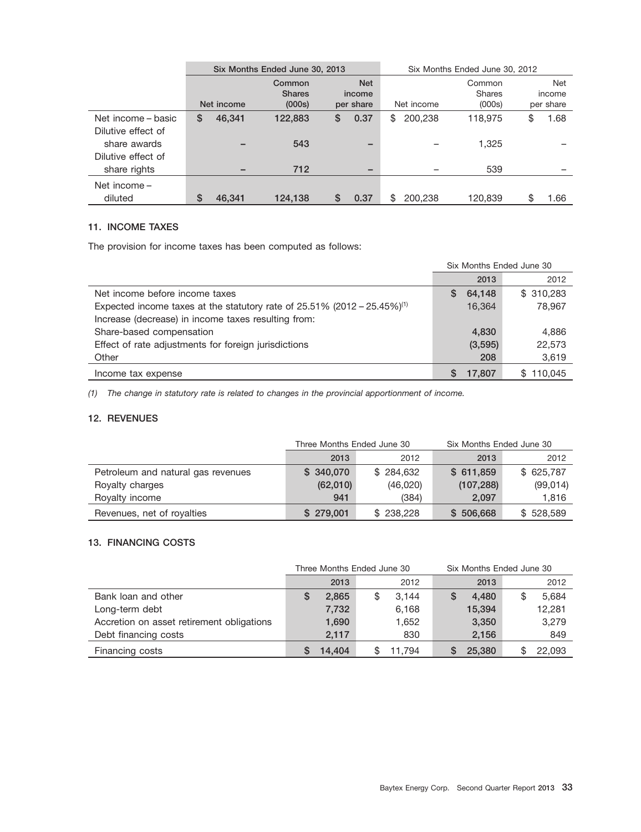|                    |              | Six Months Ended June 30, 2013    |                                   |               | Six Months Ended June 30, 2012 |                                   |
|--------------------|--------------|-----------------------------------|-----------------------------------|---------------|--------------------------------|-----------------------------------|
|                    | Net income   | Common<br><b>Shares</b><br>(000s) | <b>Net</b><br>income<br>per share | Net income    | Common<br>Shares<br>(000s)     | <b>Net</b><br>income<br>per share |
| Net income – basic | 46,341<br>\$ | 122,883                           | \$<br>0.37                        | 200,238<br>\$ | 118.975                        | \$<br>1.68                        |
| Dilutive effect of |              |                                   |                                   |               |                                |                                   |
| share awards       |              | 543                               |                                   |               | 1,325                          |                                   |
| Dilutive effect of |              |                                   |                                   |               |                                |                                   |
| share rights       |              | 712                               | -                                 |               | 539                            |                                   |
| Net income $-$     |              |                                   |                                   |               |                                |                                   |
| diluted            | \$<br>46,341 | 124,138                           | \$<br>0.37                        | 200,238<br>S  | 120,839                        | \$<br>1.66                        |

### **11. INCOME TAXES**

The provision for income taxes has been computed as follows:

|                                                                                      | Six Months Ended June 30 |           |
|--------------------------------------------------------------------------------------|--------------------------|-----------|
|                                                                                      | 2013                     | 2012      |
| Net income before income taxes                                                       | 64,148<br>S              | \$310,283 |
| Expected income taxes at the statutory rate of 25.51% (2012 – 25.45%) <sup>(1)</sup> | 16,364                   | 78.967    |
| Increase (decrease) in income taxes resulting from:                                  |                          |           |
| Share-based compensation                                                             | 4,830                    | 4,886     |
| Effect of rate adjustments for foreign jurisdictions                                 | (3,595)                  | 22,573    |
| Other                                                                                | 208                      | 3,619     |
| Income tax expense                                                                   | 17.807                   | 110.045   |

*(1) The change in statutory rate is related to changes in the provincial apportionment of income.*

### **12. REVENUES**

|                                    | Three Months Ended June 30 |           | Six Months Ended June 30 |           |  |
|------------------------------------|----------------------------|-----------|--------------------------|-----------|--|
|                                    | 2013                       | 2012      | 2013                     | 2012      |  |
| Petroleum and natural gas revenues | \$340,070                  | \$284.632 | \$611,859                | \$625.787 |  |
| Royalty charges                    | (62,010)                   | (46,020)  | (107, 288)               | (99,014)  |  |
| Royalty income                     | 941                        | (384)     | 2.097                    | 1,816     |  |
| Revenues, net of royalties         | \$279,001                  | \$238.228 | \$506,668                | \$528,589 |  |

### **13. FINANCING COSTS**

|                                           | Three Months Ended June 30 |        |    | Six Months Ended June 30 |    |        |  |        |
|-------------------------------------------|----------------------------|--------|----|--------------------------|----|--------|--|--------|
|                                           |                            | 2013   |    | 2012                     |    | 2013   |  | 2012   |
| Bank loan and other                       | S                          | 2,865  | \$ | 3.144                    | \$ | 4.480  |  | 5,684  |
| Long-term debt                            |                            | 7,732  |    | 6,168                    |    | 15,394 |  | 12,281 |
| Accretion on asset retirement obligations |                            | 1,690  |    | 1,652                    |    | 3,350  |  | 3,279  |
| Debt financing costs                      |                            | 2,117  |    | 830                      |    | 2,156  |  | 849    |
| Financing costs                           |                            | 14.404 |    | 11.794                   | S  | 25,380 |  | 22,093 |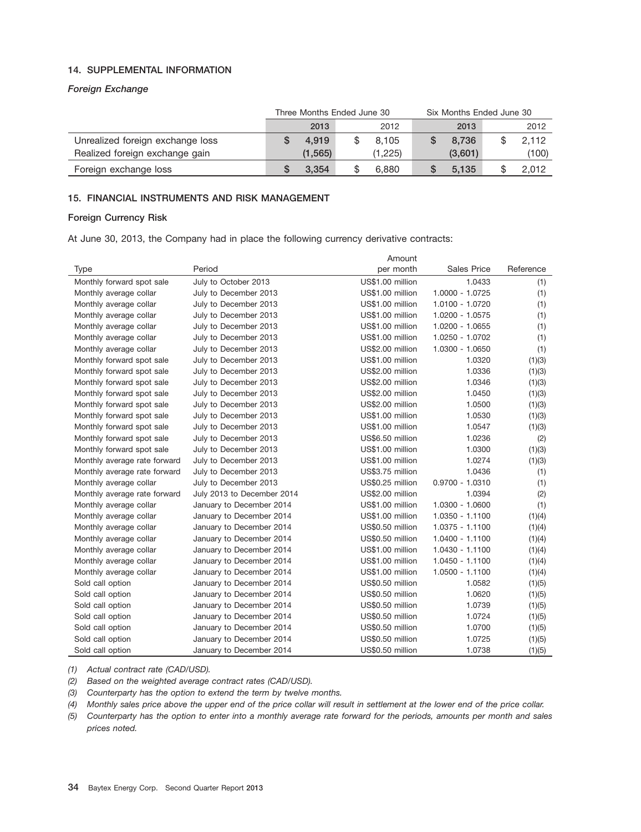### **14. SUPPLEMENTAL INFORMATION**

### *Foreign Exchange*

|                                  | Three Months Ended June 30 |          |  | Six Months Ended June 30 |  |         |  |       |
|----------------------------------|----------------------------|----------|--|--------------------------|--|---------|--|-------|
|                                  |                            | 2013     |  | 2012                     |  | 2013    |  | 2012  |
| Unrealized foreign exchange loss |                            | 4.919    |  | 8.105                    |  | 8.736   |  | 2.112 |
| Realized foreign exchange gain   |                            | (1, 565) |  | (1,225)                  |  | (3,601) |  | (100) |
| Foreign exchange loss            |                            | 3.354    |  | 6.880                    |  | 5.135   |  | 2.012 |

### **15. FINANCIAL INSTRUMENTS AND RISK MANAGEMENT**

### **Foreign Currency Risk**

At June 30, 2013, the Company had in place the following currency derivative contracts:

|                              |                            | Amount           |                    |           |
|------------------------------|----------------------------|------------------|--------------------|-----------|
| <b>Type</b>                  | Period                     | per month        | <b>Sales Price</b> | Reference |
| Monthly forward spot sale    | July to October 2013       | US\$1.00 million | 1.0433             | (1)       |
| Monthly average collar       | July to December 2013      | US\$1.00 million | 1.0000 - 1.0725    | (1)       |
| Monthly average collar       | July to December 2013      | US\$1.00 million | 1.0100 - 1.0720    | (1)       |
| Monthly average collar       | July to December 2013      | US\$1.00 million | 1.0200 - 1.0575    | (1)       |
| Monthly average collar       | July to December 2013      | US\$1.00 million | 1.0200 - 1.0655    | (1)       |
| Monthly average collar       | July to December 2013      | US\$1.00 million | 1.0250 - 1.0702    | (1)       |
| Monthly average collar       | July to December 2013      | US\$2.00 million | 1.0300 - 1.0650    | (1)       |
| Monthly forward spot sale    | July to December 2013      | US\$1.00 million | 1.0320             | (1)(3)    |
| Monthly forward spot sale    | July to December 2013      | US\$2.00 million | 1.0336             | (1)(3)    |
| Monthly forward spot sale    | July to December 2013      | US\$2.00 million | 1.0346             | (1)(3)    |
| Monthly forward spot sale    | July to December 2013      | US\$2.00 million | 1.0450             | (1)(3)    |
| Monthly forward spot sale    | July to December 2013      | US\$2.00 million | 1.0500             | (1)(3)    |
| Monthly forward spot sale    | July to December 2013      | US\$1.00 million | 1.0530             | (1)(3)    |
| Monthly forward spot sale    | July to December 2013      | US\$1.00 million | 1.0547             | (1)(3)    |
| Monthly forward spot sale    | July to December 2013      | US\$6.50 million | 1.0236             | (2)       |
| Monthly forward spot sale    | July to December 2013      | US\$1.00 million | 1.0300             | (1)(3)    |
| Monthly average rate forward | July to December 2013      | US\$1.00 million | 1.0274             | (1)(3)    |
| Monthly average rate forward | July to December 2013      | US\$3.75 million | 1.0436             | (1)       |
| Monthly average collar       | July to December 2013      | US\$0.25 million | $0.9700 - 1.0310$  | (1)       |
| Monthly average rate forward | July 2013 to December 2014 | US\$2.00 million | 1.0394             | (2)       |
| Monthly average collar       | January to December 2014   | US\$1.00 million | 1.0300 - 1.0600    | (1)       |
| Monthly average collar       | January to December 2014   | US\$1.00 million | 1.0350 - 1.1100    | (1)(4)    |
| Monthly average collar       | January to December 2014   | US\$0.50 million | 1.0375 - 1.1100    | (1)(4)    |
| Monthly average collar       | January to December 2014   | US\$0.50 million | $1.0400 - 1.1100$  | (1)(4)    |
| Monthly average collar       | January to December 2014   | US\$1.00 million | $1.0430 - 1.1100$  | (1)(4)    |
| Monthly average collar       | January to December 2014   | US\$1.00 million | $1.0450 - 1.1100$  | (1)(4)    |
| Monthly average collar       | January to December 2014   | US\$1.00 million | 1.0500 - 1.1100    | (1)(4)    |
| Sold call option             | January to December 2014   | US\$0.50 million | 1.0582             | (1)(5)    |
| Sold call option             | January to December 2014   | US\$0.50 million | 1.0620             | (1)(5)    |
| Sold call option             | January to December 2014   | US\$0.50 million | 1.0739             | (1)(5)    |
| Sold call option             | January to December 2014   | US\$0.50 million | 1.0724             | (1)(5)    |
| Sold call option             | January to December 2014   | US\$0.50 million | 1.0700             | (1)(5)    |
| Sold call option             | January to December 2014   | US\$0.50 million | 1.0725             | (1)(5)    |
| Sold call option             | January to December 2014   | US\$0.50 million | 1.0738             | (1)(5)    |

*(1) Actual contract rate (CAD/USD).*

*(2) Based on the weighted average contract rates (CAD/USD).*

*(3) Counterparty has the option to extend the term by twelve months.*

*(4) Monthly sales price above the upper end of the price collar will result in settlement at the lower end of the price collar.*

*(5) Counterparty has the option to enter into a monthly average rate forward for the periods, amounts per month and sales prices noted.*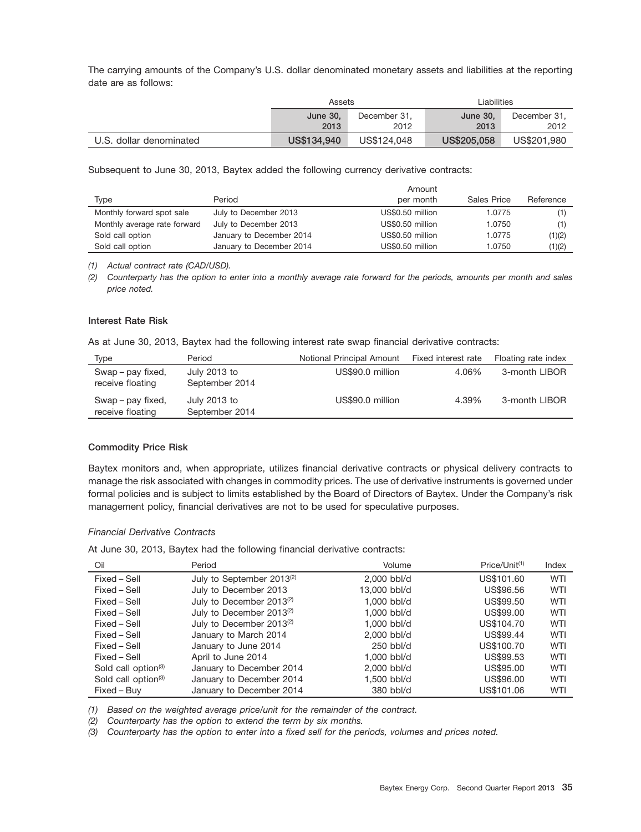The carrying amounts of the Company's U.S. dollar denominated monetary assets and liabilities at the reporting date are as follows:

|                         | Assets      |              | ∟iabilities |              |  |
|-------------------------|-------------|--------------|-------------|--------------|--|
|                         | June 30.    | December 31. | June $30$ , | December 31. |  |
|                         | 2013        | 2012         | 2013        | 2012         |  |
| U.S. dollar denominated | US\$134,940 | US\$124,048  | US\$205,058 | US\$201.980  |  |

Subsequent to June 30, 2013, Baytex added the following currency derivative contracts:

| Type                         | Period                   | Amount<br>per month | Sales Price | Reference |
|------------------------------|--------------------------|---------------------|-------------|-----------|
| Monthly forward spot sale    | July to December 2013    | US\$0.50 million    | 1.0775      |           |
| Monthly average rate forward | July to December 2013    | US\$0.50 million    | 1.0750      |           |
| Sold call option             | January to December 2014 | US\$0.50 million    | 1.0775      | (1)(2)    |
| Sold call option             | January to December 2014 | US\$0.50 million    | 1.0750      | (1)(2)    |

*(1) Actual contract rate (CAD/USD).*

*(2) Counterparty has the option to enter into a monthly average rate forward for the periods, amounts per month and sales price noted.*

### **Interest Rate Risk**

As at June 30, 2013, Baytex had the following interest rate swap financial derivative contracts:

| Type                                  | Period                         | Notional Principal Amount | Fixed interest rate | Floating rate index |
|---------------------------------------|--------------------------------|---------------------------|---------------------|---------------------|
| Swap – pay fixed,<br>receive floating | July 2013 to<br>September 2014 | US\$90.0 million          | 4.06%               | 3-month LIBOR       |
| Swap – pay fixed,<br>receive floating | July 2013 to<br>September 2014 | US\$90.0 million          | 4.39%               | 3-month LIBOR       |

### **Commodity Price Risk**

Baytex monitors and, when appropriate, utilizes financial derivative contracts or physical delivery contracts to manage the risk associated with changes in commodity prices. The use of derivative instruments is governed under formal policies and is subject to limits established by the Board of Directors of Baytex. Under the Company's risk management policy, financial derivatives are not to be used for speculative purposes.

### *Financial Derivative Contracts*

At June 30, 2013, Baytex had the following financial derivative contracts:

| Oil                    | Period                                | Volume       | $Price/Unit^{(1)}$ | Index      |
|------------------------|---------------------------------------|--------------|--------------------|------------|
| Fixed – Sell           | July to September 2013 <sup>(2)</sup> | 2,000 bbl/d  | US\$101.60         | <b>WTI</b> |
| Fixed – Sell           | July to December 2013                 | 13,000 bbl/d | US\$96.56          | <b>WTI</b> |
| Fixed – Sell           | July to December 2013 <sup>(2)</sup>  | 1,000 bbl/d  | US\$99.50          | <b>WTI</b> |
| Fixed – Sell           | July to December 2013 <sup>(2)</sup>  | 1.000 bbl/d  | US\$99.00          | WTI        |
| Fixed – Sell           | July to December 2013 <sup>(2)</sup>  | 1,000 bbl/d  | US\$104.70         | WTI        |
| Fixed – Sell           | January to March 2014                 | 2,000 bbl/d  | US\$99.44          | <b>WTI</b> |
| Fixed – Sell           | January to June 2014                  | 250 bbl/d    | US\$100.70         | <b>WTI</b> |
| Fixed – Sell           | April to June 2014                    | 1.000 bbl/d  | US\$99.53          | <b>WTI</b> |
| Sold call option $(3)$ | January to December 2014              | 2.000 bbl/d  | US\$95.00          | <b>WTI</b> |
| Sold call option $(3)$ | January to December 2014              | 1.500 bbl/d  | US\$96.00          | <b>WTI</b> |
| Fixed – Buy            | January to December 2014              | 380 bbl/d    | US\$101.06         | WTI        |

*(1) Based on the weighted average price/unit for the remainder of the contract.*

*(2) Counterparty has the option to extend the term by six months.*

*(3) Counterparty has the option to enter into a fixed sell for the periods, volumes and prices noted.*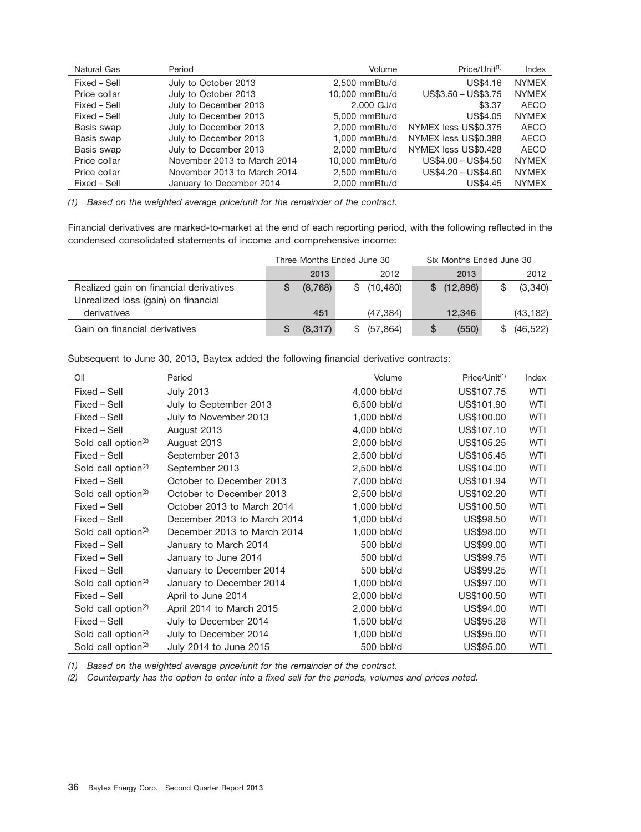| <b>Natural Gas</b> | Period                      | Volume          | Price/Unit <sup>(1)</sup> | Index        |
|--------------------|-----------------------------|-----------------|---------------------------|--------------|
| Fixed - Sell       | July to October 2013        | $2.500$ mmBtu/d | US\$4.16                  | <b>NYMEX</b> |
| Price collar       | July to October 2013        | 10.000 mmBtu/d  | US\$3.50 - US\$3.75       | <b>NYMEX</b> |
| Fixed - Sell       | July to December 2013       | 2,000 GJ/d      | \$3.37                    | AECO         |
| Fixed – Sell       | July to December 2013       | 5.000 mmBtu/d   | US\$4.05                  | <b>NYMEX</b> |
| Basis swap         | July to December 2013       | 2.000 mmBtu/d   | NYMEX less US\$0.375      | <b>AECO</b>  |
| Basis swap         | July to December 2013       | 1.000 mmBtu/d   | NYMEX less US\$0.388      | <b>AECO</b>  |
| Basis swap         | July to December 2013       | 2.000 mmBtu/d   | NYMEX less US\$0.428      | <b>AECO</b>  |
| Price collar       | November 2013 to March 2014 | 10,000 mmBtu/d  | US\$4.00 - US\$4.50       | <b>NYMEX</b> |
| Price collar       | November 2013 to March 2014 | 2.500 mmBtu/d   | US\$4.20 - US\$4.60       | <b>NYMEX</b> |
| Fixed - Sell       | January to December 2014    | 2.000 mmBtu/d   | US\$4.45                  | <b>NYMEX</b> |

*(1) Based on the weighted average price/unit for the remainder of the contract.*

Financial derivatives are marked-to-market at the end of each reporting period, with the following reflected in the condensed consolidated statements of income and comprehensive income:

|                                                                               | Three Months Ended June 30 |         |    | Six Months Ended June 30 |   |            |  |           |
|-------------------------------------------------------------------------------|----------------------------|---------|----|--------------------------|---|------------|--|-----------|
|                                                                               |                            | 2013    |    | 2012                     |   | 2013       |  | 2012      |
| Realized gain on financial derivatives<br>Unrealized loss (gain) on financial |                            | (8,768) | S. | (10, 480)                |   | \$(12,896) |  | (3,340)   |
| derivatives                                                                   |                            | 451     |    | (47, 384)                |   | 12.346     |  | (43, 182) |
| Gain on financial derivatives                                                 |                            | (8,317) |    | (57, 864)                | S | (550)      |  | (46, 522) |

Subsequent to June 30, 2013, Baytex added the following financial derivative contracts:

| Oil                             | Period                      | Volume      | Price/Unit <sup>(1)</sup> | Index      |
|---------------------------------|-----------------------------|-------------|---------------------------|------------|
| Fixed – Sell                    | <b>July 2013</b>            | 4,000 bbl/d | US\$107.75                | <b>WTI</b> |
| Fixed – Sell                    | July to September 2013      | 6,500 bbl/d | US\$101.90                | <b>WTI</b> |
| Fixed - Sell                    | July to November 2013       | 1,000 bbl/d | US\$100.00                | <b>WTI</b> |
| Fixed - Sell                    | August 2013                 | 4,000 bbl/d | US\$107.10                | <b>WTI</b> |
| Sold call option <sup>(2)</sup> | August 2013                 | 2,000 bbl/d | US\$105.25                | <b>WTI</b> |
| Fixed – Sell                    | September 2013              | 2,500 bbl/d | US\$105.45                | <b>WTI</b> |
| Sold call option <sup>(2)</sup> | September 2013              | 2,500 bbl/d | US\$104.00                | <b>WTI</b> |
| Fixed - Sell                    | October to December 2013    | 7,000 bbl/d | US\$101.94                | WTI        |
| Sold call option <sup>(2)</sup> | October to December 2013    | 2,500 bbl/d | US\$102.20                | <b>WTI</b> |
| Fixed – Sell                    | October 2013 to March 2014  | 1,000 bbl/d | US\$100.50                | WTI        |
| Fixed - Sell                    | December 2013 to March 2014 | 1,000 bbl/d | US\$98.50                 | <b>WTI</b> |
| Sold call option <sup>(2)</sup> | December 2013 to March 2014 | 1,000 bbl/d | US\$98.00                 | <b>WTI</b> |
| Fixed – Sell                    | January to March 2014       | 500 bbl/d   | US\$99.00                 | <b>WTI</b> |
| Fixed – Sell                    | January to June 2014        | 500 bbl/d   | US\$99.75                 | WTI        |
| Fixed - Sell                    | January to December 2014    | 500 bbl/d   | US\$99.25                 | <b>WTI</b> |
| Sold call option <sup>(2)</sup> | January to December 2014    | 1,000 bbl/d | US\$97.00                 | WTI        |
| Fixed - Sell                    | April to June 2014          | 2,000 bbl/d | US\$100.50                | WTI        |
| Sold call option <sup>(2)</sup> | April 2014 to March 2015    | 2,000 bbl/d | US\$94.00                 | WTI        |
| Fixed - Sell                    | July to December 2014       | 1,500 bbl/d | US\$95.28                 | <b>WTI</b> |
| Sold call option <sup>(2)</sup> | July to December 2014       | 1,000 bbl/d | US\$95.00                 | WTI        |
| Sold call option <sup>(2)</sup> | July 2014 to June 2015      | 500 bbl/d   | US\$95.00                 | WTI        |

*(1) Based on the weighted average price/unit for the remainder of the contract.*

*(2) Counterparty has the option to enter into a fixed sell for the periods, volumes and prices noted.*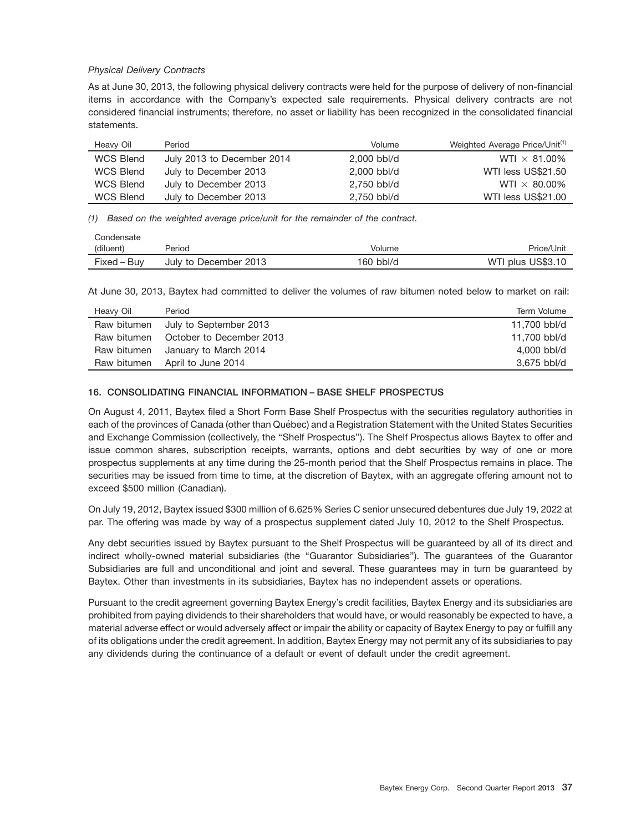### *Physical Delivery Contracts*

As at June 30, 2013, the following physical delivery contracts were held for the purpose of delivery of non-financial items in accordance with the Company's expected sale requirements. Physical delivery contracts are not considered financial instruments; therefore, no asset or liability has been recognized in the consolidated financial statements.

| Heavy Oil        | Period                     | Volume        | Weighted Average Price/Unit <sup>(1)</sup> |
|------------------|----------------------------|---------------|--------------------------------------------|
| <b>WCS Blend</b> | July 2013 to December 2014 | $2,000$ bbl/d | WTI $\times$ 81.00%                        |
| <b>WCS Blend</b> | July to December 2013      | 2.000 bbl/d   | WTI less US\$21.50                         |
| <b>WCS Blend</b> | July to December 2013      | 2.750 bbl/d   | WTI $\times$ 80.00%                        |
| <b>WCS Blend</b> | July to December 2013      | 2.750 bbl/d   | WTI less US\$21.00                         |

*(1) Based on the weighted average price/unit for the remainder of the contract.*

| Condensate  |                       |           |                   |
|-------------|-----------------------|-----------|-------------------|
| (diluent)   | Period                | Volume    | Price/Unit        |
| Fixed - Buv | July to December 2013 | 160 bbl/d | WTI plus US\$3.10 |

At June 30, 2013, Baytex had committed to deliver the volumes of raw bitumen noted below to market on rail:

| Heavy Oil   | Period                   | Term Volume  |
|-------------|--------------------------|--------------|
| Raw bitumen | July to September 2013   | 11.700 bbl/d |
| Raw bitumen | October to December 2013 | 11.700 bbl/d |
| Raw bitumen | January to March 2014    | 4.000 bbl/d  |
| Raw bitumen | April to June 2014       | 3.675 bbl/d  |

### **16. CONSOLIDATING FINANCIAL INFORMATION – BASE SHELF PROSPECTUS**

On August 4, 2011, Baytex filed a Short Form Base Shelf Prospectus with the securities regulatory authorities in each of the provinces of Canada (other than Québec) and a Registration Statement with the United States Securities and Exchange Commission (collectively, the ''Shelf Prospectus''). The Shelf Prospectus allows Baytex to offer and issue common shares, subscription receipts, warrants, options and debt securities by way of one or more prospectus supplements at any time during the 25-month period that the Shelf Prospectus remains in place. The securities may be issued from time to time, at the discretion of Baytex, with an aggregate offering amount not to exceed \$500 million (Canadian).

On July 19, 2012, Baytex issued \$300 million of 6.625% Series C senior unsecured debentures due July 19, 2022 at par. The offering was made by way of a prospectus supplement dated July 10, 2012 to the Shelf Prospectus.

Any debt securities issued by Baytex pursuant to the Shelf Prospectus will be guaranteed by all of its direct and indirect wholly-owned material subsidiaries (the "Guarantor Subsidiaries"). The guarantees of the Guarantor Subsidiaries are full and unconditional and joint and several. These guarantees may in turn be guaranteed by Baytex. Other than investments in its subsidiaries, Baytex has no independent assets or operations.

Pursuant to the credit agreement governing Baytex Energy's credit facilities, Baytex Energy and its subsidiaries are prohibited from paying dividends to their shareholders that would have, or would reasonably be expected to have, a material adverse effect or would adversely affect or impair the ability or capacity of Baytex Energy to pay or fulfill any of its obligations under the credit agreement. In addition, Baytex Energy may not permit any of its subsidiaries to pay any dividends during the continuance of a default or event of default under the credit agreement.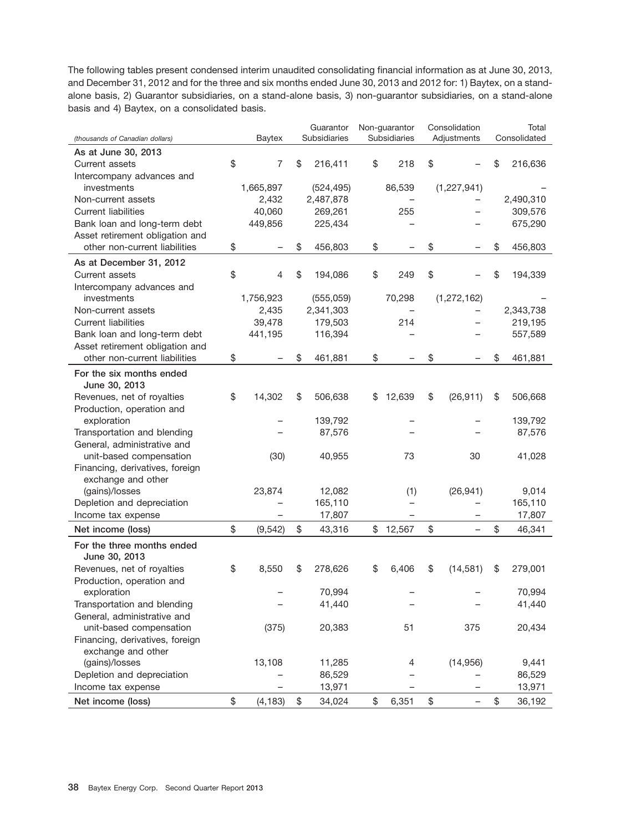The following tables present condensed interim unaudited consolidating financial information as at June 30, 2013, and December 31, 2012 and for the three and six months ended June 30, 2013 and 2012 for: 1) Baytex, on a standalone basis, 2) Guarantor subsidiaries, on a stand-alone basis, 3) non-guarantor subsidiaries, on a stand-alone basis and 4) Baytex, on a consolidated basis.

|                                 |                | Guarantor<br>Subsidiaries |     | Non-guarantor | Consolidation<br>Adjustments | Total<br>Consolidated |
|---------------------------------|----------------|---------------------------|-----|---------------|------------------------------|-----------------------|
| (thousands of Canadian dollars) | Baytex         |                           |     | Subsidiaries  |                              |                       |
| As at June 30, 2013             |                |                           |     |               |                              |                       |
| <b>Current assets</b>           | \$<br>7        | \$<br>216,411             | \$  | 218           | \$                           | \$<br>216,636         |
| Intercompany advances and       |                |                           |     |               |                              |                       |
| investments                     | 1,665,897      | (524, 495)                |     | 86,539        | (1, 227, 941)                |                       |
| Non-current assets              | 2,432          | 2,487,878                 |     |               |                              | 2,490,310             |
| <b>Current liabilities</b>      | 40,060         | 269,261                   |     | 255           |                              | 309,576               |
| Bank loan and long-term debt    | 449,856        | 225,434                   |     |               |                              | 675,290               |
| Asset retirement obligation and |                |                           |     |               |                              |                       |
| other non-current liabilities   | \$             | \$<br>456,803             | \$  |               | \$                           | \$<br>456,803         |
| As at December 31, 2012         |                |                           |     |               |                              |                       |
| Current assets                  | \$<br>4        | \$<br>194,086             | \$  | 249           | \$                           | \$<br>194,339         |
| Intercompany advances and       |                |                           |     |               |                              |                       |
| investments                     | 1,756,923      | (555,059)                 |     | 70,298        | (1, 272, 162)                |                       |
| Non-current assets              | 2,435          | 2,341,303                 |     |               |                              | 2,343,738             |
| <b>Current liabilities</b>      | 39,478         | 179,503                   |     | 214           |                              | 219,195               |
| Bank loan and long-term debt    | 441,195        | 116,394                   |     |               |                              | 557,589               |
| Asset retirement obligation and |                |                           |     |               |                              |                       |
| other non-current liabilities   | \$             | \$<br>461,881             | \$  |               | \$                           | \$<br>461,881         |
| For the six months ended        |                |                           |     |               |                              |                       |
| June 30, 2013                   |                |                           |     |               |                              |                       |
| Revenues, net of royalties      | \$<br>14,302   | \$<br>506,638             | \$. | 12,639        | \$<br>(26, 911)              | \$<br>506,668         |
| Production, operation and       |                |                           |     |               |                              |                       |
| exploration                     |                | 139,792                   |     |               |                              | 139,792               |
| Transportation and blending     |                | 87,576                    |     |               |                              | 87,576                |
| General, administrative and     |                |                           |     |               |                              |                       |
| unit-based compensation         | (30)           | 40,955                    |     | 73            | 30                           | 41,028                |
| Financing, derivatives, foreign |                |                           |     |               |                              |                       |
| exchange and other              |                |                           |     |               |                              |                       |
| (gains)/losses                  | 23,874         | 12,082                    |     | (1)           | (26, 941)                    | 9,014                 |
| Depletion and depreciation      |                | 165,110                   |     |               |                              | 165,110               |
| Income tax expense              |                | 17,807                    |     |               |                              | 17,807                |
|                                 | \$             |                           |     |               |                              |                       |
| Net income (loss)               | (9, 542)       | \$<br>43,316              | \$  | 12,567        | \$                           | \$<br>46,341          |
| For the three months ended      |                |                           |     |               |                              |                       |
| June 30, 2013                   |                |                           |     |               |                              |                       |
| Revenues, net of royalties      | \$<br>8,550    | \$<br>278,626             | \$  | 6,406         | \$<br>(14, 581)              | \$<br>279,001         |
| Production, operation and       |                |                           |     |               |                              |                       |
| exploration                     |                | 70,994                    |     |               |                              | 70,994                |
| Transportation and blending     |                | 41,440                    |     |               |                              | 41,440                |
| General, administrative and     |                |                           |     |               |                              |                       |
| unit-based compensation         | (375)          | 20,383                    |     | 51            | 375                          | 20,434                |
| Financing, derivatives, foreign |                |                           |     |               |                              |                       |
| exchange and other              |                |                           |     |               |                              |                       |
| (gains)/losses                  | 13,108         | 11,285                    |     | 4             | (14, 956)                    | 9,441                 |
| Depletion and depreciation      |                | 86,529                    |     |               |                              | 86,529                |
| Income tax expense              |                | 13,971                    |     |               |                              | 13,971                |
| Net income (loss)               | \$<br>(4, 183) | \$<br>34,024              | \$  | 6,351         | \$                           | \$<br>36,192          |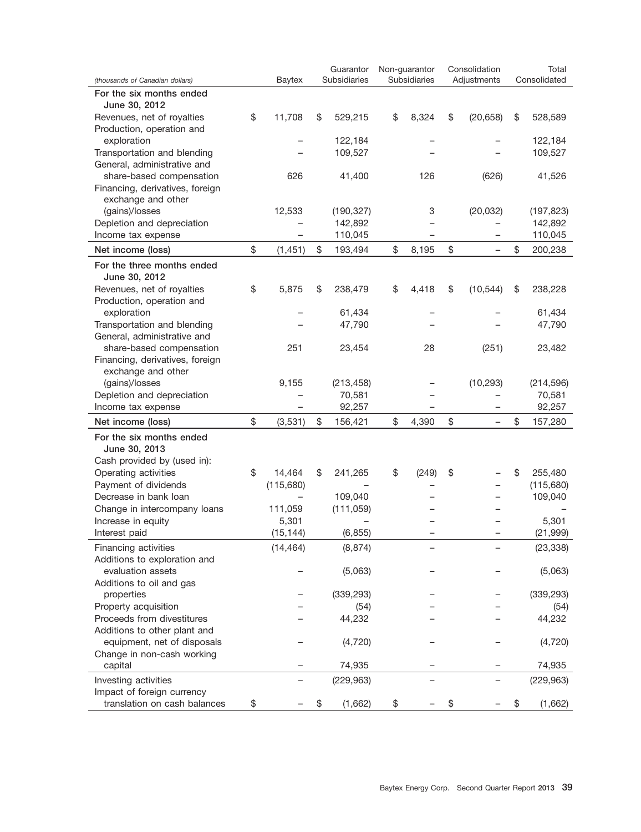| (thousands of Canadian dollars)                  | Baytex         | Guarantor<br>Subsidiaries | Non-guarantor<br>Subsidiaries | Consolidation<br>Adjustments | Total<br>Consolidated |
|--------------------------------------------------|----------------|---------------------------|-------------------------------|------------------------------|-----------------------|
| For the six months ended                         |                |                           |                               |                              |                       |
| June 30, 2012                                    |                |                           |                               |                              |                       |
| Revenues, net of royalties                       | \$<br>11,708   | \$<br>529,215             | \$<br>8,324                   | \$<br>(20, 658)              | \$<br>528,589         |
| Production, operation and                        |                |                           |                               |                              |                       |
| exploration                                      |                | 122,184                   |                               |                              | 122,184               |
| Transportation and blending                      |                | 109,527                   |                               |                              | 109,527               |
| General, administrative and                      |                |                           |                               |                              |                       |
| share-based compensation                         | 626            | 41,400                    | 126                           | (626)                        | 41,526                |
| Financing, derivatives, foreign                  |                |                           |                               |                              |                       |
| exchange and other                               |                |                           |                               |                              |                       |
| (gains)/losses                                   | 12,533         | (190, 327)                | 3                             | (20, 032)                    | (197, 823)            |
| Depletion and depreciation<br>Income tax expense |                | 142,892<br>110,045        |                               |                              | 142,892<br>110,045    |
|                                                  |                |                           |                               |                              |                       |
| Net income (loss)                                | \$<br>(1, 451) | \$<br>193,494             | \$<br>8,195                   | \$                           | \$<br>200,238         |
| For the three months ended<br>June 30, 2012      |                |                           |                               |                              |                       |
| Revenues, net of royalties                       | \$<br>5,875    | \$<br>238,479             | \$<br>4,418                   | \$<br>(10, 544)              | \$<br>238,228         |
| Production, operation and                        |                |                           |                               |                              |                       |
| exploration                                      |                | 61,434                    |                               |                              | 61,434                |
| Transportation and blending                      |                | 47,790                    |                               |                              | 47,790                |
| General, administrative and                      |                |                           |                               |                              |                       |
| share-based compensation                         | 251            | 23,454                    | 28                            | (251)                        | 23,482                |
| Financing, derivatives, foreign                  |                |                           |                               |                              |                       |
| exchange and other                               |                |                           |                               |                              |                       |
| (gains)/losses                                   | 9,155          | (213, 458)                |                               | (10, 293)                    | (214, 596)            |
| Depletion and depreciation                       |                | 70,581<br>92,257          |                               |                              | 70,581<br>92,257      |
| Income tax expense                               | \$             | \$                        |                               | \$                           | \$                    |
| Net income (loss)                                | (3,531)        | 156,421                   | \$<br>4,390                   |                              | 157,280               |
| For the six months ended                         |                |                           |                               |                              |                       |
| June 30, 2013                                    |                |                           |                               |                              |                       |
| Cash provided by (used in):                      | \$<br>14,464   | \$                        | \$                            |                              | \$                    |
| Operating activities<br>Payment of dividends     | (115, 680)     | 241,265                   | (249)                         | \$                           | 255,480<br>(115, 680) |
| Decrease in bank loan                            |                | 109,040                   |                               |                              | 109,040               |
| Change in intercompany loans                     | 111,059        | (111, 059)                |                               |                              |                       |
| Increase in equity                               | 5,301          |                           |                               |                              | 5,301                 |
| Interest paid                                    | (15, 144)      | (6, 855)                  |                               | -                            | (21, 999)             |
| Financing activities                             | (14, 464)      | (8, 874)                  |                               |                              | (23, 338)             |
| Additions to exploration and                     |                |                           |                               |                              |                       |
| evaluation assets                                |                | (5,063)                   |                               |                              | (5,063)               |
| Additions to oil and gas                         |                |                           |                               |                              |                       |
| properties                                       |                | (339, 293)                |                               |                              | (339, 293)            |
| Property acquisition                             |                | (54)                      |                               |                              | (54)                  |
| Proceeds from divestitures                       |                | 44,232                    |                               |                              | 44,232                |
| Additions to other plant and                     |                |                           |                               |                              |                       |
| equipment, net of disposals                      |                | (4, 720)                  |                               |                              | (4, 720)              |
| Change in non-cash working                       |                |                           |                               |                              |                       |
| capital                                          |                | 74,935                    |                               |                              | 74,935                |
| Investing activities                             |                | (229, 963)                |                               |                              | (229, 963)            |
| Impact of foreign currency                       |                |                           |                               |                              |                       |
| translation on cash balances                     | \$             | \$<br>(1,662)             | \$                            | \$                           | \$<br>(1,662)         |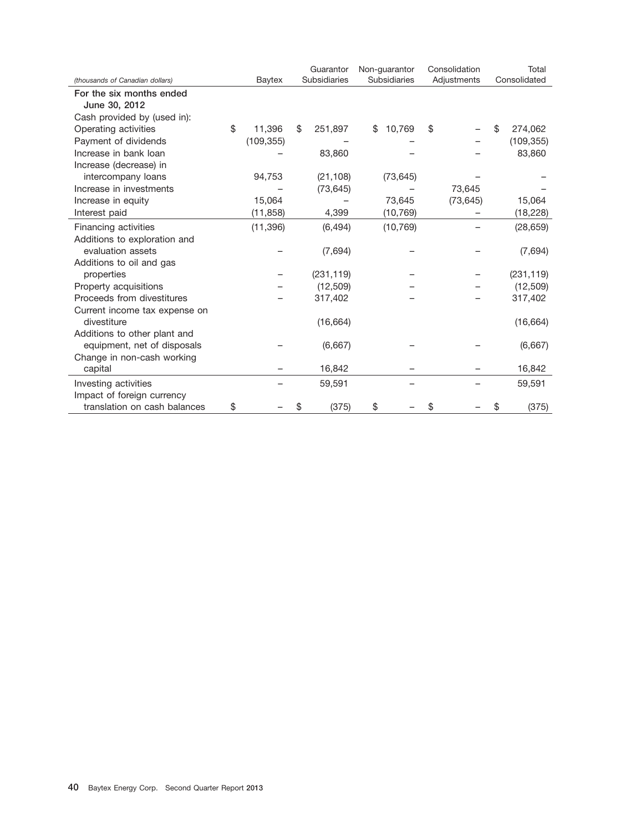|                                 |              | Guarantor     | Non-guarantor       | Consolidation | Total         |
|---------------------------------|--------------|---------------|---------------------|---------------|---------------|
| (thousands of Canadian dollars) | Baytex       | Subsidiaries  | <b>Subsidiaries</b> | Adjustments   | Consolidated  |
| For the six months ended        |              |               |                     |               |               |
| June 30, 2012                   |              |               |                     |               |               |
| Cash provided by (used in):     |              |               |                     |               |               |
| Operating activities            | \$<br>11.396 | \$<br>251,897 | \$<br>10,769        | \$            | \$<br>274,062 |
| Payment of dividends            | (109, 355)   |               |                     |               | (109, 355)    |
| Increase in bank loan           |              | 83,860        |                     |               | 83,860        |
| Increase (decrease) in          |              |               |                     |               |               |
| intercompany loans              | 94,753       | (21, 108)     | (73, 645)           |               |               |
| Increase in investments         |              | (73, 645)     |                     | 73,645        |               |
| Increase in equity              | 15.064       |               | 73,645              | (73, 645)     | 15,064        |
| Interest paid                   | (11, 858)    | 4,399         | (10, 769)           |               | (18, 228)     |
| Financing activities            | (11, 396)    | (6, 494)      | (10, 769)           |               | (28, 659)     |
| Additions to exploration and    |              |               |                     |               |               |
| evaluation assets               |              | (7,694)       |                     |               | (7,694)       |
| Additions to oil and gas        |              |               |                     |               |               |
| properties                      |              | (231, 119)    |                     |               | (231, 119)    |
| Property acquisitions           |              | (12,509)      |                     |               | (12, 509)     |
| Proceeds from divestitures      |              | 317,402       |                     |               | 317,402       |
| Current income tax expense on   |              |               |                     |               |               |
| divestiture                     |              | (16, 664)     |                     |               | (16, 664)     |
| Additions to other plant and    |              |               |                     |               |               |
| equipment, net of disposals     |              | (6,667)       |                     |               | (6,667)       |
| Change in non-cash working      |              |               |                     |               |               |
| capital                         |              | 16,842        |                     |               | 16,842        |
| Investing activities            |              | 59,591        |                     |               | 59,591        |
| Impact of foreign currency      |              |               |                     |               |               |
| translation on cash balances    | \$           | \$<br>(375)   | \$                  | \$            | \$<br>(375)   |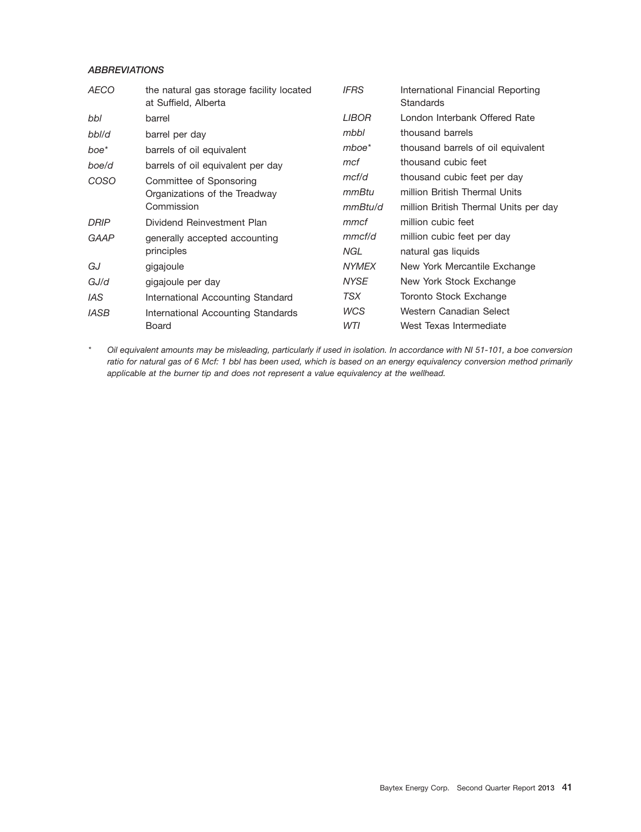### *ABBREVIATIONS*

| <b>AECO</b> | the natural gas storage facility located<br>at Suffield, Alberta | <b>IFRS</b>  | International Financial Reporting<br><b>Standards</b> |
|-------------|------------------------------------------------------------------|--------------|-------------------------------------------------------|
| bbl         | barrel                                                           | <b>LIBOR</b> | London Interbank Offered Rate                         |
| bbl/d       | barrel per day                                                   | mbbl         | thousand barrels                                      |
| boe*        | barrels of oil equivalent                                        | $m$ boe $*$  | thousand barrels of oil equivalent                    |
| boe/d       | barrels of oil equivalent per day                                | mcf          | thousand cubic feet                                   |
| <b>COSO</b> | Committee of Sponsoring                                          | mcf/d        | thousand cubic feet per day                           |
|             | Organizations of the Treadway                                    | mmBtu        | million British Thermal Units                         |
|             | Commission                                                       | mmBtu/d      | million British Thermal Units per day                 |
| DRIP        | Dividend Reinvestment Plan                                       | mmcf         | million cubic feet                                    |
| GAAP        | generally accepted accounting                                    | mmcf/d       | million cubic feet per day                            |
|             | principles                                                       | NGL          | natural gas liquids                                   |
| GJ          | gigajoule                                                        | <b>NYMEX</b> | New York Mercantile Exchange                          |
| GJ/d        | gigajoule per day                                                | <b>NYSE</b>  | New York Stock Exchange                               |
| IAS.        | International Accounting Standard                                | TSX          | Toronto Stock Exchange                                |
| IASB        | International Accounting Standards                               | <b>WCS</b>   | Western Canadian Select                               |
|             | Board                                                            | WTI          | West Texas Intermediate                               |

*\* Oil equivalent amounts may be misleading, particularly if used in isolation. In accordance with NI 51-101, a boe conversion ratio for natural gas of 6 Mcf: 1 bbl has been used, which is based on an energy equivalency conversion method primarily applicable at the burner tip and does not represent a value equivalency at the wellhead.*